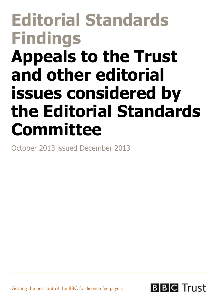# **Editorial Standards Findings Appeals to the Trust and other editorial issues considered by the Editorial Standards Committee**

October 2013 issued December 2013

Getting the best out of the BBC for licence fee payers

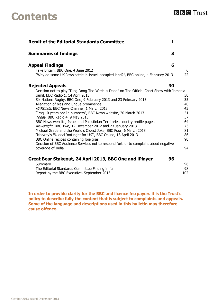#### Editorial Standards Findings/**Appeals to the Trust and other editorial issues considered Contents**

| <b>Remit of the Editorial Standards Committee</b><br>1.                                                                                                                                                                                                                                                                                                                                                                                                                                                                                                                                                                                                                                                                                                                                                                                                                     |                                                                      |
|-----------------------------------------------------------------------------------------------------------------------------------------------------------------------------------------------------------------------------------------------------------------------------------------------------------------------------------------------------------------------------------------------------------------------------------------------------------------------------------------------------------------------------------------------------------------------------------------------------------------------------------------------------------------------------------------------------------------------------------------------------------------------------------------------------------------------------------------------------------------------------|----------------------------------------------------------------------|
| 3<br><b>Summaries of findings</b>                                                                                                                                                                                                                                                                                                                                                                                                                                                                                                                                                                                                                                                                                                                                                                                                                                           |                                                                      |
| <b>Appeal Findings</b><br>6<br>Fake Britain, BBC One, 4 June 2012<br>"Why do some UK Jews settle in Israeli occupied land?", BBC online, 4 February 2013                                                                                                                                                                                                                                                                                                                                                                                                                                                                                                                                                                                                                                                                                                                    | 6<br>22                                                              |
| <b>Rejected Appeals</b><br>30<br>Decision not to play "Ding Dong The Witch is Dead" on The Official Chart Show with Jameela<br>Jamil, BBC Radio 1, 14 April 2013<br>Six Nations Rugby, BBC One, 9 February 2013 and 23 February 2013<br>Allegation of bias and undue prominence<br>HARDtalk, BBC News Channel, 1 March 2013<br>"Iraq 10 years on: In numbers", BBC News website, 20 March 2013<br>Today, BBC Radio 4, 9 May 2013<br>BBC News website, Israel and Palestinian Territories country profile pages<br>Newsnight, BBC Two, 12 December 2012 and 23 January 2013<br>Michael Grade and the World's Oldest Joke, BBC Four, 6 March 2013<br>"Norway's EU deal 'not right for UK"", BBC Online, 18 April 2013<br>BBC Online recipes containing foie gras<br>Decision of BBC Audience Services not to respond further to complaint about negative<br>coverage of India | 30<br>35<br>40<br>43<br>51<br>57<br>64<br>73<br>81<br>86<br>90<br>94 |
| 96<br>Great Bear Stakeout, 24 April 2013, BBC One and iPlayer<br>Summary<br>The Editorial Standards Committee Finding in full<br>Report by the BBC Executive, September 2013                                                                                                                                                                                                                                                                                                                                                                                                                                                                                                                                                                                                                                                                                                | 96<br>98<br>102                                                      |

**In order to provide clarity for the BBC and licence fee payers it is the Trust's policy to describe fully the content that is subject to complaints and appeals. Some of the language and descriptions used in this bulletin may therefore cause offence.**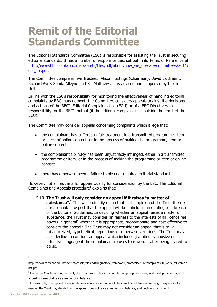# <span id="page-2-0"></span>**Remit of the Editorial Standards Committee**

The Editorial Standards Committee (ESC) is responsible for assisting the Trust in securing editorial standards. It has a number of responsibilities, set out in its Terms of Reference at [http://www.bbc.co.uk/bbctrust/assets/files/pdf/about/how\\_we\\_operate/committees/2011/](http://www.bbc.co.uk/bbctrust/assets/files/pdf/about/how_we_operate/committees/2011/esc_tor.pdf) [esc\\_tor.pdf.](http://www.bbc.co.uk/bbctrust/assets/files/pdf/about/how_we_operate/committees/2011/esc_tor.pdf)

The Committee comprises five Trustees: Alison Hastings (Chairman), David Liddiment, Richard Ayre, Sonita Alleyne and Bill Matthews. It is advised and supported by the Trust Unit.

In line with the ESC's responsibility for monitoring the effectiveness of handling editorial complaints by BBC management, the Committee considers appeals against the decisions and actions of the BBC's Editorial Complaints Unit (ECU) or of a BBC Director with responsibility for the BBC's output (if the editorial complaint falls outside the remit of the ECU).

The Committee may consider appeals concerning complaints which allege that:

- the complainant has suffered unfair treatment in a transmitted programme, item or piece of online content, or in the process of making the programme, item or online content
- the complainant's privacy has been unjustifiably infringed, either in a transmitted programme or item, or in the process of making the programme or item or online content
- there has otherwise been a failure to observe required editorial standards.

However, not all requests for appeal qualify for consideration by the ESC. The Editorial Complaints and Appeals procedure<sup>1</sup> explains that:

5.10 **The Trust will only consider an appeal if it raises "a matter of substance".<sup>2</sup>** This will ordinarily mean that in the opinion of the Trust there is a reasonable prospect that the appeal will be upheld as amounting to a breach of the Editorial Guidelines. In deciding whether an appeal raises a matter of substance, the Trust may consider (in fairness to the interests of all licence fee payers in general) whether it is appropriate, proportionate and cost-effective to consider the appeal.<sup>3</sup> The Trust may not consider an appeal that is trivial, misconceived, hypothetical, repetitious or otherwise vexatious. The Trust may also decline to consider an appeal which includes gratuitously abusive or offensive language if the complainant refuses to reword it after being invited to do so.

<sup>-</sup>1

http://downloads.bbc.co.uk/bbctrust/assets/files/pdf/regulatory\_framework/protocols/2012/complaints\_fr\_work\_ed\_complai nts.pdf

 $<sup>2</sup>$  Under the Charter and Agreement, the Trust has a role as final arbiter in appropriate cases, and must provide a right of</sup> appeal in cases that raise a matter of substance.

<sup>&</sup>lt;sup>3</sup> For example, if an appeal raises a relatively minor issue that would be complicated, time-consuming or expensive to resolve, the Trust may decide that the appeal does not raise a matter of substance, and decline to consider it.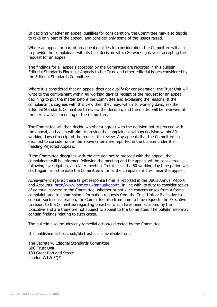In deciding whether an appeal qualifies for consideration, the Committee may also decide to take only part of the appeal, and consider only some of the issues raised.

Where an appeal or part of an appeal qualifies for consideration, the Committee will aim to provide the complainant with its final decision within 80 working days of accepting the request for an appeal.

The findings for all appeals accepted by the Committee are reported in this bulletin, Editorial Standards Findings: Appeals to the Trust and other editorial issues considered by the Editorial Standards Committee.

Where it is considered that an appeal does not qualify for consideration, the Trust Unit will write to the complainant within 40 working days of receipt of the request for an appeal, declining to put the matter before the Committee and explaining the reasons. If the complainant disagrees with this view then they may, within 10 working days, ask the Editorial Standards Committee to review the decision, and the matter will be reviewed at the next available meeting of the Committee.

The Committee will then decide whether it agrees with the decision not to proceed with the appeal, and again will aim to provide the complainant with its decision within 80 working days of receipt of the request for review. Any appeals that the Committee has declined to consider under the above criteria are reported in the bulletin under the heading Rejected Appeals.

If the Committee disagrees with the decision not to proceed with the appeal, the complainant will be informed following the meeting and the appeal will be considered, following investigation, at a later meeting. In this case the 80 working day time period will start again from the date the Committee informs the complainant it will hear the appeal.

Achievement against these target response times is reported in the BBC's Annual Report and Accounts: [http://www.bbc.co.uk/annualreport/.](http://www.bbc.co.uk/annualreport/) In line with its duty to consider topics of editorial concern to the Committee, whether or not such concern arises from a formal complaint, and to commission information requests from the Trust Unit or Executive to support such consideration, the Committee also from time to time requests the Executive to report to the Committee regarding breaches which have been accepted by the Executive and are therefore not subject to appeal to the Committee. The bulletin also may contain findings relating to such cases.

The bulletin also includes any remedial action/s directed by the Committee.

It is published at bbc.co.uk/bbctrust and is available from:

The Secretary, Editorial Standards Committee BBC Trust Unit 180 Great Portland Street London W1W 5QZ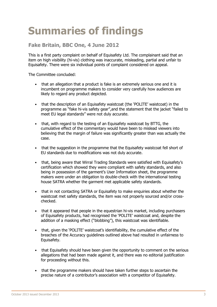# <span id="page-4-0"></span>**Summaries of findings**

### **Fake Britain, BBC One, 4 June 2012**

This is a first party complaint on behalf of Equisafety Ltd. The complainant said that an item on high visibility (hi-vis) clothing was inaccurate, misleading, partial and unfair to Equisafety. There were six individual points of complaint considered on appeal.

The Committee concluded:

- that an allegation that a product is fake is an extremely serious one and it is incumbent on programme makers to consider very carefully how audiences are likely to regard any product depicted.
- that the description of an Equisafety waistcoat (the 'POLITE' waistcoat) in the programme as "fake hi-vis safety gear",and the statement that the jacket "failed to meet EU legal standards" were not duly accurate.
- that, with regard to the testing of an Equisafety waistcoat by BTTG, the cumulative effect of the commentary would have been to mislead viewers into believing that the margin of failure was significantly greater than was actually the case.
- that the suggestion in the programme that the Equisafety waistcoat fell short of EU standards due to modifications was not duly accurate.
- that, being aware that Wirral Trading Standards were satisfied with Equisafety's certification which showed they were compliant with safety standards, and also being in possession of the garment's User Information sheet, the programme makers were under an obligation to double-check with the international testing house SATRA whether the garment met applicable safety standards.
- that in not contacting SATRA or Equisafety to make enquiries about whether the waistcoat met safety standards, the item was not properly sourced and/or crosschecked.
- that it appeared that people in the equestrian hi-vis market, including purchasers of Equisafety products, had recognised the 'POLITE' waistcoat and, despite the addition of a masking effect ("blobbing"), this waistcoat was identifiable.
- that, given the 'POLITE' waistcoat's identifiability, the cumulative effect of the breaches of the Accuracy guidelines outlined above had resulted in unfairness to Equisafety.
- that Equisafety should have been given the opportunity to comment on the serious allegations that had been made against it, and there was no editorial justification for proceeding without this.
- that the programme makers should have taken further steps to ascertain the precise nature of a contributor's association with a competitor of Equisafety.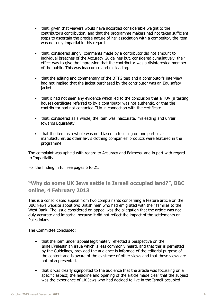- that, given that viewers would have accorded considerable weight to the contributor's contribution, and that the programme makers had not taken sufficient steps to ascertain the precise nature of her association with a competitor, the item was not duly impartial in this regard.
- that, considered singly, comments made by a contributor did not amount to individual breaches of the Accuracy Guidelines but, considered cumulatively, their effect was to give the impression that the contributor was a disinterested member of the public. This was inaccurate and misleading.
- that the editing and commentary of the BTTG test and a contributor's interview had not implied that the jacket purchased by the contributor was an Equisafety jacket.
- that it had not seen any evidence which led to the conclusion that a TUV (a testing house) certificate referred to by a contributor was not authentic, or that the contributor had not contacted TUV in connection with the certificate.
- that, considered as a whole, the item was inaccurate, misleading and unfair towards Equisafety.
- that the item as a whole was not biased in focusing on one particular manufacturer, as other hi-vis clothing companies' products were featured in the programme.

The complaint was upheld with regard to Accuracy and Fairness, and in part with regard to Impartiality.

For the finding in full see pages 6 to 21.

### **"Why do some UK Jews settle in Israeli occupied land?", BBC online, 4 February 2013**

This is a consolidated appeal from two complainants concerning a feature article on the BBC News website about two British men who had emigrated with their families to the West Bank. The issue considered on appeal was the allegation that the article was not duly accurate and impartial because it did not reflect the impact of the settlements on Palestinians.

The Committee concluded:

- that the item under appeal legitimately reflected a perspective on the Israeli/Palestinian issue which is less commonly heard, and that this is permitted by the Guidelines, provided the audience is informed of the editorial purpose of the content and is aware of the existence of other views and that those views are not misrepresented.
- that it was clearly signposted to the audience that the article was focussing on a specific aspect; the headline and opening of the article made clear that the subject was the experience of UK Jews who had decided to live in the Israeli-occupied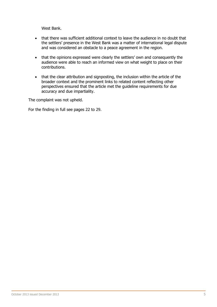West Bank.

- that there was sufficient additional context to leave the audience in no doubt that the settlers' presence in the West Bank was a matter of international legal dispute and was considered an obstacle to a peace agreement in the region.
- that the opinions expressed were clearly the settlers' own and consequently the audience were able to reach an informed view on what weight to place on their contributions.
- that the clear attribution and signposting, the inclusion within the article of the broader context and the prominent links to related content reflecting other perspectives ensured that the article met the guideline requirements for due accuracy and due impartiality.

The complaint was not upheld.

For the finding in full see pages 22 to 29.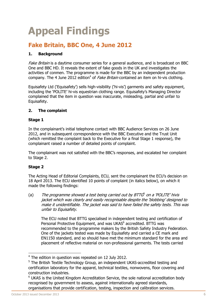# <span id="page-7-0"></span>**Appeal Findings**

## <span id="page-7-1"></span>**Fake Britain, BBC One, 4 June 2012**

#### **1. Background**

Fake Britain is a daytime consumer series for a general audience, and is broadcast on BBC One and BBC HD. It reveals the extent of fake goods in the UK and investigates the activities of conmen. The programme is made for the BBC by an independent production company. The 4 June 2012 edition<sup>4</sup> of *Fake Britain* contained an item on hi-vis clothing.

Equisafety Ltd ('Equisafety') sells high-visibility ('hi-vis') garments and safety equipment, including the 'POLITE' hi-vis equestrian clothing range. Equisafety's Managing Director complained that the item in question was inaccurate, misleading, partial and unfair to Equisafety.

#### **2. The complaint**

#### **Stage 1**

In the complainant's initial telephone contact with BBC Audience Services on 26 June 2012, and in subsequent correspondence with the BBC Executive and the Trust Unit (which remitted the complaint back to the Executive for a final Stage 1 response), the complainant raised a number of detailed points of complaint.

The complainant was not satisfied with the BBC's responses, and escalated her complaint to Stage 2.

#### **Stage 2**

The Acting Head of Editorial Complaints, ECU, sent the complainant the ECU's decision on 18 April 2013. The ECU identified 10 points of complaint (in italics below), on which it made the following findings:

(a) The programme showed a test being carried out by  $BTTG<sup>5</sup>$  on a 'POLITE' hivis jacket which was clearly and easily recognisable despite the 'blobbing' designed to make it unidentifiable. The jacket was said to have failed the safety tests. This was unfair to Equisafety.

The ECU noted that BTTG specialised in independent testing and certification of Personal Protective Equipment, and was UKAS<sup>6</sup> accredited. BTTG was recommended to the programme makers by the British Safety Industry Federation. One of the jackets tested was made by Equisafety and carried a CE mark and EN1150 standard, and so should have met the minimum standard for the area and placement of reflective material on non-professional garments. The tests carried

-

<sup>&</sup>lt;sup>4</sup> The edition in question was repeated on 12 July 2012.

<sup>&</sup>lt;sup>5</sup> The British Textile Technology Group, an independent UKAS-accredited testing and certification laboratory for the apparel, technical textiles, nonwovens, floor covering and construction industries.

<sup>&</sup>lt;sup>6</sup> UKAS is the United Kingdom Accreditation Service, the sole national accreditation body recognised by government to assess, against internationally agreed standards, organisations that provide certification, testing, inspection and calibration services.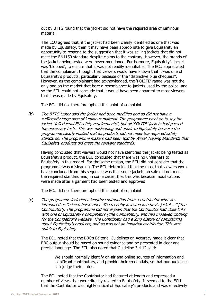out by BTTG found that the jacket did not have the required area of luminous material.

The ECU agreed that, if the jacket had been clearly identified as one that was made by Equisafety, then it may have been appropriate to give Equisafety an opportunity to respond to the suggestion that it was selling jackets that did not meet the EN1150 standard despite claims to the contrary. However, the brands of the jackets being tested were never mentioned. Furthermore, Equisafety's jacket was 'blobbed', to ensure that it was not readily identifiable. The ECU appreciated that the complainant thought that viewers would have known that it was one of Equisafety's products, particularly because of the "distinctive blue chequers". However, as the complainant had acknowledged, the 'POLITE' range was not the only one on the market that bore a resemblance to jackets used by the police, and so the ECU could not conclude that it would have been apparent to most viewers that it was made by Equisafety.

The ECU did not therefore uphold this point of complaint.

(b) The BTTG tester said the jacket had been modified and so did not have a sufficiently large area of luminous material. The programme went on to say the jacket "failed legal EU safety requirements", but all 'POLITE' jackets had passed the necessary tests. This was misleading and unfair to Equisafety because the programme clearly implied that its products did not meet the required safety standards. The programme makers had been told by Wirral Trading Standards that Equisafety products did meet the relevant standards.

Having concluded that viewers would not have identified the jacket being tested as Equisafety's product, the ECU concluded that there was no unfairness to Equisafety in this regard. For the same reason, the ECU did not consider that the programme was misleading. The ECU determined that the most that viewers would have concluded from this sequence was that some jackets on sale did not meet the required standard and, in some cases, that this was because modifications were made after a garment had been tested and approved.

The ECU did not therefore uphold this point of complaint.

(c) The programme included a lengthy contribution from a contributor who was introduced as "a keen horse rider. She recently invested in a hi-vis jacket …" ['the Contributor']. The programme did not explain that the Contributor had close links with one of Equisafety's competitors ['the Competitor'], and had modelled clothing for the Competitor's website. The Contributor had a long history of complaining about Equisafety's products, and so was not an impartial contributor. This was unfair to Equisafety.

The ECU noted that the BBC's Editorial Guidelines on Accuracy made it clear that BBC output should be based on sound evidence and be presented in clear and precise language. The ECU also noted that Guideline 3.4.12 said:

We should normally identify on-air and online sources of information and significant contributors, and provide their credentials, so that our audiences can judge their status.

The ECU noted that the Contributor had featured at length and expressed a number of views that were directly related to Equisafety. It seemed to the ECU that the Contributor was highly critical of Equisafety's products and was effectively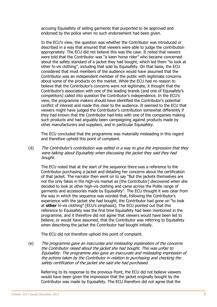accusing Equisafety of selling garments that purported to be approved and endorsed by the police when no such endorsement had been given.

In the ECU's view, the question was whether the Contributor was introduced or described in a way that ensured that viewers were able to judge the contribution appropriately. The ECU did not believe this was the case. It noted that viewers were told that the Contributor was "a keen horse rider" who became concerned about the safety standard of a jacket they had bought, which led them "to look at other hi-vis clothing", including that sold by Equisafety. On that basis, the ECU considered that most members of the audience would have assumed that the Contributor was an independent member of the public with legitimate concerns about some of the products on the market. While the ECU had no reason to believe that the Contributor's concerns were not legitimate, it thought that the Contributor's association with one of the leading brands (and one of Equisafety's competitors) called into question the Contributor's independence. In the ECU's view, the programme makers should have identified the Contributor's potential conflict of interest and made this clear to the audience. It seemed to the ECU that viewers might have judged the Contributor's contribution somewhat differently if they had known that the Contributor had links with one of the companies making such products and had arguably been campaigning against products made by other manufacturers and suppliers, and in particular Equisafety.

The ECU concluded that the programme was materially misleading in this regard and therefore upheld this point of complaint.

(d) The Contributor's contribution was edited in a way to give the impression that they were talking about Equisafety when discussing the jacket they said they had bought.

The ECU noted that at the start of the sequence there was a reference to the Contributor purchasing a jacket and detailing her concerns about the certification of that jacket. The narrator then went on to say "But the jackets themselves are not the only fakes in the high-vis market as [the Contributor] discovered when she decided to look at other high-vis clothing and came across the Polite range of garments and accessories made by Equisafety". The ECU thought it was clear from the way in which the sequence was worded that, following the Contributor's experience with the jacket she had bought, the Contributor had gone on "to look at **other** hi-vis clothing" [ECU's emphasis]. The ECU pointed out that this reference to Equisafety was the first time Equisafety had been mentioned in the programme, and it therefore did not agree that viewers would have been led to believe, or would have assumed, that the Contributor was referring to Equisafety when describing the jacket the Contributor had bought initially.

The ECU did not therefore uphold this point of complaint.

(e) The programme gave an inaccurate and misleading explanation of the concerns the Contributor raised about the jacket she had bought. This was unfair to Equisafety. The programme also gave an inaccurate and misleading impression of the actions taken by the Contributor in relation to purchasing and checking the safety certification of the jacket she said she had purchased.

Referring to its response to the previous Point, the ECU did not believe viewers would have been given the impression that the jacket originally bought by the Contributor was made by Equisafety. The ECU therefore did not agree that the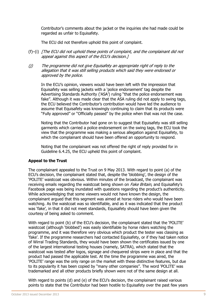Contributor's comments about the jacket or the inquiries she had made could be regarded as unfair to Equisafety.

The ECU did not therefore uphold this point of complaint.

- $(f)$ –(i) *[The ECU did not uphold these points of complaint, and the complainant did not* appeal against this aspect of the ECU's decision.]
- (j) The programme did not give Equisafety an appropriate right of reply to the allegation that it was still selling products which said they were endorsed or approved by the police.

In the ECU's opinion, viewers would have been left with the impression that Equisafety was selling jackets with a 'police endorsement' tag despite the Advertising Standards Authority ('ASA') ruling "that the police endorsement was fake". Although it was made clear that the ASA ruling did not apply to swing tags, the ECU believed the Contributor's contribution would have led the audience to assume that Equisafety was knowingly continuing to claim that its products were "Fully approved" or "Officially passed" by the police when that was not the case.

Noting that the Contributor had gone on to suggest that Equisafety was still selling garments which carried a police endorsement on the swing tags, the ECU took the view that the programme was making a serious allegation against Equisafety, to which the complainant should have been offered an opportunity to respond.

Noting that the complainant was not offered the right of reply provided for in Guideline 6.4.25, the ECU upheld this point of complaint.

#### **Appeal to the Trust**

The complainant appealed to the Trust on 9 May 2013. With regard to point (a) of the ECU's decision, the complainant stated that, despite the 'blobbing', the design of the 'POLITE' waistcoat was obvious. Within minutes of the broadcast, the complainant was receiving emails regarding the waistcoat being shown on *Fake Britain*, and Equisafety's Facebook page was being inundated with questions regarding the product's authenticity. While acknowledging that some viewers would not have known the design, the complainant argued that this segment was aimed at horse riders who would have been watching. As the waistcoat was so identifiable, and as it was indicated that the product was 'fake', in that it did not meet standards, Equisafety should have been given the courtesy of being asked to comment.

With regard to point (b) of the ECU's decision, the complainant stated that the 'POLITE' waistcoat (although 'blobbed') was easily identifiable by horse riders watching the programme, and it was therefore very obvious which product the tester was classing as 'fake'. If the programme researchers had contacted Equisafety, or if they had taken notice of Wirral Trading Standards, they would have been shown the certificates issued by one of the largest international testing houses (namely, SATRA), which stated that the waistcoat was tested after logos, signage and chequered strips were in place and that the product had passed the applicable test. At the time the programme was aired, the 'POLITE' range was the only range on the market with these distinctive features, but due to its popularity it has been copied by "many other companies". The word 'POLITE' was trademarked and all other products briefly shown were not of the same design at all.

With regard to points (d) and (e) of the ECU's decision, the complainant raised various points to state that the Contributor had been hostile to Equisafety over the past few years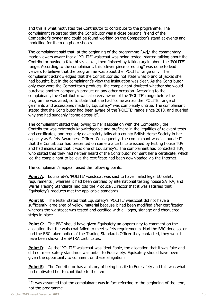and this is what motivated the Contributor to contribute to the programme. The complainant reiterated that the Contributor was a close personal friend of the Competitor's owner and could be found working on the Competitor's stand at events and modelling for them on photo shoots.

The complainant said that, at the beginning of the programme  $[sic]$ , the commentary made viewers aware that a 'POLITE' waistcoat was being tested, started talking about the Contributor buying a fake hi-vis jacket, then finished by talking again about the 'POLITE' range. According to the complainant, this "clever piece of editing" was done to lead viewers to believe that the programme was about the 'POLITE' range only. The complainant acknowledged that the Contributor did not state what brand of jacket she had bought, but in the complainant's view the insinuation was clear. As the Contributor only ever wore the Competitor's products, the complainant doubted whether she would purchase another company's product on any other occasion. According to the complainant, the Contributor was also very aware of the 'POLITE' range before the programme was aired, so to state that she had "come across the 'POLITE' range of garments and accessories made by Equisafety" was completely untrue. The complainant stated that the Contributor had been aware of the 'POLITE' range since 2010, and queried why she had suddenly "come across it".

The complainant stated that, owing to her association with the Competitor, the Contributor was extremely knowledgeable and proficient in the legalities of relevant tests and certificates, and regularly gave safety talks at a county British Horse Society in her capacity as Safety Awareness Officer. Consequently, the complainant was "astounded" that the Contributor had presented on camera a certificate issued by testing house TUV and had insinuated that it was one of Equisafety's. The complainant had contacted TUV, who stated that they had neither heard of the Contributor nor sent her a certificate, which led the complainant to believe the certificate had been downloaded via the Internet.

The complainant's appeal raised the following points:

**Point A:** Equisafety's 'POLITE' waistcoat was said to have "failed legal EU safety requirements", whereas it had been certified by international testing house SATRA, and Wirral Trading Standards had told the Producer/Director that it was satisfied that Equisafety's products met the applicable standards.

**Point B:** The tester stated that Equisafety's 'POLITE' waistcoat did not have a sufficiently large area of yellow material because it had been modified after certification, whereas the waistcoat was tested and certified with all logos, signage and chequered strips in place.

**Point C**: The BBC should have given Equisafety an opportunity to comment on the allegation that the waistcoat failed to meet safety requirements. Had the BBC done so, or had the BBC taken notice of the Trading Standards Officer they contacted, they would have been shown the SATRA certificates.

**Point D**: As the 'POLITE' waistcoat was identifiable, the allegation that it was fake and did not meet safety standards was unfair to Equisafety. Equisafety should have been given the opportunity to comment on these allegations.

**Point E:** The Contributor has a history of being hostile to Equisafety and this was what had motivated her to contribute to the item.

-

 $<sup>7</sup>$  It was assumed that the complainant was in fact referring to the beginning of the item,</sup> not the programme.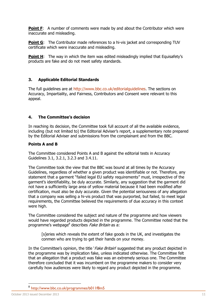**Point F:** A number of comments were made by and about the Contributor which were inaccurate and misleading.

**Point G**: The Contributor made references to a hi-vis jacket and corresponding TUV certificate which were inaccurate and misleading.

**Point H**: The way in which the item was edited misleadingly implied that Equisafety's products are fake and do not meet safety standards.

#### **3. Applicable Editorial Standards**

The full guidelines are at [http://www.bbc.co.uk/editorialguidelines.](http://www.bbc.co.uk/editorialguidelines) The sections on Accuracy, Impartiality, and Fairness, Contributors and Consent were relevant to this appeal.

#### **4. The Committee's decision**

In reaching its decision, the Committee took full account of all the available evidence, including (but not limited to) the Editorial Adviser's report, a supplementary note prepared by the Editorial Adviser and submissions from the complainant and from the BBC.

#### **Points A and B**

The Committee considered Points A and B against the editorial tests in Accuracy Guidelines 3.1, 3.2.1, 3.2.3 and 3.4.11.

The Committee took the view that the BBC was bound at all times by the Accuracy Guidelines, regardless of whether a given product was identifiable or not. Therefore, any statement that a garment "failed legal EU safety requirements" must, irrespective of the garment's identifiability, be duly accurate. Similarly, any suggestion that the garment did not have a sufficiently large area of yellow material because it had been modified after certification, must also be duly accurate. Given the potential seriousness of any allegation that a company was selling a hi-vis product that was purported, but failed, to meet legal requirements, the Committee believed the requirements of due accuracy in this context were high.

The Committee considered the subject and nature of the programme and how viewers would have regarded products depicted in the programme. The Committee noted that the programme's webpage<sup>8</sup> describes Fake Britain as a:

[s]eries which reveals the extent of fake goods in the UK, and investigates the conmen who are trying to get their hands on your money.

In the Committee's opinion, the title '*Fake Britain'* suggested that any product depicted in the programme was by implication fake, unless indicated otherwise. The Committee felt that an allegation that a product was fake was an extremely serious one. The Committee therefore concluded that it was incumbent on the programme makers to consider very carefully how audiences were likely to regard any product depicted in the programme.

-

<sup>&</sup>lt;sup>8</sup> <http://www.bbc.co.uk/programmes/b011f8m5>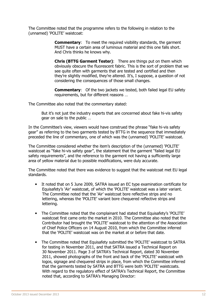The Committee noted that the programme refers to the following in relation to the (unnamed) 'POLITE' waistcoat:

> **Commentary:** To meet the required visibility standards, the garment MUST have a certain area of luminous material and this one falls short. And Chris thinks he knows why.

**Chris (BTTG Garment Tester)**: There are things put on them which obviously obscure the fluorescent fabric. This is the sort of problem that we see quite often with garments that are tested and certified and then they're slightly modified, they're altered. It's, I suppose, a question of not considering the consequences of those small changes.

**Commentary:** Of the two jackets we tested, both failed legal EU safety requirements, but for different reasons …

The Committee also noted that the commentary stated:

But it's not just the industry experts that are concerned about fake hi-vis safety gear on sale to the public …

In the Committee's view, viewers would have construed the phrase "fake hi-vis safety gear" as referring to the two garments tested by BTTG in the sequence that immediately preceded the line of commentary, one of which was the (unnamed) 'POLITE' waistcoat.

The Committee considered whether the item's description of the (unnamed) 'POLITE' waistcoat as "fake hi-vis safety gear", the statement that the garment "failed legal EU safety requirements", and the reference to the garment not having a sufficiently large area of yellow material due to possible modifications, were duly accurate.

The Committee noted that there was evidence to suggest that the waistcoat met EU legal standards.

- It noted that on 5 June 2009, SATRA issued an EC type examination certificate for Equisafety's 'Air' waistcoat, of which the 'POLITE' waistcoat was a later variant. The Committee noted that the 'Air' waistcoat bore reflective strips and no lettering, whereas the 'POLITE' variant bore chequered reflective strips and lettering.
- The Committee noted that the complainant had stated that Equisafety's 'POLITE' waistcoat first came onto the market in 2010. The Committee also noted that the Contributor had brought the 'POLITE' waistcoat to the attention of the Association of Chief Police Officers on 14 August 2010, from which the Committee inferred that the 'POLITE' waistcoat was on the market at or before that date.
- The Committee noted that Equisafety submitted the 'POLITE' waistcoat to SATRA for testing in November 2011, and that SATRA issued a Technical Report on 30 November 2011. Page 3 of SATRA's Technical Report, dated 30 November 2011, showed photographs of the front and back of the 'POLITE' waistcoat with logos, signage and chequered strips in place, from which the Committee inferred that the garments tested by SATRA and BTTG were both 'POLITE' waistcoats. With regard to the regulatory effect of SATRA's Technical Report, the Committee noted that, according to SATRA's Managing Director: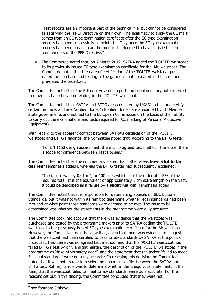"Test reports are an important part of the technical file, but cannot be considered as satisfying the [PPE] Directive on their own. The legitimacy to apply the CE mark comes from an EC type examination certificate after the EC type examination process has been successfully completed … Only once the EC type examination process has been passed, can the product be deemed to have satisfied all the requirements of the PPE Directive."

• The Committee noted that, on 7 March 2012, SATRA added the 'POLITE' waistcoat to its previously issued EC type examination certificate for the 'Air' waistcoat. The Committee noted that the date of certification of the 'POLITE' waistcoat postdated the purchase and testing of the garment that appeared in the item, and pre-dated the broadcast.

The Committee noted that the Editorial Adviser's report and supplementary note referred to other safety certification relating to the 'POLITE' waistcoat.

The Committee noted that SATRA and BTTG are accredited by UKAS $^9$  to test and certify certain products and are 'Notified Bodies' (Notified Bodies are appointed by EU Member State governments and notified to the European Commission on the basis of their ability to carry out the examinations and tests required for CE marking of Personal Protective Equipment).

With regard to the apparent conflict between SATRA's certification of the 'POLITE' waistcoat and BTTG's findings, the Committee noted that, according to the BTTG tester:

"For EN 1150 design assessment, there is no agreed test method. Therefore, there is scope for difference between Test Houses."

The Committee noted that the commentary stated that "other areas leave **a lot to be desired**" [emphasis added], whereas the BTTG tester had subsequently explained:

"The failure was by 0.01  $m^2$ , or 100 cm<sup>2</sup>, which is of the order of 2-3% of the required total. It is the equivalent of approximately 1 cm extra length on the Vest. It could be described as a failure by **a slight margin**. [emphasis added]"

The Committee noted that it is responsible for determining appeals on BBC Editorial Standards, but it was not within its remit to determine whether legal standards had been met and at what point those standards were deemed to be met. The issue to be determined was whether the statements in the programme were duly accurate.

The Committee took into account that there was evidence that the waistcoat was purchased and tested by the programme makers prior to SATRA adding the 'POLITE' waistcoat to the previously issued EC type examination certificate for the Air waistcoat. However, the Committee took the view that, given that there was evidence to suggest that the waistcoat had been certified to pass safety standards by SATRA at the point of broadcast, that there was no agreed test method, and that the 'POLITE' waistcoat had failed BTTG's test by only a slight margin, the description of the 'POLITE' waistcoat in the programme as "fake hi-vis safety gear", and the statement that the jacket "failed to meet EU legal standards" were not duly accurate. In reaching this decision the Committee noted that it was not its role to resolve the apparent conflict between the SATRA and BTTG test. Rather, its role was to determine whether the unequivocal statements in the item, that the waistcoat failed to meet safety standards, were duly accurate. For the reasons set out in this finding, the Committee concluded that they were not.

-

<sup>&</sup>lt;sup>9</sup> see footnote 3 above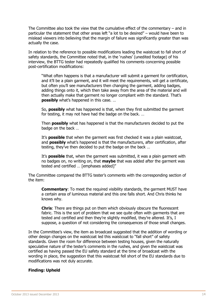The Committee also took the view that the cumulative effect of the commentary – and in particular the statement that other areas left "a lot to be desired" – would have been to mislead viewers into believing that the margin of failure was significantly greater than was actually the case.

In relation to the reference to possible modifications leading the waistcoat to fall short of safety standards, the Committee noted that, in the 'rushes' (unedited footage) of his interview, the BTTG tester had repeatedly qualified his comments concerning possible post-certification modifications:

"What often happens is that a manufacturer will submit a garment for certification, and it'll be a plain garment, and it will meet the requirements, will get a certificate, but often you'll see manufacturers then changing the garment, adding badges, adding things onto it, which then take away from the area of the material and will then actually make that garment no longer compliant with the standard. That's **possibly** what's happened in this case. ...

So, **possibly** what has happened is that, when they first submitted the garment for testing, it may not have had the badge on the back. …

Then **possibly** what has happened is that the manufacturers decided to put the badge on the back …

It's **possible** that when the garment was first checked it was a plain waistcoat, and **possibly** what's happened is that the manufacturers, after certification, after testing, they've then decided to put the badge on the back …

It's **possible** that, when the garment was submitted, it was a plain garment with no badges on, no writing on, that **maybe** that was added after the garment was tested and certified … [emphases added]"

The Committee compared the BTTG tester's comments with the corresponding section of the item:

**Commentary**: To meet the required visibility standards, the garment MUST have a certain area of luminous material and this one falls short. And Chris thinks he knows why.

**Chris**: There are things put on them which obviously obscure the fluorescent fabric. This is the sort of problem that we see quite often with garments that are tested and certified and then they're slightly modified, they're altered. It's, I suppose, a question of not considering the consequences of those small changes.

In the Committee's view, the item as broadcast suggested that the addition of wording or other design changes on the waistcoat led this waistcoat to "fall short" of safety standards. Given the room for difference between testing houses, given the naturally speculative nature of the tester's comments in the rushes, and given the waistcoat was certified as having passed the EU safety standard at the time of broadcast with the wording in place, the suggestion that this waistcoat fell short of the EU standards due to modifications was not duly accurate.

#### **Finding: Upheld**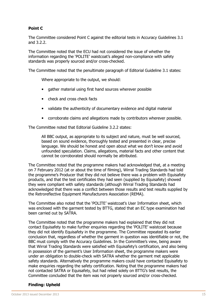#### **Point C**

The Committee considered Point C against the editorial tests in Accuracy Guidelines 3.1 and 3.2.2.

The Committee noted that the ECU had not considered the issue of whether the information regarding the 'POLITE' waistcoat's alleged non-compliance with safety standards was properly sourced and/or cross-checked.

The Committee noted that the penultimate paragraph of Editorial Guideline 3.1 states:

Where appropriate to the output, we should:

- gather material using first hand sources wherever possible
- check and cross check facts
- validate the authenticity of documentary evidence and digital material
- corroborate claims and allegations made by contributors wherever possible.

The Committee noted that Editorial Guideline 3.2.2 states:

All BBC output, as appropriate to its subject and nature, must be well sourced, based on sound evidence, thoroughly tested and presented in clear, precise language. We should be honest and open about what we don't know and avoid unfounded speculation. Claims, allegations, material facts and other content that cannot be corroborated should normally be attributed.

The Committee noted that the programme makers had acknowledged that, at a meeting on 7 February 2012 (at or about the time of filming), Wirral Trading Standards had told the programme's Producer that they did not believe there was a problem with Equisafety products, and that the test certificates they had seen (supplied by Equisafety) showed they were compliant with safety standards (although Wirral Trading Standards had acknowledged that there was a conflict between those results and test results supplied by the Retroreflective Equipment Manufacturers Association (REMA).

The Committee also noted that the 'POLITE' waistcoat's User Information sheet, which was enclosed with the garment tested by BTTG, stated that an EC type examination had been carried out by SATRA.

The Committee noted that the programme makers had explained that they did not contact Equisafety to make further enquiries regarding the 'POLITE' waistcoat because they did not identify Equisafety in the programme. The Committee repeated its earlier conclusion that, regardless of whether the garment in question was identifiable or not, the BBC must comply with the Accuracy Guidelines. In the Committee's view, being aware that Wirral Trading Standards were satisfied with Equisafety's certification, and also being in possession of the garment's User Information sheet, the programme makers were under an obligation to double-check with SATRA whether the garment met applicable safety standards. Alternatively the programme makers could have contacted Equisafety to make enquiries regarding the safety certification. Noting that the programme makers had not contacted SATRA or Equisafety, but had relied solely on BTTG's test results, the Committee concluded that the item was not properly sourced and/or cross-checked.

#### **Finding: Upheld**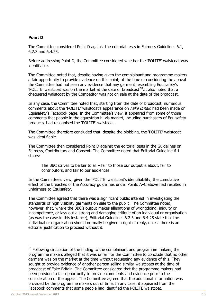#### **Point D**

The Committee considered Point D against the editorial tests in Fairness Guidelines 6.1, 6.2.3 and 6.4.25.

Before addressing Point D, the Committee considered whether the 'POLITE' waistcoat was identifiable.

The Committee noted that, despite having given the complainant and programme makers a fair opportunity to provide evidence on this point, at the time of considering the appeal the Committee had not seen any evidence that any garment resembling Equisafety's 'POLITE' waistcoat was on the market at the date of broadcast  $^{10}$ . It also noted that a chequered waistcoat by the Competitor was not on sale at the date of the broadcast.

In any case, the Committee noted that, starting from the date of broadcast, numerous comments about the 'POLITE' waistcoat's appearance on *Fake Britain* had been made on Equisafety's Facebook page. In the Committee's view, it appeared from some of those comments that people in the equestrian hi-vis market, including purchasers of Equisafety products, had recognised the 'POLITE' waistcoat.

The Committee therefore concluded that, despite the blobbing, the 'POLITE' waistcoat was identifiable.

The Committee then considered Point D against the editorial tests in the Guidelines on Fairness, Contributors and Consent. The Committee noted that Editorial Guideline 6.1 states:

The BBC strives to be fair to all  $-$  fair to those our output is about, fair to contributors, and fair to our audiences.

In the Committee's view, given the 'POLITE' waistcoat's identifiability, the cumulative effect of the breaches of the Accuracy guidelines under Points A–C above had resulted in unfairness to Equisafety.

The Committee agreed that there was a significant public interest in investigating the standards of high visibility garments on sale to the public. The Committee noted, however, that, where the BBC's output makes allegations of wrongdoing, iniquity or incompetence, or lays out a strong and damaging critique of an individual or organisation (as was the case in this instance), Editorial Guidelines 6.2.3 and 6.4.25 state that the individual or organisation should normally be given a right of reply, unless there is an editorial justification to proceed without it.

-

 $10$  Following circulation of the finding to the complainant and programme makers, the programme makers alleged that it was unfair for the Committee to conclude that no other garment was on the market at the time without requesting any evidence of this. They sought to provide evidence of another person selling similar waistcoats at the time of broadcast of Fake Britain. The Committee considered that the programme makers had been provided a fair opportunity to provide comments and evidence prior to the consideration of the appeal. The Committee agreed that the additional information was provided by the programme makers out of time. In any case, it appeared from the Facebook comments that some people had identified the POLITE waistcoat.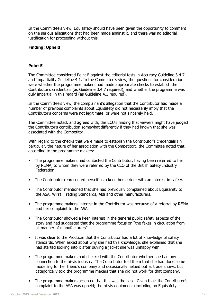In the Committee's view, Equisafety should have been given the opportunity to comment on the serious allegations that had been made against it, and there was no editorial justification for proceeding without this.

#### **Finding: Upheld**

#### **Point E**

The Committee considered Point E against the editorial tests in Accuracy Guideline 3.4.7 and Impartiality Guideline 4.1. In the Committee's view, the questions for consideration were whether the programme makers had made appropriate checks to establish the Contributor's credentials (as Guideline 3.4.7 required), and whether the programme was duly impartial in this regard (as Guideline 4.1 required).

In the Committee's view, the complainant's allegation that the Contributor had made a number of previous complaints about Equisafety did not necessarily imply that the Contributor's concerns were not legitimate, or were not sincerely held.

The Committee noted, and agreed with, the ECU's finding that viewers might have judged the Contributor's contribution somewhat differently if they had known that she was associated with the Competitor.

With regard to the checks that were made to establish the Contributor's credentials (in particular, the nature of her association with the Competitor), the Committee noted that, according to the programme makers:

- The programme makers had contacted the Contributor, having been referred to her by REMA, to whom they were referred by the CEO of the British Safety Industry Federation.
- The Contributor represented herself as a keen horse rider with an interest in safety.
- The Contributor mentioned that she had previously complained about Equisafety to the ASA, Wirral Trading Standards, Aldi and other manufacturers.
- The programme makers' interest in the Contributor was because of a referral by REMA and her complaint to the ASA.
- The Contributor showed a keen interest in the general public safety aspects of the story and had suggested that the programme focus on "the fakes in circulation from all manner of manufacturers".
- It was clear to the Producer that the Contributor had a lot of knowledge of safety standards. When asked about why she had this knowledge, she explained that she had started looking into it after buying a jacket she was unhappy with.
- The programme makers had checked with the Contributor whether she had any connection to the hi-vis industry. The Contributor told them that she had done some modelling for her friend's company and occasionally helped out at trade shows, but categorically told the programme makers that she did not work for that company.
- The programme makers accepted that this was the case. Given that: the Contributor's complaint to the ASA was upheld; the hi-vis equipment (including an Equisafety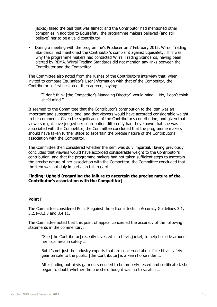jacket) failed the test that was filmed; and the Contributor had mentioned other companies in addition to Equisafety, the programme makers believed (and still believe) her to be a valid contributor.

• During a meeting with the programme's Producer on 7 February 2012, Wirral Trading Standards had mentioned the Contributor's complaint against Equisafety. This was why the programme makers had contacted Wirral Trading Standards, having been alerted by REMA. Wirral Trading Standards did not mention any links between the Contributor and the Competitor.

The Committee also noted from the rushes of the Contributor's interview that, when invited to compare Equisafety's User Information with that of the Competitor, the Contributor at first hesitated, then agreed, saying:

"I don't think [the Competitor's Managing Director] would mind … No, I don't think she'd mind."

It seemed to the Committee that the Contributor's contribution to the item was an important and substantial one, and that viewers would have accorded considerable weight to her comments. Given the significance of the Contributor's contribution, and given that viewers might have judged her contribution differently had they known that she was associated with the Competitor, the Committee concluded that the programme makers should have taken further steps to ascertain the precise nature of the Contributor's association with the Competitor.

The Committee then considered whether the item was duly impartial. Having previously concluded that viewers would have accorded considerable weight to the Contributor's contribution, and that the programme makers had not taken sufficient steps to ascertain the precise nature of her association with the Competitor, the Committee concluded that the item was not duly impartial in this regard.

#### **Finding: Upheld (regarding the failure to ascertain the precise nature of the Contributor's association with the Competitor)**

#### **Point F**

The Committee considered Point F against the editorial tests in Accuracy Guidelines 3.1, 3.2.1–3.2.3 and 3.4.11.

The Committee noted that this point of appeal concerned the accuracy of the following statements in the commentary:

"She [the Contributor] recently invested in a hi-vis jacket, to help her ride around her local area in safety …

But it's not just the industry experts that are concerned about fake hi-vis safety gear on sale to the public. [the Contributor] is a keen horse rider …

After finding out hi-vis garments needed to be properly tested and certificated, she began to doubt whether the one she'd bought was up to scratch …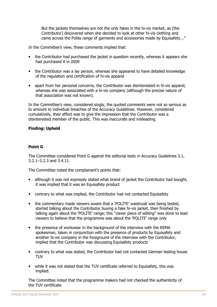But the jackets themselves are not the only fakes in the hi-vis market, as [the Contributor] discovered when she decided to look at other hi-vis clothing and came across the Polite range of garments and accessories made by Equisafety..."

In the Committee's view, these comments implied that:

- the Contributor had purchased the jacket in question recently, whereas it appears she had purchased it in 2009
- the Contributor was a lay person, whereas she appeared to have detailed knowledge of the regulation and certification of hi-vis apparel
- apart from her personal concerns, the Contributor was disinterested in hi-vis apparel, whereas she was associated with a hi-vis company (although the precise nature of that association was not known).

In the Committee's view, considered singly, the quoted comments were not so serious as to amount to individual breaches of the Accuracy Guidelines. However, considered cumulatively, their effect was to give the impression that the Contributor was a disinterested member of the public. This was inaccurate and misleading.

#### **Finding: Upheld**

#### **Point G**

The Committee considered Point G against the editorial tests in Accuracy Guidelines 3.1, 3.2.1–3.2.3 and 3.4.11.

The Committee noted the complainant's points that:

- although it was not expressly stated what brand of jacket the Contributor had bought, it was implied that it was an Equisafety product
- contrary to what was implied, the Contributor had not contacted Equisafety
- the commentary made viewers aware that a 'POLITE' waistcoat was being tested, started talking about the Contributor buying a fake hi-vis jacket, then finished by talking again about the 'POLITE' range; this "clever piece of editing" was done to lead viewers to believe that the programme was about the 'POLITE' range only
- the presence of workwear in the background of the interview with the REMA spokesman, taken in conjunction with the presence of products by Equisafety and another hi-vis company in the foreground of the interview with the Contributor, implied that the Contributor was discussing Equisafety products
- contrary to what was stated, the Contributor had not contacted German testing house TUV
- while it was not stated that the TUV certificate referred to Equisafety, this was implied.

The Committee noted that the programme makers had not checked the authenticity of the TUV certificate.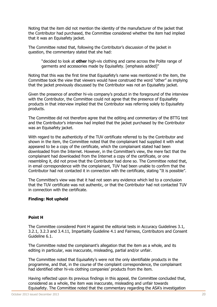Noting that the item did not mention the identity of the manufacturer of the jacket that the Contributor had purchased, the Committee considered whether the item had implied that it was an Equisafety jacket.

The Committee noted that, following the Contributor's discussion of the jacket in question, the commentary stated that she had:

"decided to look at **other** high-vis clothing and came across the Polite range of garments and accessories made by Equisafety. [emphasis added]"

Noting that this was the first time that Equisafety's name was mentioned in the item, the Committee took the view that viewers would have construed the word "other" as implying that the jacket previously discussed by the Contributor was not an Equisafety jacket.

Given the presence of another hi-vis company's product in the foreground of the interview with the Contributor, the Committee could not agree that the presence of Equisafety products in that interview implied that the Contributor was referring solely to Equisafety products.

The Committee did not therefore agree that the editing and commentary of the BTTG test and the Contributor's interview had implied that the jacket purchased by the Contributor was an Equisafety jacket.

With regard to the authenticity of the TUV certificate referred to by the Contributor and shown in the item, the Committee noted that the complainant had supplied it with what appeared to be a copy of the certificate, which the complainant stated had been downloaded from the Internet. However, in the Committee's view, the mere fact that the complainant had downloaded from the Internet a copy of the certificate, or one resembling it, did not prove that the Contributor had done so. The Committee noted that, in email correspondence with the complainant, TUV had been unable to confirm that the Contributor had not contacted it in connection with the certificate, stating "It is possible".

The Committee's view was that it had not seen any evidence which led to a conclusion that the TUV certificate was not authentic, or that the Contributor had not contacted TUV in connection with the certificate.

#### **Finding: Not upheld**

#### **Point H**

The Committee considered Point H against the editorial tests in Accuracy Guidelines 3.1, 3.2.1, 3.2.3 and 3.4.11, Impartiality Guideline 4.1 and Fairness, Contributors and Consent Guideline 6.1.

The Committee noted the complainant's allegation that the item as a whole, and its editing in particular, was inaccurate, misleading, partial and/or unfair.

The Committee noted that Equisafety's were not the only identifiable products in the programme, and that, in the course of the complaint correspondence, the complainant had identified other hi-vis clothing companies' products from the item.

Having reflected upon its previous findings in this appeal, the Committee concluded that, considered as a whole, the item was inaccurate, misleading and unfair towards Equisafety. The Committee noted that the commentary regarding the ASA's investigation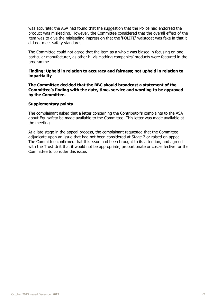was accurate: the ASA had found that the suggestion that the Police had endorsed the product was misleading. However, the Committee considered that the overall effect of the item was to give the misleading impression that the 'POLITE' waistcoat was fake in that it did not meet safety standards.

The Committee could not agree that the item as a whole was biased in focusing on one particular manufacturer, as other hi-vis clothing companies' products were featured in the programme.

#### **Finding: Upheld in relation to accuracy and fairness; not upheld in relation to impartiality**

**The Committee decided that the BBC should broadcast a statement of the Committee's finding with the date, time, service and wording to be approved by the Committee.**

#### **Supplementary points**

The complainant asked that a letter concerning the Contributor's complaints to the ASA about Equisafety be made available to the Committee. This letter was made available at the meeting.

At a late stage in the appeal process, the complainant requested that the Committee adjudicate upon an issue that had not been considered at Stage 2 or raised on appeal. The Committee confirmed that this issue had been brought to its attention, and agreed with the Trust Unit that it would not be appropriate, proportionate or cost-effective for the Committee to consider this issue.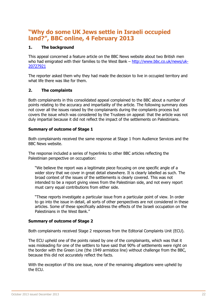### <span id="page-23-0"></span>**"Why do some UK Jews settle in Israeli occupied land?", BBC online, 4 February 2013**

#### **1. The background**

This appeal concerned a feature article on the BBC News website about two British men who had emigrated with their families to the West Bank – [http://www.bbc.co.uk/news/uk-](http://www.bbc.co.uk/news/uk-20727921)[20727921](http://www.bbc.co.uk/news/uk-20727921)

The reporter asked them why they had made the decision to live in occupied territory and what life there was like for them.

#### **2. The complaints**

Both complainants in this consolidated appeal complained to the BBC about a number of points relating to the accuracy and impartiality of the article. The following summary does not cover all the issues raised by the complainants during the complaints process but covers the issue which was considered by the Trustees on appeal: that the article was not duly impartial because it did not reflect the impact of the settlements on Palestinians.

#### **Summary of outcome of Stage 1**

Both complainants received the same response at Stage 1 from Audience Services and the BBC News website.

The response included a series of hyperlinks to other BBC articles reflecting the Palestinian perspective on occupation:

"We believe the report was a legitimate piece focusing on one specific angle of a wider story that we cover in great detail elsewhere. It is clearly labelled as such. The broad context of the issues of the settlements is clearly covered. This was not intended to be a report giving views from the Palestinian side, and not every report must carry equal contributions from either side.

"These reports investigate a particular issue from a particular point of view. In order to go into the issue in detail, all sorts of other perspectives are not considered in these articles. Some of these specifically address the effects of the Israeli occupation on the Palestinians in the West Bank."

#### **Summary of outcome of Stage 2**

Both complainants received Stage 2 responses from the Editorial Complaints Unit (ECU).

The ECU upheld one of the points raised by one of the complainants, which was that it was misleading for one of the settlers to have said that 90% of settlements were right on the border with the Green Line (the 1949 armistice line) without challenge from the BBC, because this did not accurately reflect the facts.

With the exception of this one issue, none of the remaining allegations were upheld by the ECU.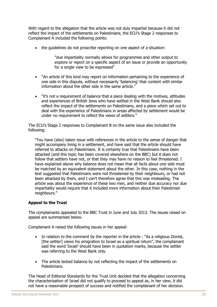With regard to the allegation that the article was not duly impartial because it did not reflect the impact of the settlements on Palestinians, the ECU's Stage 2 responses to Complainant A included the following points:

the guidelines do not proscribe reporting on one aspect of a situation:

"due impartiality normally allows for programmes and other output to explore or report on a specific aspect of an issue or provide an opportunity for a single view to be expressed"

- "An article of this kind may report on information pertaining to the experience of one side in this dispute, without necessarily 'balancing' that content with similar information about the other side in the same article."
- "it's not a requirement of balance that a piece dealing with the motives, attitudes and experiences of British Jews who have settled in the West Bank should also reflect the impact of the settlements on Palestinians, and a piece which set out to deal with the experience of Palestinians in areas affected by settlement would be under no requirement to reflect the views of settlers."

The ECU's Stage 2 responses to Complainant B on the same issue also included the following:

"You have (also) taken issue with references in the article to the sense of danger that might accompany living in a settlement, and have said that the article should have referred to attacks on Palestinians. It is certainly true that Palestinians have been attacked (and this topic has been covered elsewhere on the BBC) but it does not follow that settlers have not, or that they may have no reason to feel threatened. I have explained above why balance does not mean that all facts about one side must be matched by an equivalent statement about the other. In this case, nothing in the text suggested that Palestinians were not threatened by their neighbours, or had not been attacked by them, and I can't therefore agree that this was misleading. The article was about the experience of these two men, and neither due accuracy nor due impartiality would require that it included more information about their Palestinian neighbours."

#### **Appeal to the Trust**

The complainants appealed to the BBC Trust in June and July 2013. The issues raised on appeal are summarised below.

Complainant A raised the following issues in her appeal:

- In relation to the comment by the reporter in the article : "As a religious Zionist, [the settler] views his emigration to Israel as a spiritual return", the complainant said the word 'Israel' should have been in quotation marks, because the settler was referring to the West Bank only.
- The article lacked balance by not reflecting the impact of the settlements on Palestinians.

The Head of Editorial Standards for the Trust Unit decided that the allegation concerning the characterisation of Israel did not qualify to proceed to appeal as, in her view, it did not have a reasonable prospect of success and notified the complainant of her decision.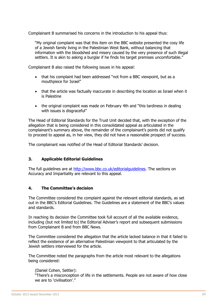Complainant B summarised his concerns in the introduction to his appeal thus:

"My original complaint was that this item on the BBC website presented the cosy life of a Jewish family living in the Palestinian West Bank, without balancing that information with the bloodshed and misery caused by the very presence of such illegal settlers. It is akin to asking a burglar if he finds his target premises uncomfortable."

Complainant B also raised the following issues in his appeal:

- that his complaint had been addressed "not from a BBC viewpoint, but as a mouthpiece for Israel"
- that the article was factually inaccurate in describing the location as Israel when it is Palestine
- the original complaint was made on February 4th and "this tardiness in dealing with issues is disgraceful"

The Head of Editorial Standards for the Trust Unit decided that, with the exception of the allegation that is being considered in this consolidated appeal as articulated in the complainant's summary above, the remainder of the complainant's points did not qualify to proceed to appeal as, in her view, they did not have a reasonable prospect of success.

The complainant was notified of the Head of Editorial Standards' decision.

#### **3. Applicable Editorial Guidelines**

The full guidelines are at [http://www.bbc.co.uk/editorialguidelines.](http://www.bbc.co.uk/editorialguidelines) The sections on Accuracy and Impartiality are relevant to this appeal.

#### **4. The Committee's decision**

The Committee considered the complaint against the relevant editorial standards, as set out in the BBC's Editorial Guidelines. The Guidelines are a statement of the BBC's values and standards.

In reaching its decision the Committee took full account of all the available evidence, including (but not limited to) the Editorial Adviser's report and subsequent submissions from Complainant B and from BBC News.

The Committee considered the allegation that the article lacked balance in that it failed to reflect the existence of an alternative Palestinian viewpoint to that articulated by the Jewish settlers interviewed for the article.

The Committee noted the paragraphs from the article most relevant to the allegations being considered:

#### (Daniel Cohen, Settler):

"There's a misconception of life in the settlements. People are not aware of how close we are to 'civilisation'."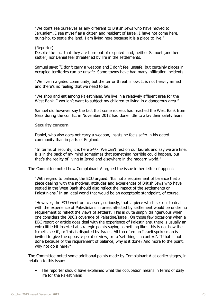"We don't see ourselves as any different to British Jews who have moved to Jerusalem. I see myself as a citizen and resident of Israel. I have not come here, gung-ho, to settle the land. I am living here because it is a place to live."

#### (Reporter)

Despite the fact that they are born out of disputed land, neither Samuel [another settler] nor Daniel feel threatened by life in the settlements.

Samuel says: "I don't carry a weapon and I don't feel unsafe, but certainly places in occupied territories can be unsafe. Some towns have had many infiltration incidents.

"We live in a gated community, but the terror threat is low. It is not heavily armed and there's no feeling that we need to be.

"We shop and eat among Palestinians. We live in a relatively affluent area for the West Bank. I wouldn't want to subject my children to living in a dangerous area."

Samuel did however say the fact that some rockets had reached the West Bank from Gaza during the conflict in November 2012 had done little to allay their safety fears.

#### **Security concern**

Daniel, who also does not carry a weapon, insists he feels safer in his gated community than in parts of England.

"In terms of security, it is here 24/7. We can't rest on our laurels and say we are fine, it is in the back of my mind sometimes that something horrible could happen, but that's the reality of living in Israel and elsewhere in the modern world."

The Committee noted how Complainant A argued the issue in her letter of appeal:

"With regard to balance, the ECU argued: 'It's not a requirement of balance that a piece dealing with the motives, attitudes and experiences of British Jews who have settled in the West Bank should also reflect the impact of the settlements on Palestinians.' In an ideal world that would be an acceptable standpoint, of course.

"However, the ECU went on to assert, curiously, that 'a piece which set out to deal with the experience of Palestinians in areas affected by settlement would be under no requirement to reflect the views of settlers'. This is quite simply disingenuous when one considers the BBC's coverage of Palestine/Israel. On those few occasions when a BBC report or article does deal with the experience of Palestinians, there is usually an extra little bit inserted at strategic points saying something like: 'this is not how the Israelis see it', or 'this is disputed by Israel'. All too often an Israeli spokesman is invited to give the opposite point of view, or to 'set things in context'. If that is not done because of the requirement of balance, why is it done? And more to the point, why not do it here?"

The Committee noted some additional points made by Complainant A at earlier stages, in relation to this issue:

• The reporter should have explained what the occupation means in terms of daily life for the Palestinians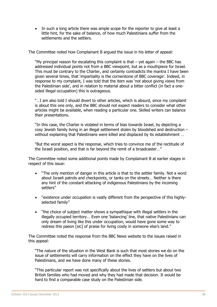In such a long article there was ample scope for the reporter to give at least a little hint, for the sake of balance, of how much Palestinians suffer from the settlements and the settlers.

The Committee noted how Complainant B argued the issue in his letter of appeal:

"My principal reason for escalating this complaint is that  $-$  yet again  $-$  the BBC has addressed individual points not from a BBC viewpoint, but as a mouthpiece for Israel. This must be contrary to the Charter, and certainly contradicts the mantra I have been given several times, that 'impartiality is the cornerstone of BBC coverage'. Indeed, in response to my complaint, I was told that the item was 'not about giving views from the Palestinian side', and in relation to material about a bitter conflict (in fact a onesided illegal occupation) this is outrageous.

"...I am also told I should divert to other articles, which is absurd, since my complaint is about this one only, and the BBC should not expect readers to consider what other articles might be available, when reading a particular one. Skilled writers can balance their presentations.

"In this case, the Charter is violated in terms of bias towards Israel, by depicting a cosy Jewish family living in an illegal settlement stolen by bloodshed and destruction – without explaining that Palestinians were killed and displaced by its establishment …

"But the worst aspect is the response, which tries to convince me of the rectitude of the Israeli position, and that is far beyond the remit of a broadcaster…"

The Committee noted some additional points made by Complainant B at earlier stages in respect of this issue:

- "The only mention of danger in this article is that to the settler family. Not a word about Israeli patrols and checkpoints, or tanks on the streets… Neither is there any hint of the constant attacking of indigenous Palestinians by the incoming settlers"
- "existence under occupation is vastly different from the perspective of this highlyselected family"
- "the choice of subject matter shows a sympathique with illegal settlers in the illegally occupied territory… Even one 'balancing' line, that native Palestinians can only dream of living like this under occupation, would have gone some way to redress this paeon [sic] of praise for living cosily in someone else's land."

The Committee noted the response from the BBC News website to the issues raised in this appeal:

"The nature of the situation in the West Bank is such that most stories we do on the issue of settlements will carry information on the effect they have on the lives of Palestinians, and we have done many of these stories.

"This particular report was not specifically about the lives of settlers but about two British families who had moved and why they had made that decision. It would be hard to find a comparable case study on the Palestinian side.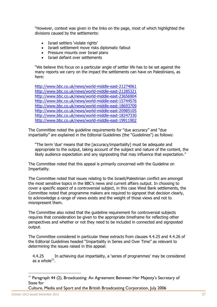"However, context was given in the links on the page, most of which highlighted the divisions caused by the settlements:

- Israel settlers 'violate rights'
- Israeli settlement move risks diplomatic fallout
- Pressure mounts over Israel plans
- Israel defiant over settlements

"We believe this focus on a particular angle of settler life has to be set against the many reports we carry on the impact the settlements can have on Palestinians, as here:

<http://www.bbc.co.uk/news/world-middle-east-21274061> <http://www.bbc.co.uk/news/world-middle-east-21285321> <http://www.bbc.co.uk/news/world-middle-east-23656904> <http://www.bbc.co.uk/news/world-middle-east-15744576> <http://www.bbc.co.uk/news/world-middle-east-18693709> <http://www.bbc.co.uk/news/world-middle-east-20985105> <http://www.bbc.co.uk/news/world-middle-east-18247330> <http://www.bbc.co.uk/news/world-middle-east-19911902>

The Committee noted the guideline requirements for "due accuracy" and "due impartiality" are explained in the Editorial Guidelines (the "Guidelines") as follows:

"The term 'due' means that the [accuracy/impartiality] must be adequate and appropriate to the output, taking account of the subject and nature of the content, the likely audience expectation and any signposting that may influence that expectation."

The Committee noted that this appeal is primarily concerned with the Guideline on Impartiality.

The Committee noted that issues relating to the Israeli/Palestinian conflict are amongst the most sensitive topics in the BBC's news and current affairs output. In choosing to cover a specific aspect of a controversial subject, in this case West Bank settlements, the Committee noted that programme makers are required to signpost that decision clearly, to acknowledge a range of views exists and the weight of those views and not to misrepresent them.

The Committee also noted that the guideline requirement for controversial subjects requires that consideration be given to the appropriate timeframe for reflecting other perspectives and whether or not they need to be included in connected and signposted output.

The Committee considered in particular these extracts from clauses 4.4.25 and 4.4.26 of the Editorial Guidelines headed "Impartiality in Series and Over Time" as relevant to determining the issues raised in this appeal:

4.4.25 In achieving due impartiality, a 'series of programmes' may be considered as a whole $^{11}$ .

-

<sup>&</sup>lt;sup>11</sup> Paragraph 44 (2), Broadcasting: An Agreement Between Her Majesty's Secretary of State for

Culture, Media and Sport and the British Broadcasting Corporation, July 2006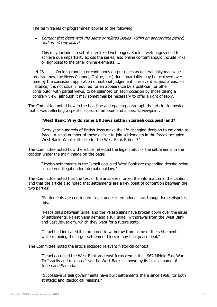The term 'series of programmes' applies to the following:

 Content that deals with the same or related issues, within an appropriate period, and are clearly linked.

This may include …a set of interlinked web pages. Such … web pages need to achieve due impartiality across the series, and online content should include links or signposts to the other online elements. ...

4.4.26 On long-running or continuous output (such as general daily magazine programmes, the News Channel, Online, etc.) due impartiality may be achieved over time by the consistent application of editorial judgement in relevant subject areas. For instance, it is not usually required for an appearance by a politician, or other contributor with partial views, to be balanced on each occasion by those taking a contrary view, although it may sometimes be necessary to offer a right of reply.

The Committee noted how in the headline and opening paragraph the article signposted that it was reflecting a specific aspect of an issue and a specific viewpoint:

#### "**West Bank: Why do some UK Jews settle in Israeli occupied land?**

Every year hundreds of British Jews make the life-changing decision to emigrate to Israel. A small number of these decide to join settlements in the Israeli-occupied West Bank. What is life like for the West Bank Britons?"

The Committee noted how the article reflected the legal status of the settlements in the caption under the main image on the page:

"Jewish settlements in the Israeli-occupied West Bank are expanding despite being considered illegal under international law."

The Committee noted that the text of the article reinforced the information in the caption, and that the article also noted that settlements are a key point of contention between the two parties:

"Settlements are considered illegal under international law, though Israel disputes this.

"Peace talks between Israel and the Palestinians have broken down over the issue of settlements. Palestinians demand a full Israeli withdrawal from the West Bank and East Jerusalem, which they want for a future state.

"Israel had indicated it is prepared to withdraw from some of the settlements while retaining the larger settlement blocs in any final peace deal."

The Committee noted the article included relevant historical context:

"Israel occupied the West Bank and east Jerusalem in the 1967 Middle East War. To Israelis and religious Jews the West Bank is known by its biblical name of Judea and Samaria.

"Successive Israeli governments have built settlements there since 1968, for both strategic and ideological reasons."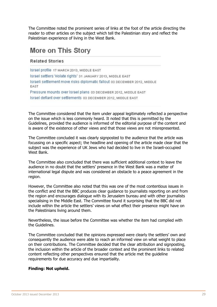The Committee noted the prominent series of links at the foot of the article directing the reader to other articles on the subject which tell the Palestinian story and reflect the Palestinian experience of living in the West Bank.

# More on This Story

#### **Related Stories**

Israel profile 17 MARCH 2013, MIDDLE EAST Israel settlers Violate rights' 31 JANUARY 2013, MIDDLE EAST Israeli settlement move risks diplomatic fallout os DECEMBER 2012, MIDDLE EAST Pressure mounts over Israel plans os DECEMBER 2012, MIDDLE EAST Israel defiant over settlements os DECEMBER 2012, MIDDLE EAST

The Committee considered that the item under appeal legitimately reflected a perspective on the issue which is less commonly heard. It noted that this is permitted by the Guidelines, provided the audience is informed of the editorial purpose of the content and is aware of the existence of other views and that those views are not misrepresented.

The Committee concluded it was clearly signposted to the audience that the article was focussing on a specific aspect; the headline and opening of the article made clear that the subject was the experience of UK Jews who had decided to live in the Israeli-occupied West Bank.

The Committee also concluded that there was sufficient additional context to leave the audience in no doubt that the settlers' presence in the West Bank was a matter of international legal dispute and was considered an obstacle to a peace agreement in the region.

However, the Committee also noted that this was one of the most contentious issues in the conflict and that the BBC produces clear guidance to journalists reporting on and from the region and encourages dialogue with its Jerusalem bureau and with other journalists specialising in the Middle East. The Committee found it surprising that the BBC did not include within the article the settlers' views on what effect their presence might have on the Palestinians living around them.

Nevertheless, the issue before the Committee was whether the item had complied with the Guidelines.

The Committee concluded that the opinions expressed were clearly the settlers' own and consequently the audience were able to reach an informed view on what weight to place on their contributions. The Committee decided that the clear attribution and signposting, the inclusion within the article of the broader context and the prominent links to related content reflecting other perspectives ensured that the article met the guideline requirements for due accuracy and due impartiality.

#### **Finding: Not upheld.**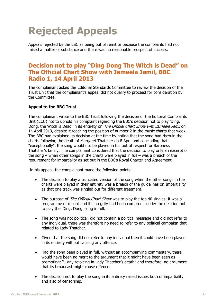# <span id="page-31-0"></span>**Rejected Appeals**

Appeals rejected by the ESC as being out of remit or because the complaints had not raised a matter of substance and there was no reasonable prospect of success.

### <span id="page-31-1"></span>**Decision not to play "Ding Dong The Witch is Dead" on The Official Chart Show with Jameela Jamil, BBC Radio 1, 14 April 2013**

The complainant asked the Editorial Standards Committee to review the decision of the Trust Unit that the complainant's appeal did not qualify to proceed for consideration by the Committee.

#### **Appeal to the BBC Trust**

The complainant wrote to the BBC Trust following the decision of the Editorial Complaints Unit (ECU) not to uphold his complaint regarding the BBC's decision not to play 'Ding, Dong, the Witch is Dead' in its entirety on The Official Chart Show with Jameela Jamil on 14 April 2013, despite it reaching the position of number 2 in the music charts that week. The BBC had explained its decision at the time by noting that the song had risen in the charts following the death of Margaret Thatcher on 8 April and concluding that, "exceptionally", the song would not be played in full out of respect for Baroness Thatcher's family. The complainant considered that the decision to play only an excerpt of the song – when other songs in the charts were played in full – was a breach of the requirement for impartiality as set out in the BBC's Royal Charter and Agreement.

In his appeal, the complainant made the following points:

- The decision to play a truncated version of the song when the other songs in the charts were played in their entirety was a breach of the guidelines on Impartiality as that one track was singled out for different treatment.
- The purpose of *The Official Chart Show* was to play the top 40 singles; it was a programme of record and its integrity had been compromised by the decision not to play the 'Ding, Dong' song in full.
- The song was not political, did not contain a political message and did not refer to any individual, there was therefore no need to refer to any political campaign that related to Lady Thatcher.
- Given that the song did not refer to any individual then it could have been played in its entirety without causing any offence.
- Had the song been played in full, without an accompanying commentary, there would have been no merit to the argument that it might have been seen as promoting: "…any rejoicing in Lady Thatcher's death" and therefore, no argument that its broadcast might cause offence.
- The decision not to play the song in its entirety raised issues both of impartiality and also of censorship.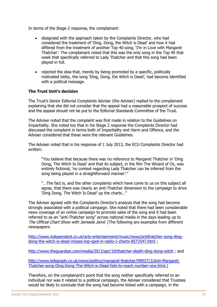In terms of the Stage 2 response, the complainant:

- disagreed with the approach taken by the Complaints Director, who had considered the treatment of 'Ding, Dong, the Witch is Dead' and how it had differed from the treatment of another Top 40 song, 'I'm in Love with Margaret Thatcher'. The complainant noted that this was the only song in the Top 40 that week that specifically referred to Lady Thatcher and that this song had been played in full.
- rejected the idea that, merely by being promoted by a specific, politically motivated lobby, the song 'Ding, Dong, the Witch is Dead', had become identified with a political message.

#### **The Trust Unit's decision**

The Trust's Senior Editorial Complaints Adviser (the Adviser) replied to the complainant explaining that she did not consider that the appeal had a reasonable prospect of success and the appeal should not be put to the Editorial Standards Committee of the Trust.

The Adviser noted that the complaint was first made in relation to the Guidelines on Impartiality. She noted too that in his Stage 2 response the Complaints Director had discussed the complaint in terms both of Impartiality and Harm and Offence, and the Adviser considered that these were the relevant Guidelines.

The Adviser noted that in his response of 1 July 2013, the ECU Complaints Director had written:

"You believe that because there was no reference to Margaret Thatcher in 'Ding Dong, The Witch Is Dead' and that its subject, in the film The Wizard of Oz, was entirely fictional, 'no context regarding Lady Thatcher can be inferred from the song being played in a straightforward manner'."

"…The fact is, and the other complaints which have come to us on this subject all agree, that there was clearly an anti-Thatcher dimension to the campaign to drive 'Ding Dong, The Witch Is Dead' up the charts…"

The Adviser agreed with the Complaints Director's analysis that the song had become strongly associated with a political campaign. She noted that there had been considerable news coverage of an online campaign to promote sales of the song and it had been referred to as an "anti-Thatcher song" across national media in the days leading up to The Official Chart Show with Jameela Jamil. (The following are examples from different newspapers:

[http://www.independent.co.uk/arts-entertainment/music/news/antithatcher-song-ding](http://www.independent.co.uk/arts-entertainment/music/news/antithatcher-song-ding-dong-the-witch-is-dead-misses-top-spot-in-radio-1-charts-8572547.html)[dong-the-witch-is-dead-misses-top-spot-in-radio-1-charts-8572547.html](http://www.independent.co.uk/arts-entertainment/music/news/antithatcher-song-ding-dong-the-witch-is-dead-misses-top-spot-in-radio-1-charts-8572547.html) ;

<http://www.theguardian.com/media/2013/apr/10/thatcher-death-ding-dong-witch> ; and

[http://www.telegraph.co.uk/news/politics/margaret-thatcher/9993713/Anti-Margaret-](http://www.telegraph.co.uk/news/politics/margaret-thatcher/9993713/Anti-Margaret-Thatcher-song-Ding-Dong-The-Witch-is-Dead-fails-to-reach-number-one.html)[Thatcher-song-Ding-Dong-The-Witch-is-Dead-fails-to-reach-number-one.html.](http://www.telegraph.co.uk/news/politics/margaret-thatcher/9993713/Anti-Margaret-Thatcher-song-Ding-Dong-The-Witch-is-Dead-fails-to-reach-number-one.html))

Therefore, on the complainant's point that the song neither specifically referred to an individual nor was it related to a political campaign, the Adviser considered that Trustees would be likely to conclude that the song had become linked with a campaign, in the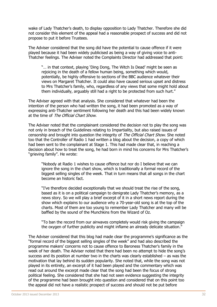wake of Lady Thatcher's death, to display opposition to Lady Thatcher. Therefore she did not consider this element of the appeal had a reasonable prospect of success and did not propose to put it before Trustees.

The Adviser considered that the song did have the potential to cause offence if it were played because it had been widely publicised as being a way of giving voice to anti-Thatcher feelings. The Adviser noted the Complaints Director had addressed that point:

"… in that context, playing 'Ding Dong, The Witch Is Dead' might be seen as rejoicing in the death of a fellow human being, something which would, potentially, be highly offensive to sections of the BBC audience whatever their views on Margaret Thatcher. It could also have caused serious upset and distress to Mrs Thatcher's family, who, regardless of any views that some might hold about them individually, arguably still had a right to be protected from such hurt."

The Adviser agreed with that analysis. She considered that whatever had been the intention of the person who had written the song, it had been promoted as a way of expressing anti-Thatcher sentiment following her death and this had been widely known at the time of The Official Chart Show.

The Adviser noted that the complainant considered the decision not to play the song was not only in breach of the Guidelines relating to Impartiality, but also raised issues of censorship and brought into question the integrity of The Official Chart Show. She noted too that the Controller of Radio 1 had written a blog about the decision, a copy of which had been sent to the complainant at Stage 1. This had made clear that, in reaching a decision about how to treat the song, he had born in mind his concerns for Mrs Thatcher's "grieving family". He wrote:

"Nobody at Radio 1 wishes to cause offence but nor do I believe that we can ignore the song in the chart show, which is traditionally a formal record of the biggest selling singles of the week. That in turn means that all songs in the chart become an historic fact.

"I've therefore decided exceptionally that we should treat the rise of the song, based as it is on a political campaign to denigrate Lady Thatcher's memory, as a news story. So we will play a brief excerpt of it in a short news report during the show which explains to our audience why a 70-year-old song is at the top of the charts. Most of them are too young to remember Lady Thatcher and many will be baffled by the sound of the Munchkins from the Wizard of Oz.

"To ban the record from our airwaves completely would risk giving the campaign the oxygen of further publicity and might inflame an already delicate situation."

The Adviser considered that this blog had made clear the programme's significance as the "formal record of the biggest selling singles of the week" and had also described the programme makers' concerns not to cause offence to Baroness Thatcher's family in the week of her death. The Adviser noted that there had been no attempt to hide the song's success and its position at number two in the charts was clearly established  $-$  as was the motivation that lay behind its sudden popularity. She noted that, while the song was not played in its entirety, an excerpt of it had been played and the commentary which was read out around the excerpt made clear that the song had been the focus of strong political feeling. She considered that she had not seen evidence suggesting the integrity of the programme had been brought into question and considered that on this point too the appeal did not have a realistic prospect of success and should not be put before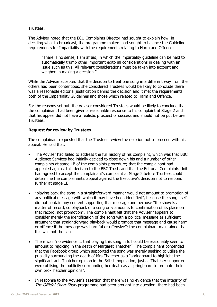Trustees.

The Adviser noted that the ECU Complaints Director had sought to explain how, in deciding what to broadcast, the programme makers had sought to balance the Guideline requirements for Impartiality with the requirements relating to Harm and Offence:

"There is no sense, I am afraid, in which the impartiality guideline can be held to automatically trump other important editorial considerations in dealing with an issue such as this. All relevant considerations must be taken into account and weighed in making a decision."

While the Adviser accepted that the decision to treat one song in a different way from the others had been contentious, she considered Trustees would be likely to conclude there was a reasonable editorial justification behind the decision and it met the requirements both of the Impartiality Guidelines and those which related to Harm and Offence.

For the reasons set out, the Adviser considered Trustees would be likely to conclude that the complainant had been given a reasonable response to his complaint at Stage 2 and that his appeal did not have a realistic prospect of success and should not be put before Trustees.

#### **Request for review by Trustees**

The complainant requested that the Trustees review the decision not to proceed with his appeal. He said that:

- The Adviser had failed to address the full history of his complaint, which was that BBC Audience Services had initially decided to close down his and a number of other complaints at stage 1B of the complaints procedure; that the complainant had appealed against this decision to the BBC Trust; and that the Editorial Complaints Unit had agreed to accept the complainant's complaint at Stage 2 before Trustees could determine the complainant's appeal against the Executive's decision not to respond further at stage 1B.
- "playing back the song in a straightforward manner would not amount to promotion of any political message with which it may have been identified", because the song itself did not contain any content supporting that message and because "the show is a matter of record, so playback of a song only amounts to confirmation of its place on that record, not promotion". The complainant felt that the Adviser "appears to consider merely the identification of the song with a political message as sufficient argument that straightforward playback would promote that message and cause harm or offence if the message was harmful or offensive"; the complainant maintained that this was not the case.
- There was "no evidence … that playing this song in full could be reasonably seen to amount to rejoicing in the death of Margaret Thatcher". The complainant contended that the Facebook group which supported the song was merely seeking to utilise the publicity surrounding the death of Mrs Thatcher as a "springboard to highlight the significant anti-Thatcher opinion in the British population, just as Thatcher supporters were utilising the publicity surrounding her death as a springboard to promote their own pro-Thatcher opinions".
- In response to the Adviser's assertion that there was no evidence that the integrity of The Official Chart Show programme had been brought into question, there had been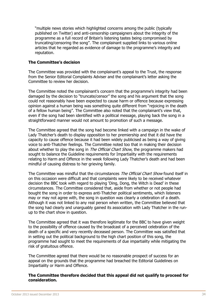"multiple news stories which highlighted concerns among the public (typically published on Twitter) and anti-censorship campaigners about the integrity of the programme as a full record of Britain's listening tastes being compromised by truncating/censoring the song". The complainant supplied links to various online articles that he regarded as evidence of damage to the programme's integrity and reputation.

#### **The Committee's decision**

The Committee was provided with the complainant's appeal to the Trust, the response from the Senior Editorial Complaints Adviser and the complainant's letter asking the Committee to review her decision.

The Committee noted the complainant's concern that the programme's integrity had been damaged by the decision to "truncate/censor" the song and his argument that the song could not reasonably have been expected to cause harm or offence because expressing opinion against a human being was something quite different from "rejoicing in the death of a fellow human being". The Committee also noted that the complainant's view that, even if the song had been identified with a political message, playing back the song in a straightforward manner would not amount to promotion of such a message.

The Committee agreed that the song had become linked with a campaign in the wake of Lady Thatcher's death to display opposition to her premiership and that it did have the capacity to cause offence because it had been widely publicised as being a way of giving voice to anti-Thatcher feelings. The Committee noted too that in making their decision about whether to play the song in The Official Chart Show, the programme makers had sought to balance the Guideline requirements for Impartiality with the requirements relating to Harm and Offence in the week following Lady Thatcher's death and had been mindful of causing distress to her grieving family.

The Committee was mindful that the circumstances The Official Chart Show found itself in on this occasion were difficult and that complaints were likely to be received whatever decision the BBC took with regard to playing 'Ding, Dong, the Witch is Dead' in these circumstances. The Committee considered that, aside from whether or not people had bought the song in order to express anti-Thatcher political sentiments, which listeners may or may not agree with, the song in question was clearly a celebration of a death. Although it was not linked to any real person when written, the Committee believed that the song had clearly and unarguably gained its association with Lady Thatcher in the runup to the chart show in question.

The Committee agreed that it was therefore legitimate for the BBC to have given weight to the possibility of offence caused by the broadcast of a perceived celebration of the death of a specific and very recently deceased person. The Committee was satisfied that in setting out the political background to the high chart position of this song, the programme had sought to meet the requirements of due impartiality while mitigating the risk of gratuitous offence.

The Committee agreed that there would be no reasonable prospect of success for an appeal on the grounds that the programme had breached the Editorial Guidelines on Impartiality or Harm and Offence.

#### **The Committee therefore decided that this appeal did not qualify to proceed for consideration.**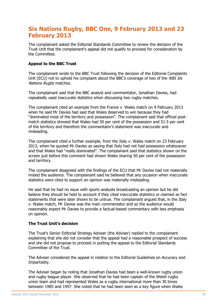# **Six Nations Rugby, BBC One, 9 February 2013 and 23 February 2013**

The complainant asked the Editorial Standards Committee to review the decision of the Trust Unit that the complainant's appeal did not qualify to proceed for consideration by the Committee.

# **Appeal to the BBC Trust**

The complainant wrote to the BBC Trust following the decision of the Editorial Complaints Unit (ECU) not to uphold his complaint about the BBC's coverage of two of the RBS Six Nations Rugby matches.

The complainant said that the BBC analyst and commentator, Jonathan Davies, had repeatedly used inaccurate statistics when discussing two rugby matches.

The complainant cited an example from the France v. Wales match on 9 February 2013 when he said Mr Davies had said that Wales deserved to win because they had "dominated most of the territory and possession". The complainant said that official postmatch statistics showed that Wales had 50 per cent of the possession and 51.5 per cent of the territory and therefore the commentator's statement was inaccurate and misleading.

The complainant cited a further example, from the Italy v. Wales match on 23 February 2013, when he quoted Mr Davies as saying that Italy had not had possession whatsoever and that Wales had "really dominated". The complainant said that statistics shown on the screen just before this comment had shown Wales sharing 50 per cent of the possession and territory.

The complainant disagreed with the findings of the ECU that Mr Davies had not materially misled the audience. The complainant said he believed that any occasion when inaccurate statistics were cited to support an opinion was materially misleading.

He said that he had no issue with sports analysts broadcasting an opinion but he did believe they should be held to account if they cited inaccurate statistics or claimed as fact statements that were later shown to be untrue. The complainant argued that, in the Italy v. Wales match, Mr Davies was the main commentator and so the audience would reasonably expect Mr Davies to provide a factual-based commentary with less emphasis on opinion.

# **The Trust Unit's decision**

The Trust's Senior Editorial Strategy Adviser (the Adviser) replied to the complainant explaining that she did not consider that the appeal had a reasonable prospect of success and she did not propose to proceed in putting the appeal to the Editorial Standards Committee of the Trust.

The Adviser considered the appeal in relation to the Editorial Guidelines on Accuracy and Impartiality.

The Adviser began by noting that Jonathan Davies had been a well-known rugby union and rugby league player. She observed that he had been captain of the Welsh rugby union team and had represented Wales as a rugby international more than 30 times between 1985 and 1997. She noted that he had been seen as a key figure when Wales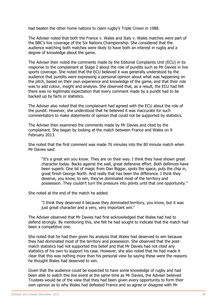had beaten the other home nations to claim rugby's Triple Crown in 1988.

The Adviser noted that both the France v. Wales and Italy v. Wales matches were part of the BBC's live coverage of the Six Nations Championship. She considered that the audience watching both matches were likely to have both an interest in rugby and a degree of knowledge about the game.

The Adviser then noted the comments made by the Editorial Complaints Unit (ECU) in its response to the complainant at Stage 2 about the role of pundits such as Mr Davies in live sports coverage. She noted that the ECU believed it was generally understood by the audience that pundits were expressing a personal opinion about what was happening on the pitch, based on their own experience and knowledge of the game, and that their role was to add colour, insight and analysis. She observed that, as a result, the ECU had felt there was no legitimate expectation that every comment made by a pundit had to be backed up by facts or statistics.

The Adviser also noted that the complainant had agreed with the ECU about the role of the pundit. However, she understood that he believed it was inaccurate for such commentators to make statements of opinion that could not be supported by statistics.

The Adviser then examined the comments made by Mr Davies and cited by the complainant. She began by looking at the match between France and Wales on 9 February 2013.

She noted that the first comment was made 76 minutes into the 80 minute match when Mr Davies said:

"It's a great win you know. They are on their way. I think they have shown great character today. Backs against the wall, great defensive effort. Both defences have been superb. One bit of magic from Dan Biggar, spots the space, puts the chip in, great finish George North. And really that has been the difference. I think they deserve, you know, to win, they've dominated most of the territory and possession. They couldn't turn the pressure into points until that one opportunity."

She noted at the end of the match he added:

"I think they deserved it because they dominated territory, you know, but it was just great character and a very, very important win."

The Adviser observed that Mr Davies had first acknowledged that Wales had had to defend strongly. By mentioning this, she felt he had sought to indicate that the match had been a competitive one.

She noted that he had then given his analysis that Wales had deserved to win because they had dominated most of the territory and possession. She observed that the postmatch statistics had not supported this belief and that Mr Davies had not cited any statistics of his own to support his case. However, she also noted that he had made it clear that this was nothing more than his personal view by saying these were the reasons he thought Wales had deserved to win.

Given that the audience could be expected to have some knowledge of rugby and had been able to watch this live event at the same time as Mr Davies, the Adviser believed Trustees would be of the view that they had been given every opportunity to form their own opinion as to why Wales had defeated France and so agree or disagree with Mr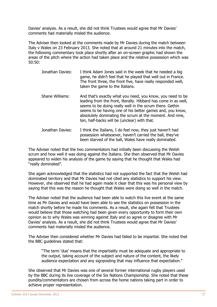Davies' analysis. As a result, she did not think Trustees would agree that Mr Davies' comments had materially misled the audience.

The Adviser then looked at the comments made by Mr Davies during the match between Italy v Wales on 23 February 2013. She noted that at around 21 minutes into the match, the following commentary took place shortly after an on-screen graphic had shown the areas of the pitch where the action had taken place and the relative possession which was 50:50:

| Jonathan Davies: | I think Adam Jones said in the week that he needed a big<br>game, he didn't feel that he played that well out in France.<br>The front three, the front five, have really responded well,<br>taken the game to the Italians.                                                                                                                                        |
|------------------|--------------------------------------------------------------------------------------------------------------------------------------------------------------------------------------------------------------------------------------------------------------------------------------------------------------------------------------------------------------------|
| Shane Williams:  | And that's exactly what you need, you know, you need to be<br>leading from the front, literally. Hibbard has come in as well,<br>seems to be doing really well in the scrum there. Gethin<br>seems to be having one of his better games and, you know,<br>absolutely dominating the scrum at the moment. And nine,<br>ten, half-backs will be (unclear) with that. |

Jonathan Davies: I think the Italians, I do feel now, they just haven't had possession whatsoever, haven't carried the ball, they've been starved of the ball, Wales have really dominated.

The Adviser noted that the two commentators had initially been discussing the Welsh scrum and how well it was doing against the Italians. She then observed that Mr Davies appeared to widen his analysis of the game by saying that he thought that Wales had "really dominated".

She again acknowledged that the statistics had not supported the fact that the Welsh had dominated territory and that Mr Davies had not cited any statistics to support his view. However, she observed that he had again made it clear that this was his personal view by saying that this was the reason he thought that Wales were doing so well in the match.

The Adviser noted that the audience had been able to watch this live event at the same time as Mr Davies and would have been able to see the statistics on possession in the match shortly before he made his comments. As a result, she again felt that Trustees would believe that those watching had been given every opportunity to form their own opinion as to why Wales was winning against Italy and so agree or disagree with Mr Davies' analysis. As a result, she did not think Trustees would agree that Mr Davies' comments had materially misled the audience.

The Adviser then considered whether Mr Davies had failed to be impartial. She noted that the BBC guidelines stated that:

"The term 'due' means that the impartiality must be adequate and appropriate to the output, taking account of the subject and nature of the content, the likely audience expectation and any signposting that may influence that expectation."

She observed that Mr Davies was one of several former international rugby players used by the BBC during its live coverage of the Six Nations Championship. She noted that these pundits/commentators are chosen from across the home nations taking part in order to achieve proper representation.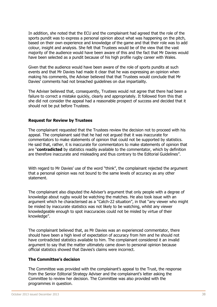In addition, she noted that the ECU and the complainant had agreed that the role of the sports pundit was to express a personal opinion about what was happening on the pitch, based on their own experience and knowledge of the game and that their role was to add colour, insight and analysis. She felt that Trustees would be of the view that the vast majority of the audience would have been aware of this and the fact that Mr Davies would have been selected as a pundit because of his high profile rugby career with Wales.

Given that the audience would have been aware of the role of sports pundits at such events and that Mr Davies had made it clear that he was expressing an opinion when making his comments, the Adviser believed that that Trustees would conclude that Mr Davies' comments had not breached guidelines on due impartiality.

The Adviser believed that, consequently, Trustees would not agree that there had been a failure to correct a mistake quickly, clearly and appropriately. It followed from this that she did not consider the appeal had a reasonable prospect of success and decided that it should not be put before Trustees.

### **Request for Review by Trustees**

The complainant requested that the Trustees review the decision not to proceed with his appeal. The complainant said that he had not argued that it was inaccurate for commentators to make statements of opinion that could not be supported by statistics. He said that, rather, it is inaccurate for commentators to make statements of opinion that are "**contradicted** by statistics readily available to the commentator, which by definition are therefore inaccurate and misleading and thus contrary to the Editorial Guidelines".

With regard to Mr Davies' use of the word "think", the complainant rejected the argument that a personal opinion was not bound to the same levels of accuracy as any other statement.

The complainant also disputed the Adviser's argument that only people with a degree of knowledge about rugby would be watching the matches. He also took issue with an argument which he characterised as a "Catch-22 situation", in that "any viewer who might be misled by inaccurate statistics was not likely to be watching, whilst any viewer knowledgeable enough to spot inaccuracies could not be misled by virtue of their knowledge".

The complainant believed that, as Mr Davies was an experienced commentator, there should have been a high level of expectation of accuracy from him and he should not have contradicted statistics available to him. The complainant considered it an invalid argument to say that the matter ultimately came down to personal opinion because official statistics showed that Davies's claims were incorrect.

### **The Committee's decision**

The Committee was provided with the complainant's appeal to the Trust, the response from the Senior Editorial Strategy Adviser and the complainant's letter asking the Committee to review her decision. The Committee was also provided with the programmes in question.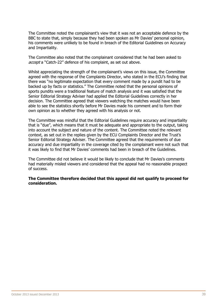The Committee noted the complainant's view that it was not an acceptable defence by the BBC to state that, simply because they had been spoken as Mr Davies' personal opinion, his comments were unlikely to be found in breach of the Editorial Guidelines on Accuracy and Impartiality.

The Committee also noted that the complainant considered that he had been asked to accept a "Catch-22" defence of his complaint, as set out above.

Whilst appreciating the strength of the complainant's views on this issue, the Committee agreed with the response of the Complaints Director, who stated in the ECU's finding that there was "no legitimate expectation that every comment made by a pundit had to be backed up by facts or statistics." The Committee noted that the personal opinions of sports pundits were a traditional feature of match analysis and it was satisfied that the Senior Editorial Strategy Adviser had applied the Editorial Guidelines correctly in her decision. The Committee agreed that viewers watching the matches would have been able to see the statistics shortly before Mr Davies made his comment and to form their own opinion as to whether they agreed with his analysis or not.

The Committee was mindful that the Editorial Guidelines require accuracy and impartiality that is "due", which means that it must be adequate and appropriate to the output, taking into account the subject and nature of the content. The Committee noted the relevant context, as set out in the replies given by the ECU Complaints Director and the Trust's Senior Editorial Strategy Adviser. The Committee agreed that the requirements of due accuracy and due impartiality in the coverage cited by the complainant were not such that it was likely to find that Mr Davies' comments had been in breach of the Guidelines.

The Committee did not believe it would be likely to conclude that Mr Davies's comments had materially misled viewers and considered that the appeal had no reasonable prospect of success.

**The Committee therefore decided that this appeal did not qualify to proceed for consideration.**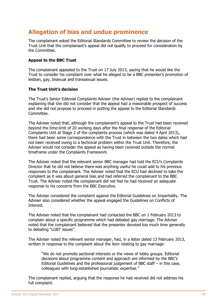# **Allegation of bias and undue prominence**

The complainant asked the Editorial Standards Committee to review the decision of the Trust Unit that the complainant's appeal did not qualify to proceed for consideration by the Committee.

# **Appeal to the BBC Trust**

The complainant appealed to the Trust on 17 July 2013, saying that he would like the Trust to consider his complaint over what he alleged to be a BBC presenter's promotion of lesbian, gay, bisexual and transsexual issues.

### **The Trust Unit's decision**

The Trust's Senior Editorial Complaints Adviser (the Adviser) replied to the complainant explaining that she did not consider that the appeal had a reasonable prospect of success and she did not propose to proceed in putting the appeal to the Editorial Standards Committee.

The Adviser noted that, although the complainant's appeal to the Trust had been received beyond the time-limit of 20 working days after the final response of the Editorial Complaints Unit at Stage 2 of the complaints process (which was dated 4 April 2013), there had been some correspondence with the Trust in between the two dates which had not been received owing to a technical problem within the Trust Unit. Therefore, the Adviser would not consider the appeal as having been received outside the normal timeframe under the Complaints Framework.

The Adviser noted that the relevant senior BBC manager had told the ECU's Complaints Director that he did not believe there was anything useful he could add to his previous responses to the complainant. The Adviser noted that the ECU had declined to take the complaint as it was about general bias and had referred the complainant to the BBC Trust. The Adviser noted the complainant did not feel he had received an adequate response to his concerns from the BBC Executive.

The Adviser considered the complaint against the Editorial Guidelines on Impartiality. The Adviser also considered whether the appeal engaged the Guidelines on Conflicts of Interest.

The Adviser noted that the complainant had contacted the BBC on 1 February 2013 to complain about a specific programme which had debated gay marriage. The Adviser noted that the complainant believed that the presenter devoted too much time generally to debating "LGBT issues".

The Adviser noted the relevant senior manager, had, in a letter dated 13 February 2013, written in response to the complaint about the item relating to gay marriage:

"We do not promote sectional interests or the views of lobby groups. Editorial decisions about programme content and approach are informed by the BBC's Editorial Guidelines and the professional judgement of BBC staff – in this case, colleagues with long-established journalistic expertise."

The complainant replied, arguing that the response he had received did not address his full complaint.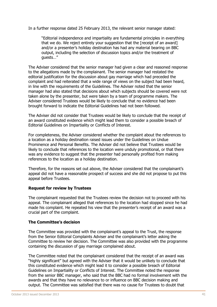In a further response dated 25 February 2013, the relevant senior manager stated:

"Editorial independence and impartiality are fundamental principles in everything that we do. We reject entirely your suggestion that the [receipt of an award] and/or a presenter's holiday destination has had any material bearing on BBC output, including the selection of discussion topics and/or the treatment of guests…"

The Adviser considered that the senior manager had given a clear and reasoned response to the allegations made by the complainant. The senior manager had restated the editorial justification for the discussion about gay marriage which had preceded the complaint and had reiterated that a wide range of views on the subject had been heard, in line with the requirements of the Guidelines. The Adviser noted that the senior manager had also stated that decisions about which subjects should be covered were not taken alone by the presenter, but were taken by a team of programme makers. The Adviser considered Trustees would be likely to conclude that no evidence had been brought forward to indicate the Editorial Guidelines had not been followed.

The Adviser did not consider that Trustees would be likely to conclude that the receipt of an award constituted evidence which might lead them to consider a possible breach of Editorial Guidelines on Impartiality or Conflicts of Interest.

For completeness, the Adviser considered whether the complaint about the references to a location as a holiday destination raised issues under the Guidelines on Undue Prominence and Personal Benefits. The Adviser did not believe that Trustees would be likely to conclude that references to the location were unduly promotional, or that there was any evidence to suggest that the presenter had personally profited from making references to the location as a holiday destination.

Therefore, for the reasons set out above, the Adviser considered that the complainant's appeal did not have a reasonable prospect of success and she did not propose to put this appeal before Trustees.

### **Request for review by Trustees**

The complainant requested that the Trustees review the decision not to proceed with his appeal. The complainant alleged that references to the location had stopped since he had made his complaint. He repeated his view that the presenter's receipt of an award was a crucial part of the complaint.

### **The Committee's decision**

The Committee was provided with the complainant's appeal to the Trust, the response from the Senior Editorial Complaints Adviser and the complainant's letter asking the Committee to review her decision. The Committee was also provided with the programme containing the discussion of gay marriage complained about.

The Committee noted that the complainant considered that the receipt of an award was "highly significant" but agreed with the Adviser that it would be unlikely to conclude that this constituted evidence which might lead it to consider a possible breach of Editorial Guidelines on Impartiality or Conflicts of Interest. The Committee noted the response from the senior BBC manager, who said that the BBC had no formal involvement with the awards and that they have no relevance to or influence on BBC decision making and output. The Committee was satisfied that there was no cause for Trustees to doubt that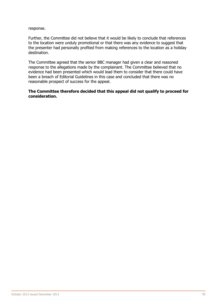#### response.

Further, the Committee did not believe that it would be likely to conclude that references to the location were unduly promotional or that there was any evidence to suggest that the presenter had personally profited from making references to the location as a holiday destination.

The Committee agreed that the senior BBC manager had given a clear and reasoned response to the allegations made by the complainant. The Committee believed that no evidence had been presented which would lead them to consider that there could have been a breach of Editorial Guidelines in this case and concluded that there was no reasonable prospect of success for the appeal.

# **The Committee therefore decided that this appeal did not qualify to proceed for consideration.**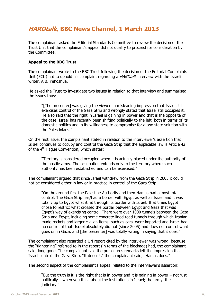# **HARDtalk, BBC News Channel, 1 March 2013**

The complainant asked the Editorial Standards Committee to review the decision of the Trust Unit that the complainant's appeal did not qualify to proceed for consideration by the Committee.

# **Appeal to the BBC Trust**

The complainant wrote to the BBC Trust following the decision of the Editorial Complaints Unit (ECU) not to uphold his complaint regarding a *HARDtalk* interview with the Israeli writer, A.B. Yehoshua.

He asked the Trust to investigate two issues in relation to that interview and summarised the issues thus:

"[The presenter] was giving the viewers a misleading impression that Israel still exercises control of the Gaza Strip and wrongly stated that Israel still occupies it. He also said that the right in Israel is gaining in power and that is the opposite of the case. Israel has recently been shifting politically to the left, both in terms of its domestic politics and in its willingness to compromise for a two state solution with the Palestinians."

On the first issue, the complainant stated in relation to the interviewer's assertion that Israel continues to occupy and control the Gaza Strip that the applicable law is Article 42 of the 4<sup>th</sup> Hague Convention, which states:

"Territory is considered occupied when it is actually placed under the authority of the hostile army. The occupation extends only to the territory where such authority has been established and can be exercised."

The complainant argued that since Israel withdrew from the Gaza Strip in 2005 it could not be considered either in law or in practice in control of the Gaza Strip:

"On the ground first the Palestine Authority and then Hamas had almost total control. The Gaza Strip has/had a border with Egypt as well as Israel and it was totally up to Egypt what it let through its border with Israel. If at times Egypt chose to restrict what crossed the border between Egypt and Gaza that was Egypt's way of exercising control. There were over 1000 tunnels between the Gaza Strip and Egypt, including some concrete lined road tunnels through which Iranian made rockets and larger civilian items, such as cars, were imported and Israel had no control of that. Israel absolutely did not (since 2005) and does not control what goes on in Gaza, and [the presenter] was totally wrong in saying that it does."

The complainant also regarded a UN report cited by the interviewer was wrong, because the "tightening" referred to in the report (in terms of the blockade) had, the complainant said, long gone. The complainant said the presenter's remarks left the impression that Israel controls the Gaza Strip. "It doesn't," the complainant said, "Hamas does."

The second aspect of the complainant's appeal related to the interviewer's assertion:

"But the truth is it is the right that is in power and it is gaining in power – not just politically – when you think about the institutions in Israel; the army, the judiciary."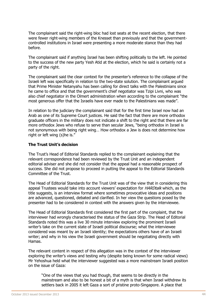The complainant said the right-wing bloc had lost seats at the recent election, that there were fewer right-wing members of the Knesset than previously and that the governmentcontrolled institutions in Israel were presenting a more moderate stance than they had before.

The complainant said if anything Israel has been shifting politically to the left. He pointed to the success of the new party Yesh Atid at the election, which he said is certainly not a party of the right.

The complainant said the clear context for the presenter's reference to the collapse of the Israeli left was specifically in relation to the two-state solution. The complainant argued that Prime Minister Netanyahu has been calling for direct talks with the Palestinians since he came to office and that the government's chief negotiator was Tzipi Livni, who was also chief negotiator in the Olmert administration when according to the complainant "the most generous offer that the Israelis have ever made to the Palestinians was made".

In relation to the judiciary the complainant said that for the first time Israel now had an Arab as one of its Supreme Court justices. He said the fact that there are more orthodox graduate officers in the military does not indicate a shift to the right and that there are far more orthodox Jews who refuse to serve than secular Jews, "being orthodox in Israel is not synonymous with being right wing… How orthodox a Jew is does not determine how right or left wing (s)he is."

# **The Trust Unit's decision**

The Trust's Head of Editorial Standards replied to the complainant explaining that the relevant correspondence had been reviewed by the Trust Unit and an independent editorial adviser and she did not consider that the appeal had a reasonable prospect of success. She did not propose to proceed in putting the appeal to the Editorial Standards Committee of the Trust.

The Head of Editorial Standards for the Trust Unit was of the view that in considering this appeal Trustees would take into account viewers' expectation for *HARDtalk* which, as the title suggests, is an interview format where sometimes provocative ideas and positions are advanced, questioned, debated and clarified. In her view the questions posed by the presenter had to be considered in context with the answers given by the interviewee.

The Head of Editorial Standards first considered the first part of the complaint, that the interviewer had wrongly characterised the status of the Gaza Strip. The Head of Editorial Standards noted this was a live 30 minute interview exploring the prominent Israeli writer's take on the current state of Israeli political discourse; what the interviewee considered was meant by an Israeli identity; the expectations others have of an Israeli writer; and why in his view the Israeli government should be negotiating directly with Hamas.

The relevant content in respect of this allegation was in the context of the interviewer exploring the writer's views and testing why (despite being known for some radical views) Mr Yehoshua held what the interviewer suggested was a more mainstream Israeli position on the issue of Gaza:

"One of the views that you had though, that seems to be directly in the mainstream and also to be honest a bit of a myth is that when Israel withdrew its settlers back in 2005 it left Gaza a sort of pristine proto-Singapore. A place that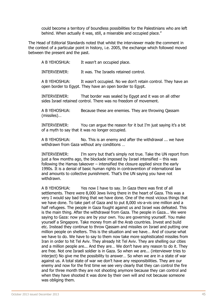could become a territory of boundless possibilities for the Palestinians who are left behind. When actually it was, still, a miserable and occupied place."

The Head of Editorial Standards noted that whilst the interviewer made the comment in the context of a particular point in history, i.e. 2005, the exchange which followed moved between the present and the past.

A B YEHOSHUA: It wasn't an occupied place.

INTERVIEWER: It was. The Israelis retained control.

A B YEHOSHUA: It wasn't occupied. No we don't retain control. They have an open border to Egypt. They have an open border to Egypt.

INTERVIEWER: That border was sealed by Egypt and it was on all other sides Israel retained control. There was no freedom of movement.

A B YEHOSHUA: Because these are enemies. They are throwing Qassam (missiles)…

INTERVIEWER: You can argue the reason for it but I'm just saying it's a bit of a myth to say that it was no longer occupied.

A B YEHOSHUA: No. This is an enemy and after the withdrawal ... we have withdrawn from Gaza without any conditions …

INTERVIEWER: I'm sorry but that's simply not true. Take the UN report from just a few months ago, the blockade imposed by Israel intensified – this was following the Hamas takeover – intensified the closure applied since the early 1990s. It is a denial of basic human rights in contravention of international law and amounts to collective punishment. That's the UN saying you have not withdrawn.

A B YEHOSHUA: Yes now I have to say. In Gaza there was first of all settlements. There were 8,000 Jews living there in the heart of Gaza. This was a very I would say bad thing that we have done. One of the most vicious things that we have done. To take part of Gaza and to put 8,000 vis-a-vis one million and a half refugees. The people in Gaza fought against us and Israel was defeated. This is the main thing. After the withdrawal from Gaza. The people in Gaza... We were saying to Gaza: now you are by your own. You are governing yourself. You make yourself a Singapore. Take money from all the Arab countries. Invest and build etc. Instead they continue to throw Qassam and missiles on Israel and putting one million people on shelters. This is the situation and we have… And of course what we have to do. We have to say to them now take more sophisticated missiles from Iran in order to hit Tel Aviv. They already hit Tel Aviv. They are shelling our cities and a million people are... And they are… We don't have any reason to do it. They are free. Not one Israeli soldier is in Gaza. So when we are... (interviewer tries to interject) No give me the possibility to answer… So when we are in a state of war against us. A total state of war we don't have any responsibilities. They are our enemy and now for the first time we see very clearly that they can control the fire and for three month they are not shooting anymore because they can control and when they have shooted it was done by their own will and not because someone was obliging them.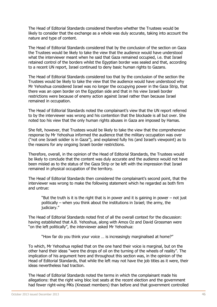The Head of Editorial Standards considered therefore whether the Trustees would be likely to consider that the exchange as a whole was duly accurate, taking into account the nature and type of content.

The Head of Editorial Standards considered that by the conclusion of the section on Gaza the Trustees would be likely to take the view that the audience would have understood what the interviewer meant when he said that Gaza remained occupied, i.e. that Israel retained control of the borders whilst the Egyptian border was sealed and that, according to a recent UN report, Israel continued to deny basic human rights to Gazans.

The Head of Editorial Standards considered too that by the conclusion of the section the Trustees would be likely to take the view that the audience would have understood why Mr Yehoshua considered Israel was no longer the occupying power in the Gaza Strip, that there was an open border on the Egyptian side and that in his view Israeli border restrictions were because of enemy action against Israel rather than because Israel remained in occupation.

The Head of Editorial Standards noted the complainant's view that the UN report referred to by the interviewer was wrong and his contention that the blockade is all but over. She noted too his view that the only human rights abuses in Gaza are imposed by Hamas.

She felt, however, that Trustees would be likely to take the view that the comprehensive response by Mr Yehoshua informed the audience that the military occupation was over ("not one Israeli soldier is in Gaza"), and explained fully his (and Israel's viewpoint) as to the reasons for any ongoing Israeli border restrictions.

Therefore, overall, in the opinion of the Head of Editorial Standards, the Trustees would be likely to conclude that the content was duly accurate and the audience would not have been misled as to the status of the Gaza Strip or be left with the impression that Israel remained in physical occupation of the territory.

The Head of Editorial Standards then considered the complainant's second point, that the interviewer was wrong to make the following statement which he regarded as both firm and untrue:

"But the truth is it is the right that is in power and it is gaining in power  $-$  not just politically – when you think about the institutions in Israel; the army, the judiciary."

The Head of Editorial Standards noted first of all the overall context for the discussion: having established that A.B. Yehoshua, along with Amos Oz and David Grossman were "on the left politically", the interviewer asked Mr Yehoshua:

"How far do you think your voice … is increasingly marginalised at home?"

To which, Mr Yehoshua replied that on the one hand their voice is marginal, but on the other hand their ideas "were the drops of oil on the turning of the wheels of reality". The implication of his argument here and throughout this section was, in the opinion of the Head of Editorial Standards, that while the left may not have the job titles as it were, their ideas nevertheless had traction.

The Head of Editorial Standards noted the terms in which the complainant made his allegations: that the right wing bloc lost seats at the recent election and the government had fewer right-wing MKs (Knesset members) than before and that government controlled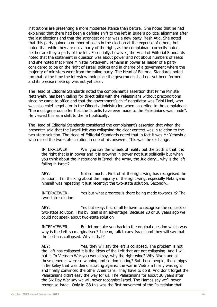institutions are presenting a more moderate stance than before. She noted that he had explained that there had been a definite shift to the left in Israel's political alignment after the last elections and that the strongest gainer was a new party, Yesh Atid. She noted that this party gained a number of seats in the election at the expense of others, but noted that while they are not a party of the right, as the complainant correctly noted, neither are they a party of the left. Essentially, however, the Head of Editorial Standards noted that the statement in question was about power and not about numbers of seats and she noted that Prime Minister Netanyahu remains in power as leader of a party considered to be on the right of Israeli politics and in charge of a government where the majority of ministers were from the ruling party. The Head of Editorial Standards noted too that at the time the interview took place the government had not yet been formed and its precise make up was not yet clear.

The Head of Editorial Standards noted the complainant's assertion that Prime Minister Netanyahu has been calling for direct talks with the Palestinians without preconditions since he came to office and that the government's chief negotiator was Tzipi Livni, who was also chief negotiator in the Olmert administration when according to the complainant "the most generous offer that the Israelis have ever made to the Palestinians was made". He viewed this as a shift to the left politically.

The Head of Editorial Standards considered the complainant's assertion that when the presenter said that the Israeli left was collapsing the clear context was in relation to the two-state solution. The Head of Editorial Standards noted that in fact it was Mr Yehoshua who raised the two-state solution in one of his answers. This was the exchange:

INTERVIEWER: Well you say the wheels of reality but the truth is that it is the right that is in power and it is growing in power not just politically but when you think about the institutions in Israel: the Army, the Judiciary… why is the left failing in Israel?

ABY: Not so much... First of all the right wing has recognised the solution… I'm thinking about the majority of the right wing, especially Netanyahu himself was repeating it just recently: the two-state solution. Secondly…

INTERVIEWER: Yes but what progress is there being made towards it? The two-state solution.

ABY: Yes but okay, first of all to have to recognise the concept of two-state solution. This by itself is an advantage. Because 20 or 30 years ago we could not speak about two-state solution

INTERVIEWER: But let me take you back to the original question which was why is the Left so marginalised? I mean, talk to any Israeli and they will say that the Left has collapsed. Why is that?

ABY: Yes, they will say the left is collapsed. The problem is not the Left has collapsed it is the ideas of the Left that are not collapsing. And I will put it. In Vietnam War you would say, why the right wing? Why Nixon and all these generals were so winning and so dominating? But those people, those hippy in Berkeley that was demonstrating against the war in Vietnam finally was right and finally convinced the other Americans. They have to do it. And don't forget the Palestinians didn't easy the way for us. The Palestinians for about 30 years after the Six Day War say we will never recognise Israel. The Hamas say we'll never recognise Israel. Only in '88 this was the first movement of the Palestinian that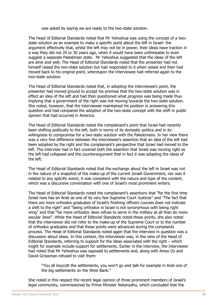was asked by saying we are ready to the two-state solution.

The Head of Editorial Standards noted that Mr Yehoshua was using the concept of a twostate solution as an example to make a specific point about the left in Israel: the argument effectively that, whilst the left may not be in power, their ideas have traction in a way they did not 20 or 30 years ago, when it would have been unthinkable to even suggest a separate Palestinian state. Mr Yehoshua suggested that the ideas of the left are alive and well. The Head of Editorial Standards noted that the presenter had not himself raised the two-state solution but had responded to it when raised and then had moved back to his original point, whereupon the interviewee had referred again to the two-state solution.

The Head of Editorial Standards noted that, in adopting the interviewee's point, the presenter had moved ground to accept his premise that the two-state solution was in effect an idea of the left and had then questioned what progress was being made thus implying that a government of the right was not moving towards the two-state solution. She noted, however, that the interviewee maintained his position in answering this question and had compared the adoption of the two-state concept with the shift in public opinion that had occurred in America.

The Head of Editorial Standards noted the complainant's point that Israel had recently been shifting politically to the left, both in terms of its domestic politics and in its willingness to compromise for a two-state solution with the Palestinians. In her view there was a very fine difference between the interviewee's assertion that an idea of the left had been adopted by the right and the complainant's perspective that Israel had moved to the left. The interview had in fact covered both the assertion that Israel was moving right as the left had collapsed and the counterargument that in fact it was adopting the ideas of the left.

The Head of Editorial Standards noted that the exchange about the left in Israel was not in the nature of a snapshot of the make-up of the current Israeli Government, nor was it related to any specific event; it was consistent with the nature and type of the content, which was a discursive conversation with one of Israel's most prominent writers.

The Head of Editorial Standards noted the complainant's assertions that "for the first time Israel now has an Arab as one of its very few Supreme Court Justices" and "The fact that there are more orthodox graduates of Israel's finishing officers courses does not indicate a shift to the right" and "being orthodox in Israel is not synonymous with being right wing" and that "far more orthodox Jews refuse to serve in the military at all than do more secular Jews". While the Head of Editorial Standards noted these points, she also noted that the interviewer did not refer to the make-up of the Supreme Court or to the number of orthodox graduates and that these points were advanced during the complaints process. The Head of Editorial Standards noted again that the interview in question was a discussion about ideas. In this context, the interviewer was, in the view of the Head of Editorial Standards, referring to support for the ideas associated with the right – which might for example include support for settlements. Earlier in the interview, the interviewer had noted that Mr Yehoshua was opposed to settlements and, along with Amos Oz and David Grossman refused to visit them:

"You all boycott the settlements, you won't go and talk for example in Ariel one of the big settlements on the West Bank."

She noted in this respect the recent legal opinion of three prominent members of Israel's legal community, commissioned by Prime Minister Netanyahu, which concluded that the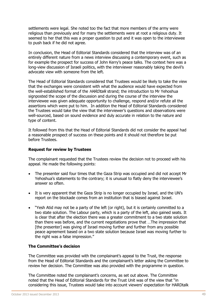settlements were legal. She noted too the fact that more members of the army were religious than previously and for many the settlements were at root a religious duty. It seemed to her that this was a proper question to put and it was open to the interviewee to push back if he did not agree.

In conclusion, the Head of Editorial Standards considered that the interview was of an entirely different nature from a news interview discussing a contemporary event, such as for example the prospect for success of John Kerry's peace talks. The context here was a long-view discussion of Israeli politics, with the interviewer reasonably taking the devil's advocate view with someone from the left.

The Head of Editorial Standards considered that Trustees would be likely to take the view that the exchanges were consistent with what the audience would have expected from the well-established format of the *HARDtalk* strand; the introduction to Mr Yehoshua signposted the scope of the discussion and during the course of the interview the interviewee was given adequate opportunity to challenge, respond and/or refute all the assertions which were put to him. In addition the Head of Editorial Standards considered the Trustees would take the view that the interviewer's questions and observations were well-sourced, based on sound evidence and duly accurate in relation to the nature and type of content.

It followed from this that the Head of Editorial Standards did not consider the appeal had a reasonable prospect of success on these points and it should not therefore be put before Trustees.

# **Request for review by Trustees**

The complainant requested that the Trustees review the decision not to proceed with his appeal. He made the following points:

- The presenter said four times that the Gaza Strip was occupied and did not accept Mr Yehoshua's statements to the contrary; it is unusual to flatly deny the interviewee's answer so often.
- It is very apparent that the Gaza Strip is no longer occupied by Israel, and the UN's report on the blockade comes from an institution that is biased against Israel.
- "Yesh Atid may not be a party of the left (or right), but it is certainly committed to a two state solution. The Labour party, which is a party of the left, also gained seats. It is clear that after the election there was a greater commitment to a two state solution than there was before, and the current negotiations prove that …The impression that [the presenter] was giving of Israel moving further and further from any possible peace agreement based on a two state solution because Israel was moving further to the right was a false impression."

### **The Committee's decision**

The Committee was provided with the complainant's appeal to the Trust, the response from the Head of Editorial Standards and the complainant's letter asking the Committee to review her decision. The Committee was also provided with the programme in question.

The Committee noted the complainant's concerns, as set out above. The Committee noted that the Head of Editorial Standards for the Trust Unit was of the view that "in considering this issue, Trustees would take into account viewers' expectation for HARDtalk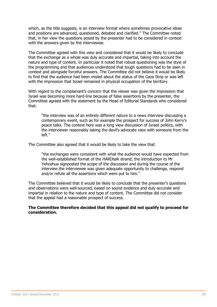which, as the title suggests, is an interview format where sometimes provocative ideas and positions are advanced, questioned, debated and clarified." The Committee noted that, in her view the questions posed by the presenter had to be considered in context with the answers given by the interviewee.

The Committee agreed with this view and considered that it would be likely to conclude that the exchange as a whole was duly accurate and impartial, taking into account the nature and type of content. In particular it noted that robust questioning was the style of the programming and that audiences understood that tough questions had to be seen in context and alongside forceful answers. The Committee did not believe it would be likely to find that the audience had been misled about the status of the Gaza Strip or was left with the impression that Israel remained in physical occupation of the territory.

With regard to the complainant's concern that the viewer was given the impression that Israel was becoming more hard-line because of false assertions by the presenter, the Committee agreed with the statement by the Head of Editorial Standards who considered that:

"the interview was of an entirely different nature to a news interview discussing a contemporary event, such as for example the prospect for success of John Kerry's peace talks. The context here was a long view discussion of Israeli politics, with the interviewer reasonably taking the devil's advocate view with someone from the left."

The Committee also agreed that it would be likely to take the view that:

"the exchanges were consistent with what the audience would have expected from the well-established format of the HARDtalk strand; the introduction to Mr Yehoshua signposted the scope of the discussion and during the course of the interview the interviewee was given adequate opportunity to challenge, respond and/or refute all the assertions which were put to him."

The Committee believed that it would be likely to conclude that the presenter's questions and observations were well-sourced, based on sound evidence and duly accurate and impartial in relation to the nature and type of content. The Committee did not consider that the appeal had a reasonable prospect of success.

# **The Committee therefore decided that this appeal did not qualify to proceed for consideration.**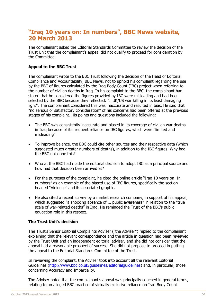# **"Iraq 10 years on: In numbers", BBC News website, 20 March 2013**

The complainant asked the Editorial Standards Committee to review the decision of the Trust Unit that the complainant's appeal did not qualify to proceed for consideration by the Committee.

# **Appeal to the BBC Trust**

The complainant wrote to the BBC Trust following the decision of the Head of Editorial Compliance and Accountability, BBC News, not to uphold his complaint regarding the use by the BBC of figures calculated by the Iraq Body Count (IBC) project when referring to the number of civilian deaths in Iraq. In his complaint to the BBC, the complainant had stated that he considered the figures provided by IBC were misleading and had been selected by the BBC because they reflected: "…UK/US war killing in its least damaging light". The complainant considered this was inaccurate and resulted in bias. He said that "no serious or satisfactory consideration" of his concerns had been offered at the previous stages of his complaint. His points and questions included the following:

- The BBC was consistently inaccurate and biased in its coverage of civilian war deaths in Iraq because of its frequent reliance on IBC figures, which were "limited and misleading".
- To improve balance, the BBC could cite other sources and their respective data (which suggested much greater numbers of deaths), in addition to the IBC figures. Why had the BBC not done this?
- Who at the BBC had made the editorial decision to adopt IBC as a principal source and how had that decision been arrived at?
- For the purposes of the complaint, he cited the online article "Iraq 10 years on: In numbers" as an example of the biased use of IBC figures, specifically the section headed "Violence" and its associated graphic.
- He also cited a recent survey by a market research company, in support of his appeal, which suggested "a shocking absence of ... public awareness" in relation to the "true scale of war-related deaths" in Iraq. He reminded the Trust of the BBC's public education role in this respect.

### **The Trust Unit's decision**

The Trust's Senior Editorial Complaints Adviser ("the Adviser") replied to the complainant explaining that the relevant correspondence and the article in question had been reviewed by the Trust Unit and an independent editorial adviser, and she did not consider that the appeal had a reasonable prospect of success. She did not propose to proceed in putting the appeal to the Editorial Standards Committee of the Trust.

In reviewing the complaint, the Adviser took into account all the relevant Editorial Guidelines [\(http://www.bbc.co.uk/guidelines/editorialguidelines\)](http://www.bbc.co.uk/guidelines/editorialguidelines) and, in particular, those concerning Accuracy and Impartiality.

The Adviser noted that the complainant's appeal was principally couched in general terms, relating to an alleged BBC practice of virtually exclusive reliance on Iraq Body Count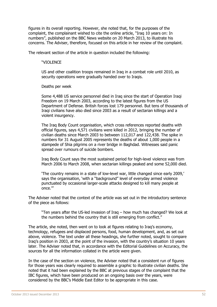figures in its overall reporting. However, she noted that, for the purposes of the complaint, the complainant wished to cite the online article, "Iraq 10 years on: In numbers", published on the BBC News website on 20 March 2013, to illustrate his concerns. The Adviser, therefore, focused on this article in her review of the complaint.

The relevant section of the article in question included the following:

#### "VIOLENCE

US and other coalition troops remained in Iraq in a combat role until 2010, as security operations were gradually handed over to Iraqis.

Deaths per week

Some 4,488 US service personnel died in Iraq since the start of Operation Iraqi Freedom on 19 March 2003, according to the latest figures from the US Department of Defense. British forces lost 179 personnel. But tens of thousands of Iraqi civilians have also died since 2003 as a result of sectarian killings and a violent insurgency.

The Iraq Body Count organisation, which cross references reported deaths with official figures, says 4,571 civilians were killed in 2012, bringing the number of civilian deaths since March 2003 to between 112,017 and 122,438. The spike in numbers for 31 August 2005 represents the deaths of about 1,000 people in a stampede of Shia pilgrims on a river bridge in Baghdad. Witnesses said panic spread over rumours of suicide bombers.

Iraq Body Count says the most sustained period for high-level violence was from March 2006 to March 2008, when sectarian killings peaked and some 52,000 died.

'The country remains in a state of low-level war, little changed since early 2009,' says the organisation, 'with a "background" level of everyday armed violence punctuated by occasional larger-scale attacks designed to kill many people at once.'"

The Adviser noted that the context of the article was set out in the introductory sentence of the piece as follows:

"Ten years after the US-led invasion of Iraq – how much has changed? We look at the numbers behind the country that is still emerging from conflict."

The article, she noted, then went on to look at figures relating to Iraq's economy, technology, refugees and displaced persons, food, human development, and, as set out above, violence. The text under all these headings, she further noted, sought to compare Iraq's position in 2003, at the point of the invasion, with the country's situation 10 years later. The Adviser noted that, in accordance with the Editorial Guidelines on Accuracy, the sources for all the information collated in the article were given.

In the case of the section on violence, the Adviser noted that a consistent run of figures for those years was clearly required to assemble a graphic to illustrate civilian deaths. She noted that it had been explained by the BBC at previous stages of the complaint that the IBC figures, which have been produced on an ongoing basis over the years, were considered by the BBC's Middle East Editor to be appropriate in this case.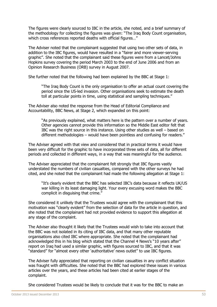The figures were clearly sourced to IBC in the article, she noted, and a brief summary of the methodology for collecting the figures was given: "The Iraq Body Count organisation, which cross references reported deaths with official figures..."

The Adviser noted that the complainant suggested that using two other sets of data, in addition to the IBC figures, would have resulted in a "fairer and more viewer-serving graphic". She noted that the complainant said these figures were from a Lancet/Johns Hopkins survey covering the period March 2003 to the end of June 2006 and from an Opinion Research Business (ORB) survey in August 2007.

She further noted that the following had been explained by the BBC at Stage 1:

"The Iraq Body Count is the only organisation to offer an actual count covering the period since the US-led invasion. Other organisations seek to estimate the death toll at particular points in time, using statistical and sampling techniques."

The Adviser also noted the response from the Head of Editorial Compliance and Accountability, BBC News, at Stage 2, which expanded on this point:

"As previously explained, what matters here is the pattern over a number of years. Other agencies cannot provide this information so the Middle East editor felt that IBC was the right source in this instance. Using other studies as well – based on different methodologies – would have been pointless and confusing for readers."

The Adviser agreed with that view and considered that in practical terms it would have been very difficult for the graphic to have incorporated three sets of data, all for different periods and collected in different ways, in a way that was meaningful for the audience.

The Adviser appreciated that the complainant felt strongly that IBC figures vastly understated the numbers of civilian casualties, compared with the other surveys he had cited, and she noted that the complainant had made the following allegation at Stage 1:

"It's clearly evident that the BBC has selected IBC's data because it reflects UK/US war killing in its least damaging light. Your every excusing word makes the BBC complicit in disguising that crime."

She considered it unlikely that the Trustees would agree with the complainant that this motivation was "clearly evident" from the selection of data for the article in question, and she noted that the complainant had not provided evidence to support this allegation at any stage of the complaint.

The Adviser also thought it likely that the Trustees would wish to take into account that the BBC was not isolated in its citing of IBC data, and that many other reputable organisations also cited IBC where appropriate. She noted that the complainant had acknowledged this in his blog which stated that the Channel 4 News's "10 years after" report on Iraq had used a similar graphic, with figures sourced to IBC, and that it was "standard" for "almost every other 'authoritative' news outlet" to use IBC figures.

The Adviser fully appreciated that reporting on civilian casualties in any conflict situation was fraught with difficulties. She noted that the BBC had explored these issues in various articles over the years, and these articles had been cited at earlier stages of the complaint.

She considered Trustees would be likely to conclude that it was for the BBC to make an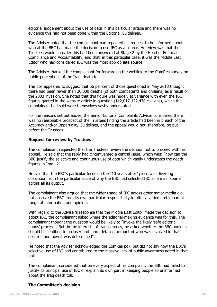editorial judgement about the use of data in this particular article and there was no evidence this had not been done within the Editorial Guidelines.

The Adviser noted that the complainant had repeated his request to be informed about who at the BBC had made the decision to use IBC as a source. Her view was that the Trustees would consider this had been answered at Stage 2 by the Head of Editorial Compliance and Accountability, and that, in this particular case, it was the Middle East Editor who had considered IBC was the most appropriate source.

The Adviser thanked the complainant for forwarding the weblink to the ComRes survey on public perceptions of the Iraqi death toll.

The poll appeared to suggest that 66 per cent of those questioned in May 2013 thought there had been fewer than 20,000 deaths (of both combatants and civilians) as a result of the 2003 invasion. She noted that this figure was hugely at variance with even the IBC figures quoted in the website article in question (112,017-122,438 civilians), which the complainant had said were themselves vastly understated.

For the reasons set out above, the Senior Editorial Complaints Adviser considered there was no reasonable prospect of the Trustees finding the article had been in breach of the Accuracy and/or Impartiality Guidelines, and the appeal would not, therefore, be put before the Trustees.

### **Request for review by Trustees**

The complainant requested that the Trustees review the decision not to proceed with his appeal. He said that the reply had circumvented a central issue, which was: "how can the BBC justify the selective and continuous use of data which vastly understates the death figures in Iraq…?"

He said that the BBC's particular focus on the "10 years after" piece was diverting discussion from the particular issue of why the BBC had selected IBC as a main source across all its output.

The complainant also argued that the wider usage of IBC across other major media did not absolve the BBC from its own particular responsibility to offer a varied and impartial range of information and opinion.

With regard to the Adviser's response that the Middle East Editor made the decision to adopt IBC, the complainant asked where the editorial-making evidence was for this. The complainant thought the question would be likely to "invoke the likely 'safe editorial hands' process". But, in the interests of transparency, he asked whether the BBC audience should be "entitled to a closer and more detailed account of who was involved in that decision and how it was determined".

He noted that the Adviser acknowledged the ComRes poll, but did not say how the BBC's selective use of IBC had contributed to the massive lack of public awareness noted in that poll.

The complainant considered that on every aspect of his complaint, the BBC had failed to justify its principal use of IBC or explain its own part in keeping people so uninformed about the Iraq death toll.

### **The Committee's decision**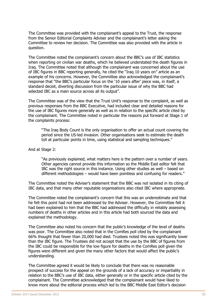The Committee was provided with the complainant's appeal to the Trust, the response from the Senior Editorial Complaints Adviser and the complainant's letter asking the Committee to review her decision. The Committee was also provided with the article in question.

The Committee noted the complainant's concern about the BBC's use of IBC statistics when reporting on civilian war deaths, which he believed understated the death figures in Iraq. The Committee noted that although the complainant was concerned about the use of IBC figures in BBC reporting generally, he cited the "Iraq 10 years on" article as an example of his concerns. However, the Committee also acknowledged the complainant's response that "the BBC's particular focus on the '10 years after' piece was, in itself, a standard deceit, diverting discussion from the particular issue of why the BBC had selected IBC as a main source across all its output".

The Committee was of the view that the Trust Unit's response to the complaint, as well as previous responses from the BBC Executive, had included clear and detailed reasons for the use of IBC figures more generally as well as in relation to the specific article cited by the complainant. The Committee noted in particular the reasons put forward at Stage 1 of the complaints process:

"The Iraq Body Count is the only organisation to offer an actual count covering the period since the US-led invasion. Other organisations seek to estimate the death toll at particular points in time, using statistical and sampling techniques."

And at Stage 2:

"As previously explained, what matters here is the pattern over a number of years. Other agencies cannot provide this information so the Middle East editor felt that IBC was the right source in this instance. Using other studies as well – based on different methodologies – would have been pointless and confusing for readers."

The Committee noted the Adviser's statement that the BBC was not isolated in its citing of IBC data, and that many other reputable organisations also cited IBC where appropriate.

The Committee noted the complainant's concern that this was an underestimate and that he felt this point had not been addressed by the Adviser. However, the Committee felt it had been explained to him that the BBC had addressed the difficulty in reliably assessing numbers of deaths in other articles and in this article had both sourced the data and explained the methodology.

The Committee also noted his concern that the public's knowledge of the level of deaths was poor. The Committee also noted that in the ComRes poll cited by the complainant 66% thought that fewer than 20,000 had died. Trustees noted this was significantly lower than the IBC figure. The Trustees did not accept that the use by the BBC of figures from the IBC could be responsible for the low figure for deaths in the ComRes poll given the figures were different and given the many other factors that would affect the public's understanding.

The Committee agreed it would be likely to conclude that there was no reasonable prospect of success for the appeal on the grounds of a lack of accuracy or impartiality in relation to the BBC's use of IBC data, either generally or in the specific article cited by the complainant. The Committee acknowledged that the complainant would have liked to know more about the editorial process which led to the BBC Middle East Editor's decision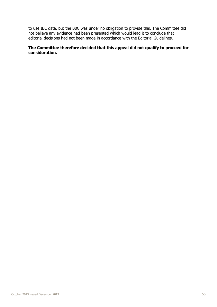to use IBC data, but the BBC was under no obligation to provide this. The Committee did not believe any evidence had been presented which would lead it to conclude that editorial decisions had not been made in accordance with the Editorial Guidelines.

# **The Committee therefore decided that this appeal did not qualify to proceed for consideration.**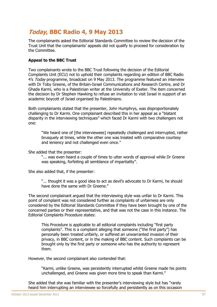# **Today, BBC Radio 4, 9 May 2013**

The complainants asked the Editorial Standards Committee to review the decision of the Trust Unit that the complainants' appeals did not qualify to proceed for consideration by the Committee.

# **Appeal to the BBC Trust**

Two complainants wrote to the BBC Trust following the decision of the Editorial Complaints Unit (ECU) not to uphold their complaints regarding an edition of BBC Radio 4's Today programme, broadcast on 9 May 2013. The programme featured an interview with Dr Toby Greene, of the Britain-Israel Communications and Research Centre, and Dr Ghada Karmi, who is a Palestinian writer at the University of Exeter. The item concerned the decision by Dr Stephen Hawking to refuse an invitation to visit Israel in support of an academic boycott of Israel organised by Palestinians.

Both complainants stated that the presenter, John Humphrys, was disproportionately challenging to Dr Karmi. One complainant described this in her appeal as a "blatant disparity in the interviewing techniques" which faced Dr Karmi with two challengers not one:

"We heard one of [the interviewees] repeatedly challenged and interrupted, rather brusquely at times, while the other one was treated with comparative courtesy and leniency and not challenged even once."

She added that the presenter:

"... was even heard a couple of times to utter words of approval while Dr Greene was speaking, forfeiting all semblance of impartiality".

She also added that, if the presenter:

"... thought it was a good idea to act as devil's advocate to Dr Karmi, he should have done the same with Dr Greene."

The second complainant argued that the interviewing style was unfair to Dr Karmi. This point of complaint was not considered further as complaints of unfairness are only considered by the Editorial Standards Committee if they have been brought by one of the concerned parties or their representative, and that was not the case in this instance. The Editorial Complaints Procedure states:

This Procedure is applicable to all editorial complaints including "first party complaints". This is a complaint alleging that someone ("the first party") has personally been treated unfairly, or suffered an unwarranted invasion of their privacy, in BBC content, or in the making of BBC content. Such complaints can be brought only by the first party or someone who has the authority to represent them.

However, the second complainant also contended that:

"Karmi, unlike Greene, was persistently interrupted whilst Greene made his points unchallenged, and Greene was given more time to speak than Karmi."

She added that she was familiar with the presenter's interviewing style but has "rarely heard him interrupting an interviewee so forcefully and persistently as on this occasion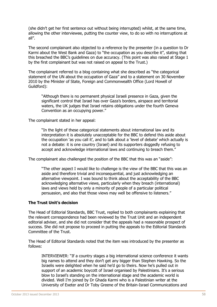(she didn't get her first sentence out without being interrupted) whilst, at the same time, allowing the other interviewee, putting the counter view, to do so with no interruptions at all".

The second complainant also objected to a reference by the presenter (in a question to Dr Karmi about the West Bank and Gaza) to "the occupation as you describe it", stating that this breached the BBC's guidelines on due accuracy. (This point was also raised at Stage 1 by the first complainant but was not raised on appeal to the Trust.)

The complainant referred to a blog containing what she described as "the categorical statement of the UN about the occupation of Gaza" and to a statement on 30 November 2010 by the Minister of State, Foreign and Commonwealth Office (Lord Howell of Guildford):

"Although there is no permanent physical Israeli presence in Gaza, given the significant control that Israel has over Gaza's borders, airspace and territorial waters, the UK judges that Israel retains obligations under the fourth Geneva Convention as an occupying power."

The complainant stated in her appeal:

"In the light of these categorical statements about international law and its interpretation it is absolutely unacceptable for the BBC to defend this aside about the occupation 'as you call it', and to talk about a 'level of debate' which actually is not a debate: it is one country (Israel) and its supporters doggedly refusing to accept and acknowledge international laws and continuing to breach them."

The complainant also challenged the position of the BBC that this was an "aside":

"The other aspect I would like to challenge is the view of the BBC that this was an aside and therefore trivial and inconsequential, and just acknowledging an alternative viewpoint. I was bound to think about the acceptability of the BBC acknowledging alternative views, particularly when they breach (international) laws and views held by only a minority of people of a particular political persuasion, and also that those views may well be offensive to listeners."

### **The Trust Unit's decision**

The Head of Editorial Standards, BBC Trust, replied to both complainants explaining that the relevant correspondence had been reviewed by the Trust Unit and an independent editorial adviser, and she did not consider that the appeals had a reasonable prospect of success. She did not propose to proceed in putting the appeals to the Editorial Standards Committee of the Trust.

The Head of Editorial Standards noted that the item was introduced by the presenter as follows:

INTERVIEWER: "If a country stages a big international science conference it wants big names to attend and they don't get any bigger than Stephen Hawking. So the Israelis were delighted when he said he'd go to theirs. Now he's pulled out in support of an academic boycott of Israel organised by Palestinians. It's a serious blow to Israel's standing on the international stage and the academic world is divided. Well I'm joined by Dr Ghada Karmi who is a Palestinian writer at the University of Exeter and Dr Toby Greene of the Britain-Israel Communications and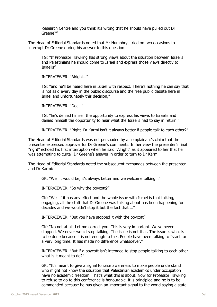Research Centre and you think it's wrong that he should have pulled out Dr Greene?"

The Head of Editorial Standards noted that Mr Humphrys tried on two occasions to interrupt Dr Greene during his answer to this question:

TG: "If Professor Hawking has strong views about the situation between Israelis and Palestinians he should come to Israel and express those views directly to Israelis"

INTERVIEWER: "Alright…"

TG: "and he'll be heard here in Israel with respect. There's nothing he can say that is not said every day in the public discourse and the free public debate here in Israel and unfortunately this decision,"

INTERVIEWER: "Doc…"

TG: "he's denied himself the opportunity to express his views to Israelis and denied himself the opportunity to hear what the Israelis had to say in return."

INTERVIEWER: "Right. Dr Karmi isn't it always better if people talk to each other?"

The Head of Editorial Standards was not persuaded by a complainant's claim that the presenter expressed approval for Dr Greene's comments. In her view the presenter's final "right" echoed his first interruption when he said "Alright" as it appeared to her that he was attempting to curtail Dr Greene's answer in order to turn to Dr Karmi.

The Head of Editorial Standards noted the subsequent exchanges between the presenter and Dr Karmi:

GK: "Well it would be, it's always better and we welcome talking…"

INTERVIEWER: "So why the boycott?"

GK: "Well if it has any effect and the whole issue with Israel is that talking, engaging, all the stuff that Dr Greene was talking about has been happening for decades and we wouldn't stop it but the fact that …"

INTERVIEWER: "But you have stopped it with the boycott"

GK: "No not at all. Let me correct you. This is very important. We've never stopped. We never would stop talking. The issue is not that. The issue is what is to be done because it is not enough to talk. People have been talking to Israel for a very long time. It has made no difference whatsoever."

INTERVIEWER: "But if a boycott isn't intended to stop people talking to each other what is it meant to do?"

GK: "It's meant to give a signal to raise awareness to make people understand who might not know the situation that Palestinian academics under occupation have no academic freedom. That's what this is about. Now for Professor Hawking to refuse to go to this conference is honourable, it is principled and he is to be commended because he has given an important signal to the world saying a state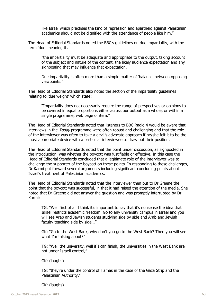like Israel which practises the kind of repression and apartheid against Palestinian academics should not be dignified with the attendance of people like him."

The Head of Editorial Standards noted the BBC's guidelines on due impartiality, with the term 'due' meaning that

"the impartiality must be adequate and appropriate to the output, taking account of the subject and nature of the content, the likely audience expectation and any signposting that may influence that expectation.

Due impartiality is often more than a simple matter of 'balance' between opposing viewpoints."

The Head of Editorial Standards also noted the section of the impartiality guidelines relating to 'due weight' which state:

"Impartiality does not necessarily require the range of perspectives or opinions to be covered in equal proportions either across our output as a whole, or within a single programme, web page or item."

The Head of Editorial Standards noted that listeners to BBC Radio 4 would be aware that interviews in the Today programme were often robust and challenging and that the role of the interviewer was often to take a devil's advocate approach if he/she felt it to be the most appropriate device with a particular interviewee to draw out their position.

The Head of Editorial Standards noted that the point under discussion, as signposted in the introduction, was whether the boycott was justifiable or effective. In this case the Head of Editorial Standards concluded that a legitimate role of the interviewer was to challenge the supporter of the boycott on these points. In responding to these challenges, Dr Karmi put forward several arguments including significant concluding points about Israel's treatment of Palestinian academics.

The Head of Editorial Standards noted that the interviewer then put to Dr Greene the point that the boycott was successful, in that it had raised the attention of the media. She noted that Dr Greene did not answer the question and was promptly interrupted by Dr Karmi:

TG: "Well first of all I think it's important to say that it's nonsense the idea that Israel restricts academic freedom. Go to any university campus in Israel and you will see Arab and Jewish students studying side by side and Arab and Jewish faculty teaching side by side…"

GK: "Go to the West Bank, why don't you go to the West Bank? Then you will see what I'm talking about?"

TG: "Well the university, well if I can finish, the universities in the West Bank are not under Israeli control,"

GK: (laughs)

TG: "they're under the control of Hamas in the case of the Gaza Strip and the Palestinian Authority,"

GK: (laughs)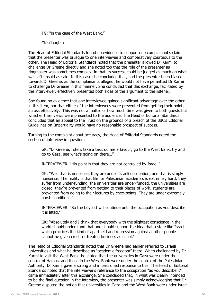TG: "in the case of the West Bank."

GK: (laughs)

The Head of Editorial Standards found no evidence to support one complainant's claim that the presenter was brusque to one interviewee and comparatively courteous to the other. The Head of Editorial Standards noted that the presenter allowed Dr Karmi to challenge Dr Greene directly and she noted too that the role of the presenter as ringmaster was sometimes complex, in that its success could be judged as much on what was left unsaid as said. In this case she concluded that, had the presenter been biased towards Dr Greene, as the complainants alleged, he would not have permitted Dr Karmi to challenge Dr Greene in this manner. She concluded that this exchange, facilitated by the interviewer, effectively presented both sides of the argument to the listener.

She found no evidence that one interviewee gained significant advantage over the other in this item, nor that either of the interviewees were prevented from getting their points across effectively. This was not a matter of how much time was given to both guests but whether their views were presented to the audience. The Head of Editorial Standards concluded that an appeal to the Trust on the grounds of a breach of the BBC's Editorial Guidelines on Impartiality would have no reasonable prospect of success.

Turning to the complaint about accuracy, the Head of Editorial Standards noted the section of interview in question:

GK: "Dr Greene, listen, take a taxi, do me a favour, go to the West Bank, try and go to Gaza, see what's going on there…"

INTERVIEWER: "His point is that they are not controlled by Israel."

GK: "Well that is nonsense, they are under Israeli occupation, and that is simply nonsense. The reality is that life for Palestinian academics is extremely hard, they suffer from under-funding, the universities are under-funded, the universities are closed, they're prevented from getting to their places of work, students are prevented from going to their lectures by checkpoints. They are under extremely harsh conditions."

INTERVIEWER: "So the boycott will continue until the occupation as you describe it is lifted."

GK: "Absolutely and I think that everybody with the slightest conscience in the world should understand that and should support the idea that a state like Israel which practices the kind of apartheid and repression against another people cannot be given credit or treated business as usual."

The Head of Editorial Standards noted that Dr Greene had earlier referred to Israeli universities and what he described as "academic freedom" there. When challenged by Dr Karmi to visit the West Bank, he stated that the universities in Gaza were under the control of Hamas, and those in the West Bank were under the control of the Palestinian Authority. Dr Karmi gave a strong and impassioned response to this. The Head of Editorial Standards noted that the interviewer's reference to the occupation "as you describe it" came immediately after this exchange. She concluded that, in what was clearly intended to be the final question in the interview, the presenter was simply acknowledging that Dr Greene disputed the notion that universities in Gaza and the West Bank were under Israeli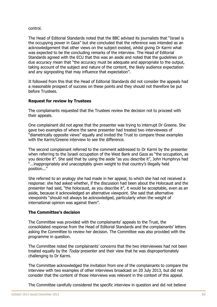# control.

The Head of Editorial Standards noted that the BBC advised its journalists that "Israel is the occupying power in Gaza" but she concluded that the reference was intended as an acknowledgement that other views on the subject existed, whilst giving Dr Karmi what was expected to be the concluding remarks of the interview. The Head of Editorial Standards agreed with the ECU that this was an aside and noted that the guidelines on due accuracy mean that "the accuracy must be adequate and appropriate to the output, taking account of the subject and nature of the content, the likely audience expectation and any signposting that may influence that expectation".

It followed from this that the Head of Editorial Standards did not consider the appeals had a reasonable prospect of success on these points and they should not therefore be put before Trustees.

# **Request for review by Trustees**

The complainants requested that the Trustees review the decision not to proceed with their appeals.

One complainant did not agree that the presenter was trying to interrupt Dr Greene. She gave two examples of where the same presenter had treated two interviewees of "diametrically opposite views" equally and invited the Trust to compare those examples with the Karmi/Greene interview to see the difference.

The second complainant referred to the comment addressed to Dr Karmi by the presenter when referring to the Israeli occupation of the West Bank and Gaza as "the occupation, as you describe it". She said that by using the aside "as you describe it", John Humphrys had "...inappropriately and unacceptably given weight to that country's illegally held position..."

She referred to an analogy she had made in her appeal, to which she had not received a response: she had asked whether, if the discussion had been about the Holocaust and the presenter had said, "the holocaust, as you describe it", it would be acceptable, even as an aside, because it acknowledged an alternative viewpoint. She said that alternative viewpoints "should not always be acknowledged, particularly when the weight of international opinion was against them".

# **The Committee's decision**

The Committee was provided with the complainants' appeals to the Trust, the consolidated response from the Head of Editorial Standards and the complainants' letters asking the Committee to review her decision. The Committee was also provided with the programme in question.

The Committee noted the complainants' concerns that the two interviewees had not been treated equally by the *Today* presenter and their view that he was disproportionately challenging to Dr Karmi.

The Committee acknowledged the invitation from one of the complainants to compare the interview with two examples of other interviews broadcast on 20 July 2013, but did not consider that the content of those interviews was relevant in the context of this appeal.

The Committee carefully considered the specific interview in question and did not believe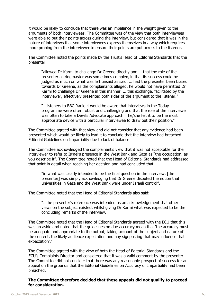it would be likely to conclude that there was an imbalance in the weight given to the arguments of both interviewees. The Committee was of the view that both interviewees were able to put their points across during the interview, but considered that it was in the nature of interviews that some interviewees express themselves in a way which requires more probing from the interviewer to ensure their points are put across to the listener.

The Committee noted the points made by the Trust's Head of Editorial Standards that the presenter:

"allowed Dr Karmi to challenge Dr Greene directly and … that the role of the presenter as ringmaster was sometimes complex, in that its success could be judged as much on what was left unsaid as said. … had the presenter been biased towards Dr Greene, as the complainants alleged, he would not have permitted Dr Karmi to challenge Dr Greene in this manner. … this exchange, facilitated by the interviewer, effectively presented both sides of the argument to the listener."

"…listeners to BBC Radio 4 would be aware that interviews in the Today programme were often robust and challenging and that the role of the interviewer was often to take a Devil's Advocate approach if he/she felt it to be the most appropriate device with a particular interviewee to draw out their position."

The Committee agreed with that view and did not consider that any evidence had been presented which would be likely to lead it to conclude that the interview had breached Editorial Guidelines on Impartiality due to lack of balance.

The Committee acknowledged the complainant's view that it was not acceptable for the interviewer to refer to Israel's presence in the West Bank and Gaza as "the occupation, as you describe it". The Committee noted that the Head of Editorial Standards had addressed that point in detail when reaching her decision and had concluded that

"in what was clearly intended to be the final question in the interview, [the presenter] was simply acknowledging that Dr Greene disputed the notion that universities in Gaza and the West Bank were under Israeli control".

The Committee noted that the Head of Editorial Standards also said:

"…the presenter's reference was intended as an acknowledgement that other views on the subject existed, whilst giving Dr Karmi what was expected to be the concluding remarks of the interview.

The Committee noted that the Head of Editorial Standards agreed with the ECU that this was an aside and noted that the guidelines on due accuracy mean that 'the accuracy must be adequate and appropriate to the output, taking account of the subject and nature of the content, the likely audience expectation and any signposting that may influence that expectation'."

The Committee agreed with the view of both the Head of Editorial Standards and the ECU's Complaints Director and considered that it was a valid comment by the presenter. The Committee did not consider that there was any reasonable prospect of success for an appeal on the grounds that the Editorial Guidelines on Accuracy or Impartiality had been breached.

**The Committee therefore decided that these appeals did not qualify to proceed for consideration.**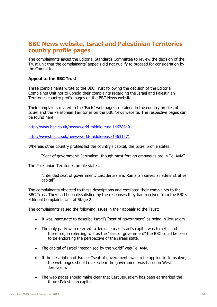# **BBC News website, Israel and Palestinian Territories country profile pages**

The complainants asked the Editorial Standards Committee to review the decision of the Trust Unit that the complainants' appeals did not qualify to proceed for consideration by the Committee.

# **Appeal to the BBC Trust**

Three complainants wrote to the BBC Trust following the decision of the Editorial Complaints Unit not to uphold their complaints regarding the Israel and Palestinian Territories country profile pages on the BBC News website.

Their complaints related to the 'Facts' web pages contained in the country profiles of Israel and the Palestinian Territories on the BBC News website. The respective pages can be found here:

<http://www.bbc.co.uk/news/world-middle-east-14628840>

<http://www.bbc.co.uk/news/world-middle-east-14631271>

Whereas other country profiles list the country's capital, the Israel profile states:

"Seat of government: Jerusalem, though most foreign embassies are in Tel Aviv"

The Palestinian Territories profile states:

"Intended seat of government: East Jerusalem. Ramallah serves as administrative capital"

The complainants objected to these descriptions and escalated their complaints to the BBC Trust. They had been dissatisfied by the responses they had received from the BBC's Editorial Complaints Unit at Stage 2.

The complainants raised the following issues in their appeals to the Trust:

- It was inaccurate to describe Israel's "seat of government" as being in Jerusalem.
- The only party who referred to Jerusalem as Israel's capital was Israel and therefore, in referring to it as the "seat of government" the BBC could be seen to be endorsing the perspective of the Israeli state.
- The capital of Israel "recognised by the world" was Tel Aviv.
- If the description of Israel's "seat of government" was to be applied to Jerusalem, the web pages should make clear the government was based in West Jerusalem.
- The web pages should make clear that East Jerusalem has been earmarked the future Palestinian capital.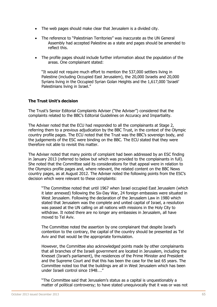- The web pages should make clear that Jerusalem is a divided city.
- The reference to "Palestinian Territories" was inaccurate as the UN General Assembly had accepted Palestine as a state and pages should be amended to reflect this.
- The profile pages should include further information about the population of the areas. One complainant stated:

"It would not require much effort to mention the 537,000 settlers living in Palestine (including Occupied East Jerusalem), the 20,000 Israelis and 20,000 Syrians living in the Occupied Syrian Golan Heights and the 1,617,000 'Israeli' Palestinians living in Israel."

# **The Trust Unit's decision**

The Trust's Senior Editorial Complaints Adviser ("the Adviser") considered that the complaints related to the BBC's Editorial Guidelines on Accuracy and Impartiality.

The Adviser noted that the ECU had responded to all the complainants at Stage 2, referring them to a previous adjudication by the BBC Trust, in the context of the Olympic country profile pages. The ECU noted that the Trust was the BBC's sovereign body, and the judgements of the ESC were binding on the BBC. The ECU stated that they were therefore not able to revisit this matter.

The Adviser noted that many points of complaint had been addressed by an ESC finding in January 2013 (referred to below but which was provided to the complainants in full). She noted that the Committee said its considerations for that appeal were in relation to the Olympics profile pages and, where relevant, the related content on the BBC News country pages, as at August 2012. The Adviser noted the following points from the ESC's decision which were relevant to these complaints:

"The Committee noted that until 1967 when Israel occupied East Jerusalem (which it later annexed) following the Six-Day War, 24 foreign embassies were situated in West Jerusalem. Following the declaration of the Jerusalem Law in 1980 which stated that Jerusalem was the complete and united capital of Israel, a resolution was passed at the UN calling on all nations with missions in the Holy City to withdraw. It noted there are no longer any embassies in Jerusalem, all have moved to Tel Aviv.

The Committee noted the assertion by one complainant that despite Israel's contention to the contrary, the capital of the country should be presented as Tel Aviv and that would be the appropriate formulation.

However, the Committee also acknowledged points made by other complainants that all branches of the Israeli government are located in Jerusalem, including the Knesset (Israel's parliament), the residences of the Prime Minister and President and the Supreme Court and that this has been the case for the last 65 years. The Committee noted too that the buildings are all in West Jerusalem which has been under Israeli control since 1948…."

"The Committee said that Jerusalem's status as a capital is unquestionably a matter of political controversy; to have stated unequivocally that it was or was not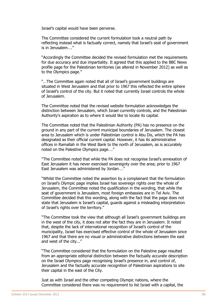Israel's capital would have been perverse.

The Committee considered the current formulation took a neutral path by reflecting instead what is factually correct, namely that Israel's seat of government is in Jerusalem…."

"Accordingly the Committee decided the revised formulation met the requirements for due accuracy and due impartiality. It agreed that this applied to the BBC News profile page for the Palestinian territories (as altered in November 2012) as well as to the Olympics page."

"…The Committee again noted that all of Israel's government buildings are situated in West Jerusalem and that prior to 1967 this reflected the entire sphere of Israel's control of the city. But it noted that currently Israel controls the whole of Jerusalem.

The Committee noted that the revised website formulation acknowledges the distinction between Jerusalem, which Israel currently controls, and the Palestinian Authority's aspiration as to where it would like to locate its capital.

The Committee noted that the Palestinian Authority (PA) has no presence on the ground in any part of the current municipal boundaries of Jerusalem. The closest area to Jerusalem which is under Palestinian control is Abu Dis, which the PA has designated as their official current capital. However, it has its administrative offices in Ramallah in the West Bank to the north of Jerusalem, as is accurately noted on the Palestine Olympics page…."

"The Committee noted that while the PA does not recognise Israel's annexation of East Jerusalem it has never exercised sovereignty over the area; prior to 1967 East Jerusalem was administered by Jordan…."

"Whilst the Committee noted the assertion by a complainant that the formulation on Israel's Olympic page implies Israel has sovereign rights over the whole of Jerusalem, the Committee noted the qualification in the wording, that while the seat of government is Jerusalem, most foreign embassies are in Tel Aviv. The Committee decided that this wording, along with the fact that the page does not state that Jerusalem is Israel's capital, guards against a misleading interpretation of Israel's rights over the territory."

"The Committee took the view that although all Israel's government buildings are in the west of the city, it does not alter the fact they are in Jerusalem. It noted that, despite the lack of international recognition of Israel's control of the municipality, Israel has exercised effective control of the whole of Jerusalem since 1967 and that there are no visual or administrative distinctions between the east and west of the city..."

"The Committee considered that the formulation on the Palestine page resulted from an appropriate editorial distinction between the factually accurate description on the Israel Olympics page recognising Israel's presence in, and control of, Jerusalem and the factually accurate recognition of Palestinian aspirations to site their capital in the east of the City.

Just as with Israel and the other competing Olympic nations, where the Committee considered there was no requirement to list Israel with a capital, the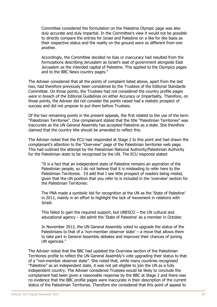Committee considered the formulation on the Palestine Olympic page was also duly accurate and duly impartial. In the Committee's view it would not be possible to directly compare the entries for Israel and Palestine on a like for like basis as their respective status and the reality on the ground were so different from one another.

Accordingly, the Committee decided no bias or inaccuracy had resulted from the formulations describing Jerusalem as Israel's seat of government alongside East Jerusalem as the intended capital of Palestine. This applied to the Olympics pages and to the BBC News country pages."

The Adviser considered that all the points of complaint listed above, apart from the last two, had therefore previously been considered by the Trustees of the Editorial Standards Committee. On those points, the Trustees had not considered the country profile pages were in breach of the Editorial Guidelines on either Accuracy or Impartiality. Therefore, on those points, the Adviser did not consider the points raised had a realistic prospect of success and did not propose to put them before Trustees.

Of the two remaining points in the present appeals, the first related to the use of the term "Palestinian Territories". One complainant stated that the title "Palestinian Territories" was inaccurate as the UN General Assembly has accepted Palestine as a state. She therefore claimed that the country title should be amended to reflect this.

The Adviser noted that the ECU had responded at Stage 2 to this point and had drawn the complainant's attention to the "Overview" page of the Palestinian territories web page. This had outlined the attempt by the Palestinian National Authority/Palestinian Authority for the Palestinian state to be recognised by the UN. The ECU response stated:

"It is a fact that an independent state of Palestine remains an aspiration of the Palestinian people, so I do not believe that it is misleading to refer here to the Palestinian Territories. I'd add that I see little prospect of readers being misled, given that the UN position that you refer to is included in the 'overview' section for the Palestinian Territories:

The PNA made a symbolic bid for recognition at the UN as the 'State of Palestine' in 2011, mainly in an effort to highlight the lack of movement in relations with Israel.

This failed to gain the required support, but UNESCO – the UN cultural and educational agency – did admit the 'State of Palestine' as a member in October.

In November 2012, the UN General Assembly voted to upgrade the status of the Palestinians to that of a 'non-member observer state' – a move that allows them to take part in General Assembly debates and improves their chances of joining UN agencies."

The Adviser noted that the BBC had updated the Overview section of the Palestinian Territories profile to reflect the UN General Assembly's vote upgrading their status to that of a "non-member observer state". She noted that, while many countries recognised "Palestine" as an independent state, it was not yet eligible to join the UN as a fully independent country. The Adviser considered Trustees would be likely to conclude the complainant had been given a reasonable response by the BBC at Stage 2 and there was no evidence that the BBC profile pages were inaccurate in their description of the current status of the Palestinian Territories. Therefore she considered that this point of appeal to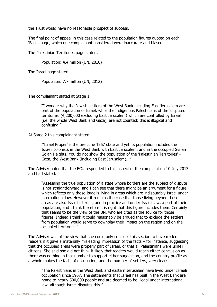the Trust would have no reasonable prospect of success.

The final point of appeal in this case related to the population figures quoted on each 'Facts' page, which one complainant considered were inaccurate and biased.

The Palestinian Territories page stated:

Population: 4.4 million (UN, 2010)

The Israel page stated:

Population: 7.7 million (UN, 2012)

The complainant stated at Stage 1:

"I wonder why the Jewish settlers of the West Bank including East Jerusalem are part of the population of Israel, while the indigenous Palestinians of the 'disputed territories' (4,200,000 excluding East Jerusalem) which are controlled by Israel (i.e. the whole West Bank and Gaza), are not counted: this is illogical and confusing."

At Stage 2 this complainant stated:

"'Israel Proper' is the pre June 1967 state and yet its population includes the Israeli colonists in the West Bank with East Jerusalem, and in the occupied Syrian Golan Heights. You do not show the population of the 'Palestinian Territories' – Gaza, the West Bank (including East Jerusalem)…"

The Adviser noted that the ECU responded to this aspect of the complaint on 10 July 2013 and had stated:

"Assessing the true population of a state whose borders are the subject of dispute is not straightforward, and I can see that there might be an argument for a figure which reflects only those Israelis living in areas which are indisputably Israel under international law. However it remains the case that those living beyond those areas are also Israeli citizens, and in practice and under Israeli law, a part of their population, and I think therefore it is right that this figure includes them. Certainly that seems to be the view of the UN, who are cited as the source for those figures. Indeed I think it could reasonably be argued that to exclude the settlers from population would serve to downplay their impact on the region and on the occupied territories."

The Adviser was of the view that she could only consider this section to have misled readers if it gave a materially misleading impression of the facts – for instance, suggesting that the occupied areas were properly part of Israel, or that all Palestinians were Israeli citizens. She said she did not think it likely that readers would reach either conclusion as there was nothing in that number to support either suggestion, and the country profile as a whole makes the facts of occupation, and the number of settlers, very clear:

"The Palestinians in the West Bank and eastern Jerusalem have lived under Israeli occupation since 1967. The settlements that Israel has built in the West Bank are home to nearly 500,000 people and are deemed to be illegal under international law, although Israel disputes this."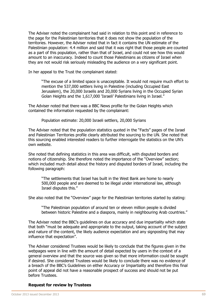The Adviser noted the complainant had said in relation to this point and in reference to the page for the Palestinian territories that it does not show the population of the territories. However, the Adviser noted that in fact it contains the UN estimate of the Palestinian population: 4.4 million and said that it was right that those people are counted as a part of this population, rather than that of Israel, and could not see how this would amount to an inaccuracy. Indeed to count those Palestinians as citizens of Israel when they are not would risk seriously misleading the audience on a very significant point.

In her appeal to the Trust the complainant stated:

"The excuse of a limited space is unacceptable. It would not require much effort to mention the 537,000 settlers living in Palestine (including Occupied East Jerusalem), the 20,000 Israelis and 20,000 Syrians living in the Occupied Syrian Golan Heights and the 1,617,000 'Israeli' Palestinians living in Israel."

The Adviser noted that there was a BBC News profile for the Golan Heights which contained the information requested by the complainant:

Population estimate: 20,000 Israeli settlers, 20,000 Syrians

The Adviser noted that the population statistics quoted in the "Facts" pages of the Israel and Palestinian Territories profile clearly attributed the sourcing to the UN. She noted that this sourcing enabled interested readers to further interrogate the statistics on the UN's own website.

She noted that defining statistics in this area was difficult, with disputed borders and notions of citizenship. She therefore noted the importance of the "Overview" section; which included much detail about the history and disputed borders of Israel, including the following paragraph:

"The settlements that Israel has built in the West Bank are home to nearly 500,000 people and are deemed to be illegal under international law, although Israel disputes this."

She also noted that the "Overview" page for the Palestinian territories started by stating:

"The Palestinian population of around ten or eleven million people is divided between historic Palestine and a diaspora, mainly in neighbouring Arab countries."

The Adviser noted the BBC's guidelines on due accuracy and due impartiality which state that both "must be adequate and appropriate to the output, taking account of the subject and nature of the content, the likely audience expectation and any signposting that may influence that expectation".

The Adviser considered Trustees would be likely to conclude that the figures given in the webpages were in line with the amount of detail expected by users in the context of a general overview and that the source was given so that more information could be sought if desired. She considered Trustees would be likely to conclude there was no evidence of a breach of the BBC's Guidelines on either Accuracy or Impartiality and therefore this final point of appeal did not have a reasonable prospect of success and should not be put before Trustees.

### **Request for review by Trustees**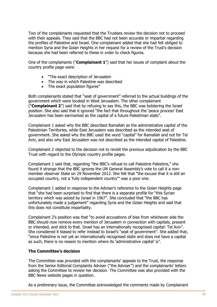Two of the complainants requested that the Trustees review the decision not to proceed with their appeals. They said that the BBC had not been accurate or impartial regarding the profiles of Palestine and Israel. One complainant added that she had felt obliged to mention Syria and the Golan Heights in her request for a review of the Trust's decision because she had been referred to these in order to check figures.

One of the complainants ("**Complainant 1**") said that her issues of complaint about the country profile page were:

- "The exact description of Jerusalem
- The way in which Palestine was described
- The exact population figures"

Both complainants stated that "seat of government" referred to the actual buildings of the government which were located in West Jerusalem. The other complainant ("**Complainant 2**") said that by refusing to say this, the BBC was bolstering the Israel position. She also said that it ignored "the fact that throughout the 'peace process' East Jerusalem has been earmarked as the capital of a future Palestinian state".

Complainant 1 asked why the BBC described Ramallah as the administrative capital of the Palestinian Territories, while East Jerusalem was described as the intended seat of government. She asked why the BBC used the word "capital" for Ramallah and not for Tel Aviv, and also why East Jerusalem was not described as the intended capital of Palestine.

Complainant 2 objected to the decision not to revisit the previous adjudication by the BBC Trust with regard to the Olympic country profile pages.

Complainant 1 said that, regarding "the BBC's refusal to call Palestine Palestine," she found it strange that the BBC ignores the UN General Assembly's vote to call it a nonmember observer State on 29 November 2012. She felt that "the excuse that it is still an occupied country, not a 'fully independent country'" was a poor one.

Complainant 1 added in response to the Adviser's reference to the Golan Heights page that "she had been surprised to find that there is a separate profile for "this Syrian territory which was seized by Israel in 1967". She concluded that "the BBC has unfortunately made a judgement" regarding Syria and the Golan Heights and said that this does not constitute impartiality.

Complainant 2's position was that "to avoid accusations of bias from whichever side the BBC should now remove every mention of Jerusalem in connection with capitals, present or intended, and stick to that. Israel has an internationally recognised capital: Tel Aviv". She considered it biased to refer instead to Israel's "seat of government". She added that, "since Palestine is not yet an internationally recognised state and does not have a capital as such, there is no reason to mention where its 'administrative capital' is".

### **The Committee's decision**

The Committee was provided with the complainants' appeals to the Trust, the response from the Senior Editorial Complaints Adviser ("the Adviser") and the complainants' letters asking the Committee to review her decision. The Committee was also provided with the BBC News website pages in question.

As a preliminary issue, the Committee acknowledged the comments made by Complainant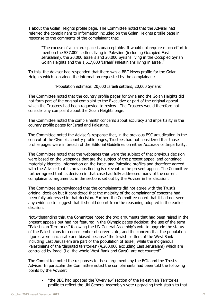1 about the Golan Heights profile page. The Committee noted that the Adviser had referred the complainant to information included on the Golan Heights profile page in response to the comments of the complainant that:

"The excuse of a limited space is unacceptable. It would not require much effort to mention the 537,000 settlers living in Palestine (including Occupied East Jerusalem), the 20,000 Israelis and 20,000 Syrians living in the Occupied Syrian Golan Heights and the 1,617,000 'Israeli' Palestinians living in Israel."

To this, the Adviser had responded that there was a BBC News profile for the Golan Heights which contained the information requested by the complainant:

"Population estimate: 20,000 Israeli settlers, 20,000 Syrians"

The Committee noted that the country profile pages for Syria and the Golan Heights did not form part of the original complaint to the Executive or part of the original appeal which the Trustees had been requested to review. The Trustees would therefore not consider any complaint about the Golan Heights page.

The Committee noted the complainants' concerns about accuracy and impartiality in the country profile pages for Israel and Palestine.

The Committee noted the Adviser's response that, in the previous ESC adjudication in the context of the Olympic country profile pages, Trustees had not considered that those profile pages were in breach of the Editorial Guidelines on either Accuracy or Impartiality.

The Committee noted that the webpages that were the subject of that previous decision were based on the webpages that are the subject of the present appeal and contained materially identical information on the Israel and Palestine profiles and therefore agreed with the Adviser that its previous finding is relevant to the present appeal. The Committee further agreed that its decision in that case had fully addressed many of the current complainants' arguments, in the sections set out by the Adviser in her decision.

The Committee acknowledged that the complainants did not agree with the Trust's original decision but it considered that the majority of the complainants' concerns had been fully addressed in that decision. Further, the Committee noted that it had not seen any evidence to suggest that it should depart from the reasoning adopted in the earlier decision.

Notwithstanding this, the Committee noted the two arguments that had been raised in the present appeals but had not featured in the Olympic pages decision: the use of the term "Palestinian Territories" following the UN General Assembly's vote to upgrade the status of the Palestinians to a non-member observer state; and the concern that the population figures were inaccurate and biased because "the Jewish settlers of the West Bank including East Jerusalem are part of the population of Israel, while the indigenous Palestinians of the 'disputed territories' (4,200,000 excluding East Jerusalem) which are controlled by Israel (i.e. the whole West Bank and Gaza), are not counted".

The Committee noted the responses to these arguments by the ECU and the Trust's Adviser. In particular the Committee noted the complainants had been told the following points by the Adviser:

 "the BBC had updated the 'Overview' section of the Palestinian Territories profile to reflect the UN General Assembly's vote upgrading their status to that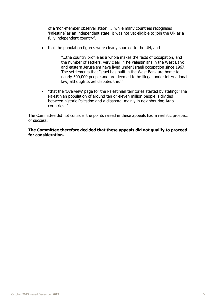of a 'non-member observer state' ... while many countries recognised 'Palestine' as an independent state, it was not yet eligible to join the UN as a fully independent country".

that the population figures were clearly sourced to the UN, and

"…the country profile as a whole makes the facts of occupation, and the number of settlers, very clear: 'The Palestinians in the West Bank and eastern Jerusalem have lived under Israeli occupation since 1967. The settlements that Israel has built in the West Bank are home to nearly 500,000 people and are deemed to be illegal under international law, although Israel disputes this'."

 "that the 'Overview' page for the Palestinian territories started by stating: 'The Palestinian population of around ten or eleven million people is divided between historic Palestine and a diaspora, mainly in neighbouring Arab countries.'"

The Committee did not consider the points raised in these appeals had a realistic prospect of success.

**The Committee therefore decided that these appeals did not qualify to proceed for consideration.**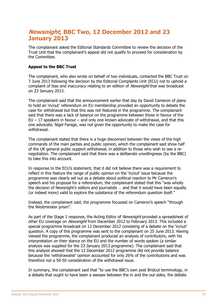# **Newsnight, BBC Two, 12 December 2012 and 23 January 2013**

The complainant asked the Editorial Standards Committee to review the decision of the Trust Unit that the complainant's appeal did not qualify to proceed for consideration by the Committee.

### **Appeal to the BBC Trust**

The complainant, who also wrote on behalf of two individuals, contacted the BBC Trust on 7 June 2013 following the decision by the Editorial Complaints Unit (ECU) not to uphold a complaint of bias and inaccuracy relating to an edition of *Newsnight* that was broadcast on 23 January 2013.

The complainant said that the announcement earlier that day by David Cameron of plans to hold an 'in/out' referendum on EU membership provided an opportunity to debate the case for withdrawal but that this was not featured in the programme. The complainant said that there was a lack of balance on the programme between those in favour of the  $EU - 17$  speakers in favour – and only one known advocate of withdrawal, and that this one advocate, Nigel Farage, was not given the opportunity to make the case for withdrawal.

The complainant stated that there is a huge disconnect between the views of the high commands of the main parties and public opinion, which the complainant said show half of the UK general public support withdrawal, in addition to those who wish to see a renegotiation. The complainant said that there was a deliberate unwillingness (by the BBC) to take this into account.

In response to the ECU's statement, that it did not believe there was a requirement to reflect in this feature the range of public opinion on the 'in/out' issue because the programme was clearly set out as a debate about political reaction to Mr Cameron's speech and his proposal for a referendum, the complainant stated that this "was wholly the decision of Newsnight's editors and journalists … and that it would have been equally (or indeed more) valid to explore the substance of the referendum question itself."

Instead, the complainant said, the programme focussed on Cameron's speech "through the Westminster prism".

As part of the Stage 1 response, the Acting Editor of *Newsnight* provided a spreadsheet of other EU coverage on *Newsnight* from December 2012 to February 2013. This included a special programme broadcast on 12 December 2012 consisting of a debate on the 'in/out' question. A copy of this programme was sent to the complainant on 25 June 2013. Having viewed the programme, the complainant produced an analysis of contributors, with his interpretation on their stance on the EU and the number of words spoken (a similar analysis was supplied for the 23 January 2013 programme). The complainant said that this analysis showed that the 12 December 2012 programme did not provide balance because the 'withdrawalist' opinion accounted for only 26% of the contributions and was therefore not a 50-50 consideration of the withdrawal issue.

In summary, the complainant said that "to use the BBC's own post Bridcut terminology, in a debate that ought to have been a seesaw between the in and the out sides, the debate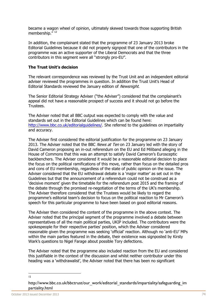became a wagon wheel of opinion, ultimately skewed towards those supporting British membership."<sup>12</sup>

In addition, the complainant stated that the programme of 23 January 2013 broke Editorial Guidelines because it did not properly signpost that one of the contributors in the programme was an active supporter of the Liberal Democrats and that the three contributors in this segment were all "strongly pro-EU".

### **The Trust Unit's decision**

The relevant correspondence was reviewed by the Trust Unit and an independent editorial adviser reviewed the programmes in question. In addition the Trust Unit's Head of Editorial Standards reviewed the January edition of Newsnight.

The Senior Editorial Strategy Adviser ("the Adviser") considered that the complainant's appeal did not have a reasonable prospect of success and it should not go before the Trustees.

The Adviser noted that all BBC output was expected to comply with the value and standards set out in the Editorial Guidelines which can be found here: [http://www.bbc.co.uk/editorialguidelines/.](http://www.bbc.co.uk/editorialguidelines/) She referred to the guidelines on impartiality and accuracy.

The Adviser first considered the editorial justification for the programme on 23 January 2013. The Adviser noted that the BBC News at Ten on 23 January led with the story of David Cameron proposing an in-out referendum on the EU and Ed Miliband alleging in the House of Commons that this was an attempt to satisfy David Cameron's Eurosceptic backbenchers. The Adviser considered it would be a reasonable editorial decision to place the focus on the political ramifications of this move, rather than focus on the detailed pros and cons of EU membership, regardless of the state of public opinion on the issue. The Adviser considered that the EU withdrawal debate is a 'major matter' as set out in the Guidelines but that the announcement of a referendum could not be construed as a 'decisive moment' given the timetable for the referendum post 2015 and the framing of the debate through the promised re-negotiation of the terms of the UK's membership. The Adviser therefore considered that the Trustees would be likely to regard the programme's editorial team's decision to focus on the political reaction to Mr Cameron's speech for this particular programme to have been based on good editorial reasons.

The Adviser then considered the content of the programme in the above context. The Adviser noted that the principal segment of the programme involved a debate between representatives of all the main political parties, UKIP included. The contributors were the spokespeople for their respective parties' position, which the Adviser considered reasonable given the programme was seeking 'official' reaction. Although no 'anti-EU' MPs within the main parties featured in the debate, their existence was signposted by Kirsty Wark's questions to Nigel Farage about possible Tory defections.

The Adviser noted that the programme also included reaction from the EU and considered this justifiable in the context of the discussion and whilst neither contributor under this heading was a 'withdrawalist', the Adviser noted that there has been no significant

 $\frac{1}{12}$ 

http://www.bbc.co.uk/bbctrust/our\_work/editorial\_standards/impartiality/safeguarding\_im partiality.html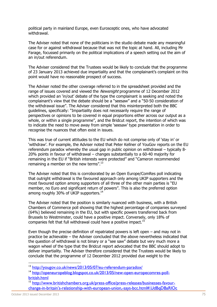political party in mainland Europe, even Eurosceptic ones, who have advocated withdrawal.

The Adviser noted that none of the politicians in the studio debate made any meaningful case for or against withdrawal because that was not the topic at hand. All, including Mr Farage, focussed primarily on the political implications of a speech setting out the aim of an in/out referendum.

The Adviser considered that the Trustees would be likely to conclude that the programme of 23 January 2013 achieved due impartiality and that the complainant's complaint on this point would have no reasonable prospect of success.

The Adviser noted the other coverage referred to in the spreadsheet provided and the range of issues covered and viewed the *Newsnight* programme of 12 December 2012 which provided an 'in/out' debate of the type the complainant is seeking and noted the complainant's view that the debate should be a "seesaw" and a "50-50 consideration of the withdrawal issue". The Adviser considered that this misinterpreted both the BBC guidelines, specifically: "Impartiality does not necessarily require the range of perspectives or opinions to be covered in equal proportions either across our output as a whole, or within a single programme", and the Bridcut report, the intention of which was to indicate the need to move away from simple 'seesaw' type presentation in order to recognise the nuances that often exist in issues.

This was true of current attitudes to the EU which do not comprise only of 'stay in' or 'withdraw'. For example, the Adviser noted that Peter Kellner of YouGov reports on the EU referendum paradox whereby the usual gap in public opinion on withdrawal – typically 8- 20% points in favour of withdrawal – changes substantially to a 60-40 majority for remaining in the EU if "British interests were protected" and "Cameron recommended remaining a member on the new terms".<sup>13</sup>

The Adviser noted that this is corroborated by an Open Europe/ComRes poll indicating that outright withdrawal is the favoured approach only among UKIP supporters and the most favoured option among supporters of all three of the other main parties is "EU member, no Euro and significant return of powers". This is also the preferred option among roughly 30% of UKIP supporters.<sup>14</sup>

The Adviser noted that the position is similarly nuanced with business, with a British Chambers of Commerce poll showing that the highest percentage of companies surveyed (64%) believed remaining in the EU, but with specific powers transferred back from Brussels to Westminster, could have a positive impact. Conversely, only 18% of companies felt that full withdrawal could have a positive impact.<sup>15</sup>

Even though the precise definition of repatriated powers is left open – and may not in practice be achievable – the Adviser concluded that the above nevertheless indicated that the question of withdrawal is not binary or a "see saw" debate but very much more a wagon wheel of the type that the Bridcut report advocated that the BBC should adopt to deliver impartiality. The Adviser therefore considered that the Trustees would be likely to conclude that the programme of 12 December 2012 provided due weight to the

-

<sup>13</sup> <http://yougov.co.uk/news/2013/05/07/eu-referendum-paradox/>

<sup>14</sup> [http://openeuropeblog.blogspot.co.uk/2013/05/new-open-europecomres-poll](http://openeuropeblog.blogspot.co.uk/2013/05/new-open-europecomres-poll-british.html)[british.html](http://openeuropeblog.blogspot.co.uk/2013/05/new-open-europecomres-poll-british.html)

<sup>&</sup>lt;sup>15</sup> [http://www.britishchambers.org.uk/press-office/press-releases/businesses-favour](http://www.britishchambers.org.uk/press-office/press-releases/businesses-favour-change-in-britain%E2%80%99s-relationship-with-european-union,-says-bcc.html#.UdBqDBaRlOc)change-in-britain's[-relationship-with-european-union,-says-bcc.html#.UdBqDBaRlOc](http://www.britishchambers.org.uk/press-office/press-releases/businesses-favour-change-in-britain%E2%80%99s-relationship-with-european-union,-says-bcc.html#.UdBqDBaRlOc)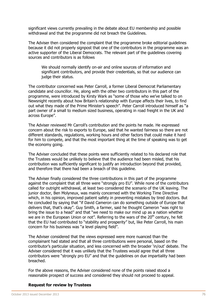significant views currently prevailing in the debate about EU membership and possible withdrawal and that the programme did not breach the Guidelines.

The Adviser then considered the complaint that the programme broke editorial guidelines because it did not properly signpost that one of the contributors in the programme was an active supporter of the Liberal Democrats. The relevant part of the guidelines covering sources and contributors is as follows

We should normally identify on-air and online sources of information and significant contributors, and provide their credentials, so that our audience can judge their status.

The contributor concerned was Peter Carroll, a former Liberal Democrat Parliamentary candidate and councillor. He, along with the other two contributors in this part of the programme, were introduced by Kirsty Wark as "some of those who we've talked to on Newsnight recently about how Britain's relationship with Europe affects their lives, to find out what they made of the Prime Minister's speech". Peter Carroll introduced himself as "a part owner of a small to medium sized business, operating in road freight in the UK and across Europe".

The Adviser reviewed Mr Carroll's contribution and the points he made. He expressed concern about the risk to exports to Europe, said that he wanted fairness so there are not different standards, regulations, working hours and other factors that could make it hard for him to compete, and that the most important thing at the time of speaking was to get the economy going.

The Adviser concluded that these points were sufficiently related to his declared role that the Trustees would be unlikely to believe that the audience had been misled, that his contribution was sufficiently significant to justify an introduction beyond that provided, and therefore that there had been a breach of this guideline.

The Adviser finally considered the three contributions in this part of the programme against the complaint that all three were "strongly pro EU". While none of the contributors called for outright withdrawal, at least two considered the scenario of the UK leaving. The junior doctor, Ben Molyneux, was mainly concerned with the Working Time Directive which, in his opinion, improved patient safety in preventing mistakes by tired doctors. But he concluded by saying that "if David Cameron can do something outside of Europe that delivers that, that's okay". Guy Smith, a farmer, said he thought Cameron "was right to bring the issue to a head" and that "we need to make our mind up as a nation whether we are in the European Union or not". Referring to the wars of the  $20<sup>th</sup>$  century, he felt that the EU had contributed to "stability and prosperity" but, like Peter Carroll, his main concern for his business was "a level playing field".

The Adviser considered that the views expressed were more nuanced than the complainant had stated and that all three contributions were personal, based on the contributor's particular situation, and less concerned with the broader 'in/out' debate. The Adviser considered that it was unlikely that the Trustees would agree that all three contributors were "strongly pro EU" and that the guidelines on due impartiality had been breached.

For the above reasons, the Adviser considered none of the points raised stood a reasonable prospect of success and considered they should not proceed to appeal.

#### **Request for review by Trustees**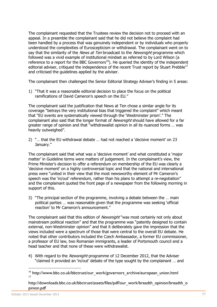The complainant requested that the Trustees review the decision not to proceed with an appeal. In a preamble the complainant said that he did not believe the complaint had been handled by a process that was genuinely independent or by individuals who properly understood the complexities of Euroscepticism or withdrawal. The complainant went on to say that the similarity of the News at Ten broadcast to the Newsnight programme which followed was a vivid example of institutional mindset as referred to by Lord Wilson (a reference to a report for the BBC Governors<sup>16</sup>). He queried the identity of the independent editorial adviser, critiqued the independence of the recent Trust report by Stuart Prebble<sup>17</sup> and criticised the guidelines applied by the adviser.

The complainant then challenged the Senior Editorial Strategy Adviser's finding in 5 areas:

1) "That it was a reasonable editorial decision to place the focus on the political ramifications of David Cameron's speech on the EU."

The complainant said the justification that News at Ten chose a similar angle for its coverage "betrays the very institutional bias that triggered the complaint" which meant that "EU events are systematically viewed through the 'Westminster prism'." The complainant also said that the longer format of *Newsnight* should have allowed for a far greater range of opinion and that "withdrawalist opinion in all its nuanced forms … was heavily outweighed".

2) "… that the EU withdrawal debate … had not reached a 'decisive moment' on 23 January."

The complainant said that what was a 'decisive moment' and what constituted a 'major matter' in Guideline terms were matters of judgement. In the complainant's view, the Prime Minister's decision to offer a referendum on membership of the EU was clearly a 'decisive moment' on a highly controversial topic and that the national and international press were "united in their view that the most newsworthy element of Mr Cameron's speech was the 'in/out' referendum, rather than his plans to attempt a re-negotiation" and the complainant quoted the front page of a newspaper from the following morning in support of this.

3) "The principal section of the programme, involving a debate between the … main political parties … was reasonable given that the programme was seeking 'official reaction' to Mr Cameron's announcement."

The complainant said that this edition of *Newsnight* "was most certainly not only about mainstream political reaction" and that the programme was "patently designed to contain external, non-Westminster opinion" and that it deliberately gave the impression that the views included were a spectrum of those that were central to the overall EU debate. He noted that other contributors included the Czech Ambassador, a former EU commissioner, a professor of EU law, two Romanian immigrants, a leader of Portsmouth council and a head teacher and that none of these were withdrawalist.

4) With regard to the *Newsnight* programme of 12 December 2012, that the Adviser "claimed it provided an 'in/out' debate of the type sought by the complainant … and

-

<sup>&</sup>lt;sup>16</sup> http://www.bbc.co.uk/bbctrust/our\_work/governors\_archive/european\_union.html 17

http://downloads.bbc.co.uk/bbctrust/assets/files/pdf/our\_work/breadth\_opinion/breadth\_o pinion.pdf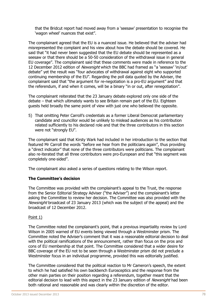that the Bridcut report had moved away from a 'seesaw' presentation to recognise the 'wagon wheel' nuances that exist".

The complainant agreed that the EU is a nuanced issue. He believed that the adviser had misrepresented the complaint and his view about how the debate should be covered. He said that "it had never been suggested that the EU debate should be represented as a seesaw or that there should be a 50-50 consideration of the withdrawal issue in general EU coverage". The complainant said that these comments were made in reference to the 12 December 2012 edition of Newsnight which the BBC had framed as "a 'seesaw' 'in/out' debate" yet the result was "four advocates of withdrawal against eight who supported continuing membership of the EU". Regarding the poll data quoted by the Adviser, the complainant said that "the argument for re-negotiation is a pro-EU argument" and that the referendum, if and when it comes, will be a binary "in or out, after renegotiation".

The complainant reiterated that the 23 January debate explored only one side of the debate – that which ultimately wants to see Britain remain part of the EU. Eighteen guests held broadly the same point of view with just one who believed the opposite.

5) That omitting Peter Carroll's credentials as a former Liberal Democrat parliamentary candidate and councillor would be unlikely to mislead audiences as his contribution related sufficiently to his declared role and that the three contributors in this section were not "strongly EU".

The complainant said that Kirsty Wark had included in her introduction to the section that featured Mr Carroll the words "before we hear from the politicians again", thus providing a "direct indicator" that none of the three contributors were politicians. The complainant also re-iterated that all three contributors were pro-European and that "this segment was completely one-sided".

The complainant also asked a series of questions relating to the Wilson report.

#### **The Committee's decision**

The Committee was provided with the complainant's appeal to the Trust, the response from the Senior Editorial Strategy Adviser ("the Adviser") and the complainant's letter asking the Committee to review her decision. The Committee was also provided with the Newsnight broadcast of 23 January 2013 (which was the subject of the appeal) and the broadcast of 12 December 2012.

#### Point 1)

The Committee noted the complainant's point, that a previous impartiality review by Lord Wilson in 2005 warned of EU events being viewed through a Westminster prism. The Committee noted the Adviser's comment that it was a reasonable editorial decision to deal with the political ramifications of the announcement, rather than focus on the pros and cons of EU membership at that point. The Committee considered that a wider desire for BBC coverage of the EU not to be seen through a Westminster prism did not preclude a Westminster focus in an individual programme, provided this was editorially justified.

The Committee considered that the political reaction to Mr Cameron's speech, the extent to which he had satisfied his own backbench Eurosceptics and the response from the other main parties on their position regarding a referendum, together meant that the editorial decision to lead with this aspect in the 23 January edition of *Newsnight* had been both rational and reasonable and was clearly within the discretion of the editor.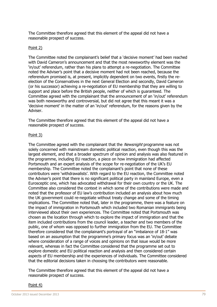The Committee therefore agreed that this element of the appeal did not have a reasonable prospect of success.

#### Point 2)

The Committee noted the complainant's belief that a 'decisive moment' had been reached with David Cameron's announcement and that the most newsworthy element was the 'in/out' referendum, rather than his plans to attempt a re-negotiation. The Committee noted the Adviser's point that a decisive moment had not been reached, because the referendum promised is, at present, implicitly dependent on two events, firstly the reelection of the Conservatives in the next General Election and secondly, David Cameron (or his successor) achieving a re-negotiation of EU membership that they are willing to support and place before the British people, neither of which is guaranteed. The Committee agreed with the complainant that the announcement of an 'in/out' referendum was both newsworthy and controversial, but did not agree that this meant it was a 'decisive moment' in the matter of an 'in/out' referendum, for the reasons given by the Adviser.

The Committee therefore agreed that this element of the appeal did not have a reasonable prospect of success.

#### Point 3)

The Committee agreed with the complainant that the *Newsnight* programme was not solely concerned with mainstream domestic political reaction, even though this was the largest element, and that a broader spectrum of opinion and analysis was also featured in the programme, including EU reaction, a piece on how immigration had affected Portsmouth and an expert analysis of the scope for re-negotiation of the UK's EU membership. The Committee noted the complainant's point that none of these contributors were 'withdrawalists'. With regard to the EU reaction, the Committee noted the Adviser's point that there is no significant political party in mainland Europe, even a Eurosceptic one, which has advocated withdrawal for their own country or the UK. The Committee also considered the context in which some of the contributions were made and noted that the professor of EU law's contribution included an analysis about how much the UK government could re-negotiate without treaty change and some of the timing implications. The Committee noted that, later in the programme, there was a feature on the impact of immigration in Portsmouth which included two Romanian immigrants being interviewed about their own experiences. The Committee noted that Portsmouth was chosen as the location through which to explore the impact of immigration and that the item included contributions from the council leader, a teacher and two members of the public, one of whom was opposed to further immigration from the EU. The Committee therefore considered that the complainant's portrayal of an "imbalance of 18-1" was based on an assumption that the programme's primary focus was an 'in/out' debate where consideration of a range of voices and opinions on that issue would be more relevant, whereas in fact the Committee considered that the programme set out to explore domestic and EU political reaction and analysis and then considered certain aspects of EU membership and the experiences of individuals. The Committee considered that the editorial decisions taken in choosing the contributors were reasonable.

The Committee therefore agreed that this element of the appeal did not have a reasonable prospect of success.

#### Point 4)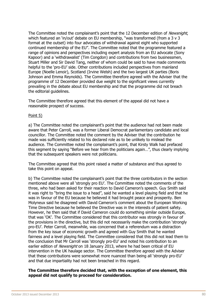The Committee noted the complainant's point that the 12 December edition of Newsnight, which featured an 'in/out' debate on EU membership, "was transformed (from a 3 v 3 format at the outset) into four advocates of withdrawal against eight who supported continued membership of the EU". The Committee noted that the programme featured a range of opinions and perspectives including expert analysis from an EU advocate (Sony Kapoor) and a 'withdrawalist' (Tim Congdon) and contributions from two businessmen, Stuart Miller and Sir David Tang, neither of whom could be said to have made comments helpful to the 'pro-EU' side. Other contributions included perspectives from mainland Europe (Noelle Lenoir), Scotland (Irvine Welsh) and the two largest UK parties (Boris Johnson and Emma Reynolds). The Committee therefore agreed with the Adviser that the programme of 12 December provided due weight to the significant views currently prevailing in the debate about EU membership and that the programme did not breach the editorial guidelines.

The Committee therefore agreed that this element of the appeal did not have a reasonable prospect of success.

#### Point 5)

a) The Committee noted the complainant's point that the audience had not been made aware that Peter Carroll, was a former Liberal Democrat parliamentary candidate and local councillor. The Committee noted the comment by the Adviser that the contribution he made was sufficiently related to his declared role as to be unlikely to mislead the audience. The Committee noted the complainant's point, that Kirsty Walk had prefaced this segment by saying "Before we hear from the politicians again…", thus clearly implying that the subsequent speakers were not politicians.

The Committee agreed that this point raised a matter of substance and thus agreed to take this point on appeal.

b) The Committee noted the complainant's point that the three contributors in the section mentioned above were all 'strongly pro EU'. The Committee noted the comments of the three, who had been asked for their reaction to David Cameron's speech. Guy Smith said it was right to "bring the issue to a head", said he wanted a level playing field and that he was in favour of the EU because he believed it had brought peace and prosperity. Ben Molyneux said he disagreed with David Cameron's comment about the European Working Time Directive because he believed the Directive was in the interests of patient safety. However, he then said that if David Cameron could do something similar outside Europe, that was 'OK'. The Committee considered that this contributor was strongly in favour of the provisions in the directive, but this did not necessarily make the contribution 'strongly pro-EU'. Peter Carroll, meanwhile, was concerned that a referendum was a distraction from the key issue of economic growth and agreed with Guy Smith that he wanted fairness and a level playing field. The Committee considered that this did not lead them to the conclusion that Mr Carroll was 'strongly pro-EU' and noted his contribution to an earlier edition of Newsnight on 18 January 2013, where he had been critical of EU intervention in the UK haulage sector. The Committee therefore agreed with the Adviser that these contributions were somewhat more nuanced than being all 'strongly pro-EU' and that due impartiality had not been breached in this regard.

#### **The Committee therefore decided that, with the exception of one element, this appeal did not qualify to proceed for consideration.**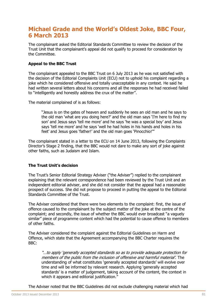# **Michael Grade and the World's Oldest Joke, BBC Four, 6 March 2013**

The complainant asked the Editorial Standards Committee to review the decision of the Trust Unit that the complainant's appeal did not qualify to proceed for consideration by the Committee.

# **Appeal to the BBC Trust**

The complainant appealed to the BBC Trust on 6 July 2013 as he was not satisfied with the decision of the Editorial Complaints Unit (ECU) not to uphold his complaint regarding a joke which he considered offensive and totally unacceptable in any context. He said he had written several letters about his concerns and all the responses he had received failed to "intelligently and honestly address the crux of the matter".

The material complained of is as follows:

"Jesus is on the gates of heaven and suddenly he sees an old man and he says to the old man 'what are you doing here?' and the old man says 'I'm here to find my son' and Jesus says 'tell me more' and he says 'he was a special boy' and Jesus says 'tell me more' and he says 'well he had holes in his hands and holes in his feet' and Jesus goes 'father!' and the old man goes 'Pinocchio!'"

The complainant stated in a letter to the ECU on 14 June 2013, following the Complaints Director's Stage 2 finding, that the BBC would not dare to make any sort of joke against other faiths, such as Judaism and Islam.

#### **The Trust Unit's decision**

The Trust's Senior Editorial Strategy Adviser ("the Adviser") replied to the complainant explaining that the relevant correspondence had been reviewed by the Trust Unit and an independent editorial adviser, and she did not consider that the appeal had a reasonable prospect of success. She did not propose to proceed in putting the appeal to the Editorial Standards Committee of the Trust.

The Adviser considered that there were two elements to the complaint: first, the issue of offence caused to the complainant by the subject matter of the joke at the centre of the complaint; and secondly, the issue of whether the BBC would ever broadcast "a vaguely similar" piece of programme content which had the potential to cause offence to members of other faiths.

The Adviser considered the complaint against the Editorial Guidelines on Harm and Offence, which state that the Agreement accompanying the BBC Charter requires the BBC:

"…to apply 'generally accepted standards so as to provide adequate protection for members of the public from the inclusion of offensive and harmful material'. The understanding of what constitutes 'generally accepted standards' will evolve over time and will be informed by relevant research. Applying 'generally accepted standards' is a matter of judgement, taking account of the content, the context in which it appears and editorial justification."

The Adviser noted that the BBC Guidelines did not exclude challenging material which had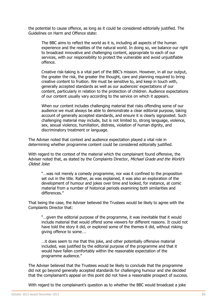the potential to cause offence, as long as it could be considered editorially justified. The Guidelines on Harm and Offence state:

The BBC aims to reflect the world as it is, including all aspects of the human experience and the realities of the natural world. In doing so, we balance our right to broadcast innovative and challenging content, appropriate to each of our services, with our responsibility to protect the vulnerable and avoid unjustifiable offence.

Creative risk-taking is a vital part of the BBC's mission. However, in all our output, the greater the risk, the greater the thought, care and planning required to bring creative content to fruition. We must be sensitive to, and keep in touch with, generally accepted standards as well as our audiences' expectations of our content, particularly in relation to the protection of children. Audience expectations of our content usually vary according to the service on which it appears.

When our content includes challenging material that risks offending some of our audience we must always be able to demonstrate a clear editorial purpose, taking account of generally accepted standards, and ensure it is clearly signposted. Such challenging material may include, but is not limited to, strong language, violence, sex, sexual violence, humiliation, distress, violation of human dignity, and discriminatory treatment or language.

The Adviser noted that context and audience expectation played a vital role in determining whether programme content could be considered editorially justified.

With regard to the context of the material which the complainant found offensive, the Adviser noted that, as stated by the Complaints Director, Michael Grade and the World's Oldest Joke:

"…was not merely a comedy programme, nor was it confined to the proposition set out in the title. Rather, as was explained, it was also an exploration of the development of humour and jokes over time and looked, for instance, at comic material from a number of historical periods examining both similarities and differences."

That being the case, the Adviser believed the Trustees would be likely to agree with the Complaints Director that:

"…given the editorial purpose of the programme, it was inevitable that it would include material that would offend some viewers for different reasons. It could not have told the story it did, or explored some of the themes it did, without risking giving offence to some….

…it does seem to me that this joke, and other potentially offensive material included, was justified by the editorial purpose of the programme and that it would have fallen comfortably within the reasonable expectation of the programme audience."

The Adviser believed that the Trustees would be likely to conclude that the programme did not go beyond generally accepted standards for challenging humour and she decided that the complainant's appeal on this point did not have a reasonable prospect of success.

With regard to the complainant's question as to whether the BBC would broadcast a joke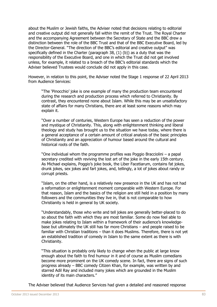about the Muslim or Jewish faiths, the Adviser noted that decisions relating to editorial and creative output did not generally fall within the remit of the Trust. The Royal Charter and the accompanying Agreement between the Secretary of State and the BBC drew a distinction between the role of the BBC Trust and that of the BBC Executive Board, led by the Director-General. "The direction of the BBC's editorial and creative output" was specifically defined in the Charter (paragraph 38, (1) (b)) as a duty that was the responsibility of the Executive Board, and one in which the Trust did not get involved unless, for example, it related to a breach of the BBC's editorial standards which the Adviser believed Trustees would conclude did not apply in this case.

However, in relation to this point, the Adviser noted the Stage 1 response of 22 April 2013 from Audience Services:

"The 'Pinocchio' joke is one example of many the production team encountered during the research and production process which referred to Christianity. By contrast, they encountered none about Islam. While this may be an unsatisfactory state of affairs for many Christians, there are at least some reasons which may explain it.

"Over a number of centuries, Western Europe has seen a reduction of the power and mystique of Christianity. This, along with enlightenment thinking and liberal theology and study has brought us to the situation we have today, where there is a general acceptance of a certain amount of critical analysis of the basic principles of Christianity and an appreciation of humour based around the cultural and historical roots of the faith.

"One individual whom the programme profiles was Poggio Bracciolini – a papal secretary credited with reviving the lost art of the joke in the early 15th century. As Michael explains, Poggio's joke book, the Liber Facetiarum, contains fat jokes, drunk jokes, sex jokes and fart jokes, and, tellingly, a lot of jokes about randy or corrupt priests.

"Islam, on the other hand, is a relatively new presence in the UK and has not had a reformation or enlightenment moment comparable with Western Europe. For that reason, Islam and the basics of the religion are still held in a position by many followers and the communities they live in, that is not comparable to how Christianity is held in general by UK society.

"Understandably, those who write and tell jokes are generally better-placed to do so about the faith with which they are most familiar. Some do now feel able to make jokes relating to Islam within a framework of their audience's knowledgebase but ultimately the UK still has far more Christians – and people raised to be familiar with Christian traditions – than it does Muslims. Therefore, there is not yet an established tradition of comedy in Islam to the same extent as there is with Christianity.

"This situation is probably only likely to change when the public at large know enough about the faith to find humour in it and of course as Muslim comedians become more prominent on the UK comedy scene. In fact, there are signs of such progress already – BBC comedy Citizen Khan, for example, was written by and starred Adil Ray and included many jokes which are grounded in the Muslim identity of its main characters."

The Adviser believed that Audience Services had given a detailed and reasoned response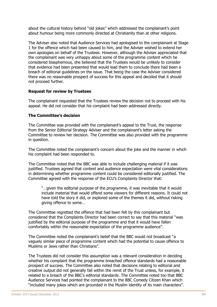about the cultural history behind "old jokes" which addressed the complainant's point about humour being more commonly directed at Christianity than at other religions.

The Adviser also noted that Audience Services had apologised to the complainant at Stage 1 for the offence which had been caused to him, and the Adviser wished to extend her own apologies on behalf of the Trustees. However, although the Adviser appreciated that the complainant was very unhappy about some of the programme content which he considered blasphemous, she believed that the Trustees would be unlikely to consider that evidence had been presented that would lead them to conclude there had been a breach of editorial guidelines on the issue. That being the case the Adviser considered there was no reasonable prospect of success for this appeal and decided that it should not proceed further.

#### **Request for review by Trustees**

The complainant requested that the Trustees review the decision not to proceed with his appeal. He did not consider that his complaint had been addressed directly.

#### **The Committee's decision**

The Committee was provided with the complainant's appeal to the Trust, the response from the Senior Editorial Strategy Adviser and the complainant's letter asking the Committee to review her decision. The Committee was also provided with the programme in question.

The Committee noted the complainant's concern about the joke and the manner in which his complaint had been responded to.

The Committee noted that the BBC was able to include challenging material if it was justified. Trustees agreed that context and audience expectation were vital considerations in determining whether programme content could be considered editorially justified. The Committee agreed with the response of the ECU's Complaints Director that:

"…given the editorial purpose of the programme, it was inevitable that it would include material that would offend some viewers for different reasons. It could not have told the story it did, or explored some of the themes it did, without risking giving offence to some…

The Committee regretted the offence that had been felt by this complainant but considered that the Complaints Director had been correct to say that this material "was justified by the editorial purpose of the programme and that it would have fallen comfortably within the reasonable expectation of the programme audience".

The Committee noted the complainant's belief that the BBC would not broadcast "a vaguely similar piece of programme content which had the potential to cause offence to Muslims or Jews rather than Christians".

The Trustees did not consider this assumption was a relevant consideration in deciding whether his complaint that the programme breached offence standards had a reasonable prospect of success. The Committee also noted that decisions relating to editorial and creative output did not generally fall within the remit of the Trust unless, for example, it related to a breach of the BBC's editorial standards. The Committee noted too that BBC Audience Services had pointed the complainant to the BBC Comedy Citizen Khan which "included many jokes which are grounded in the Muslim identity of its main characters".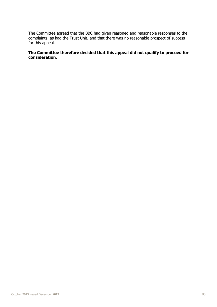The Committee agreed that the BBC had given reasoned and reasonable responses to the complaints, as had the Trust Unit, and that there was no reasonable prospect of success for this appeal.

# **The Committee therefore decided that this appeal did not qualify to proceed for consideration.**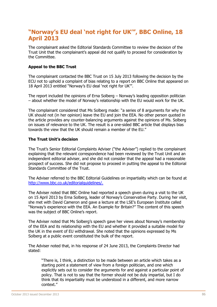# **"Norway's EU deal 'not right for UK'", BBC Online, 18 April 2013**

The complainant asked the Editorial Standards Committee to review the decision of the Trust Unit that the complainant's appeal did not qualify to proceed for consideration by the Committee.

#### **Appeal to the BBC Trust**

The complainant contacted the BBC Trust on 15 July 2013 following the decision by the ECU not to uphold a complaint of bias relating to a report on BBC Online that appeared on 18 April 2013 entitled "Norway's EU deal 'not right for UK'".

The report included the opinions of Erna Solberg – Norway's leading opposition politician – about whether the model of Norway's relationship with the EU would work for the UK.

The complainant considered that Ms Solberg made: "a series of 8 arguments for why the UK should not (in her opinion) leave the EU and join the EEA. No other person quoted in the article provides any counter-balancing arguments against the opinions of Ms. Solberg on issues of relevance to the UK. The result is a one-sided BBC article that displays bias towards the view that the UK should remain a member of the EU."

#### **The Trust Unit's decision**

The Trust's Senior Editorial Complaints Adviser ("the Adviser") replied to the complainant explaining that the relevant correspondence had been reviewed by the Trust Unit and an independent editorial adviser, and she did not consider that the appeal had a reasonable prospect of success. She did not propose to proceed in putting the appeal to the Editorial Standards Committee of the Trust.

The Adviser referred to the BBC Editorial Guidelines on impartiality which can be found at [http://www.bbc.co.uk/editorialguidelines/.](http://www.bbc.co.uk/editorialguidelines/)

The Adviser noted that BBC Online had reported a speech given during a visit to the UK on 15 April 2013 by Erna Solberg, leader of Norway's Conservative Party. During her visit, she met with David Cameron and gave a lecture at the LSE's European Institute called "Norway's experience with the EEA. An Example for Britain?" The content of this speech was the subject of BBC Online's report.

The Adviser noted that Ms Solberg's speech gave her views about Norway's membership of the EEA and its relationship with the EU and whether it provided a suitable model for the UK in the event of EU withdrawal. She noted that the opinions expressed by Ms Solberg at a public event constituted the bulk of the report.

The Adviser noted that, in his response of 24 June 2013, the Complaints Director had stated:

"There is, I think, a distinction to be made between an article which takes as a starting point a statement of view from a foreign politician, and one which explicitly sets out to consider the arguments for and against a particular point of policy. That is not to say that the former should not be duly impartial, but I do think that its impartiality must be understood in a different, and more narrow context."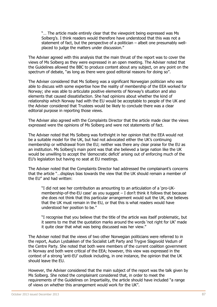"… The article made entirely clear that the viewpoint being expressed was Ms Solberg's. I think readers would therefore have understood that this was not a statement of fact, but the perspective of a politician – albeit one presumably wellplaced to judge the matters under discussion."

The Adviser agreed with this analysis that the main thrust of the report was to cover the views of Ms Solberg as they were expressed in an open meeting. The Adviser noted that the Guidelines allowed the BBC to produce content about any subject, on any point on the spectrum of debate, "as long as there were good editorial reasons for doing so".

The Adviser considered that Ms Solberg was a significant Norwegian politician who was able to discuss with some expertise how the reality of membership of the EEA worked for Norway; she was able to articulate positive elements of Norway's situation and also elements that caused dissatisfaction. She had opinions about whether the kind of relationship which Norway had with the EU would be acceptable to people of the UK and the Adviser considered that Trustees would be likely to conclude there was a clear editorial purpose in reporting those views.

The Adviser also agreed with the Complaints Director that the article made clear the views expressed were the opinions of Ms Solberg and were not statements of fact.

The Adviser noted that Ms Solberg was forthright in her opinion that the EEA would not be a suitable model for the UK, but had not advocated either the UK's continuing membership or withdrawal from the EU; neither was there any clear praise for the EU as an institution. Ms Solberg's main point was that she believed a large nation like the UK would be unwilling to accept the 'democratic deficit' arising out of enforcing much of the EU's legislation but having no seat at EU meetings.

The Adviser noted that the Complaints Director had addressed the complainant's concerns that the article "…displays bias towards the view that the UK should remain a member of the EU" and had written:

"I did not see her contribution as amounting to an articulation of a 'pro-UKmembership-of-the-EU case' as you suggest  $-$  I don't think it follows that because she does not think that this particular arrangement would suit the UK, she believes that the UK must remain in the EU, or that this is what readers would have understood her position to be."

"I recognise that you believe that the title of the article was itself problematic, but it seems to me that the quotation marks around the words 'not right for UK' made it quite clear that what was being discussed was her view."

The Adviser noted that the views of two other Norwegian politicians were referred to in the report, Audun Lysbakken of the Socialist Left Party and Trygve Slagsvold Vedum of the Centre Party. She noted that both were members of the current coalition government in Norway and both were critical of the EEA; however, this view was expressed in the context of a strong 'anti-EU' outlook including, in one instance, the opinion that the UK should leave the EU.

However, the Adviser considered that the main subject of the report was the talk given by Ms Solberg. She noted the complainant considered that, in order to meet the requirements of the Guidelines on Impartiality, the article should have included "a range of views on whether this arrangement would work for the UK".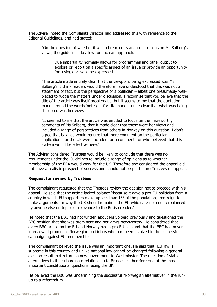The Adviser noted the Complaints Director had addressed this with reference to the Editorial Guidelines, and had stated:

"On the question of whether it was a breach of standards to focus on Ms Solberg's views, the guidelines do allow for such an approach:

Due impartiality normally allows for programmes and other output to explore or report on a specific aspect of an issue or provide an opportunity for a single view to be expressed.

"The article made entirely clear that the viewpoint being expressed was Ms Solberg's. I think readers would therefore have understood that this was not a statement of fact, but the perspective of a politician – albeit one presumably wellplaced to judge the matters under discussion. I recognise that you believe that the title of the article was itself problematic, but it seems to me that the quotation marks around the words 'not right for UK' made it quite clear that what was being discussed was her view.

"It seemed to me that the article was entitled to focus on the newsworthy comments of Ms Solberg, that it made clear that these were her views and included a range of perspectives from others in Norway on this question. I don't agree that balance would require that more comment on the particular implications for the UK were included, or a commentator who believed that this system would be effective here."

The Adviser considered Trustees would be likely to conclude that there was no requirement under the Guidelines to include a range of opinions as to whether membership of the EEA would work for the UK. Therefore she considered the appeal did not have a realistic prospect of success and should not be put before Trustees on appeal.

#### **Request for review by Trustees**

The complainant requested that the Trustees review the decision not to proceed with his appeal. He said that the article lacked balance "because it gave a pro-EU politician from a country in which EU supporters make up less than 1/5 of the population, free-reign to make arguments for why the UK should remain in the EU which are not counterbalanced by anyone else on topics of relevance to the British reader."

He noted that the BBC had not written about Ms Solberg previously and questioned the BBC position that she was prominent and her views newsworthy. He considered that every BBC article on the EU and Norway had a pro-EU bias and that the BBC had never interviewed prominent Norwegian politicians who had been involved in the successful campaign against EU membership.

The complainant believed the issue was an important one. He said that "EU law is supreme in this country and unlike national law cannot be changed following a general election result that returns a new government to Westminster. The question of viable alternatives to this subordinate relationship to Brussels is therefore one of the most important constitutional questions facing the UK."

He believed the BBC was undermining the successful "Norwegian alternative" in the runup to a referendum.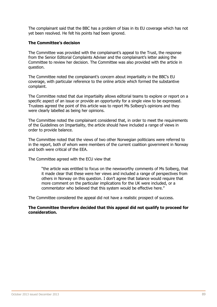The complainant said that the BBC has a problem of bias in its EU coverage which has not yet been resolved. He felt his points had been ignored.

### **The Committee's decision**

The Committee was provided with the complainant's appeal to the Trust, the response from the Senior Editorial Complaints Adviser and the complainant's letter asking the Committee to review her decision. The Committee was also provided with the article in question.

The Committee noted the complainant's concern about impartiality in the BBC's EU coverage, with particular reference to the online article which formed the substantive complaint.

The Committee noted that due impartiality allows editorial teams to explore or report on a specific aspect of an issue or provide an opportunity for a single view to be expressed. Trustees agreed the point of this article was to report Ms Solberg's opinions and they were clearly labelled as being her opinions.

The Committee noted the complainant considered that, in order to meet the requirements of the Guidelines on Impartiality, the article should have included a range of views in order to provide balance.

The Committee noted that the views of two other Norwegian politicians were referred to in the report, both of whom were members of the current coalition government in Norway and both were critical of the EEA.

The Committee agreed with the ECU view that

"the article was entitled to focus on the newsworthy comments of Ms Solberg, that it made clear that these were her views and included a range of perspectives from others in Norway on this question. I don't agree that balance would require that more comment on the particular implications for the UK were included, or a commentator who believed that this system would be effective here."

The Committee considered the appeal did not have a realistic prospect of success.

**The Committee therefore decided that this appeal did not qualify to proceed for consideration.**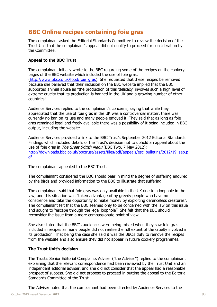# **BBC Online recipes containing foie gras**

The complainant asked the Editorial Standards Committee to review the decision of the Trust Unit that the complainant's appeal did not qualify to proceed for consideration by the Committee.

# **Appeal to the BBC Trust**

The complainant initially wrote to the BBC regarding some of the recipes on the cookery pages of the BBC website which included the use of foie gras: [\(http://www.bbc.co.uk/food/foie\\_gras\)](http://www.bbc.co.uk/food/foie_gras). She requested that these recipes be removed because she believed that their inclusion on the BBC website implied that the BBC supported animal abuse as "the production of this 'delicacy' involves such a high level of extreme cruelty that its production is banned in the UK and a growing number of other countries".

Audience Services replied to the complainant's concerns, saying that while they appreciated that the use of foie gras in the UK was a controversial matter, there was currently no ban on its use and many people enjoyed it. They said that as long as foie gras remained legal and freely available there was a possibility of it being included in BBC output, including the website.

Audience Services provided a link to the BBC Trust's September 2012 Editorial Standards Findings which included details of the Trust's decision not to uphold an appeal about the use of foie gras in The Great British Menu (BBC Two, 7 May 2012): [http://downloads.bbc.co.uk/bbctrust/assets/files/pdf/appeals/esc\\_bulletins/2012/19\\_sep.p](http://downloads.bbc.co.uk/bbctrust/assets/files/pdf/appeals/esc_bulletins/2012/19_sep.pdf) [df](http://downloads.bbc.co.uk/bbctrust/assets/files/pdf/appeals/esc_bulletins/2012/19_sep.pdf)

The complainant appealed to the BBC Trust.

The complainant considered the BBC should bear in mind the degree of suffering endured by the birds and provided information to the BBC to illustrate that suffering.

The complainant said that foie gras was only available in the UK due to a loophole in the law, and this situation was "taken advantage of by greedy people who have no conscience and take the opportunity to make money by exploiting defenceless creatures". The complainant felt that the BBC seemed only to be concerned with the law on this issue and sought to "escape through the legal loophole". She felt that the BBC should reconsider the issue from a more compassionate point of view.

She also stated that the BBC's audiences were being misled when they saw foie gras included in recipes as many people did not realise the full extent of the cruelty involved in its production. That being the case she said it was the BBC's duty to remove the recipes from the website and also ensure they did not appear in future cookery programmes.

# **The Trust Unit's decision**

The Trust's Senior Editorial Complaints Adviser ("the Adviser") replied to the complainant explaining that the relevant correspondence had been reviewed by the Trust Unit and an independent editorial adviser, and she did not consider that the appeal had a reasonable prospect of success. She did not propose to proceed in putting the appeal to the Editorial Standards Committee of the Trust.

The Adviser noted that the complainant had been directed by Audience Services to the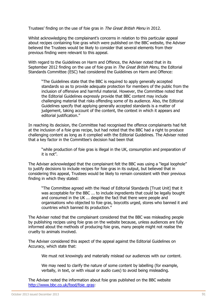Trustees' finding on the use of foie gras in *The Great British Menu* in 2012.

Whilst acknowledging the complainant's concerns in relation to this particular appeal about recipes containing foie gras which were published on the BBC website, the Adviser believed the Trustees would be likely to consider that several elements from their previous finding were relevant to this appeal.

With regard to the Guidelines on Harm and Offence, the Adviser noted that in its September 2012 finding on the use of foie gras in The Great British Menu, the Editorial Standards Committee (ESC) had considered the Guidelines on Harm and Offence:

"The Guidelines state that the BBC is required to apply generally accepted standards so as to provide adequate protection for members of the public from the inclusion of offensive and harmful material. However, the Committee noted that the Editorial Guidelines expressly provide that BBC content may include challenging material that risks offending some of its audience. Also, the Editorial Guidelines specify that applying generally accepted standards is a matter of judgement, taking account of the content, the context in which it appears and editorial justification."

In reaching its decision, the Committee had recognised the offence complainants had felt at the inclusion of a foie gras recipe, but had noted that the BBC had a right to produce challenging content as long as it complied with the Editorial Guidelines. The Adviser noted that a key factor in the Committee's decision had been that

"while production of foie gras is illegal in the UK, consumption and preparation of it is not".

The Adviser acknowledged that the complainant felt the BBC was using a "legal loophole" to justify decisions to include recipes for foie gras in its output, but believed that in considering this appeal, Trustees would be likely to remain consistent with their previous finding in which they stated:

"The Committee agreed with the Head of Editorial Standards [Trust Unit] that it was acceptable for the BBC ... to include ingredients that could be legally bought and consumed in the UK ... despite the fact that there were people and organisations who objected to foie gras, boycotts urged, stores who banned it and countries which banned its production."

The Adviser noted that the complainant considered that the BBC was misleading people by publishing recipes using foie gras on the website because, unless audiences are fully informed about the methods of producing foie gras, many people might not realise the cruelty to animals involved.

The Adviser considered this aspect of the appeal against the Editorial Guidelines on Accuracy, which state that:

We must not knowingly and materially mislead our audiences with our content.

We may need to clarify the nature of some content by labelling (for example, verbally, in text, or with visual or audio cues) to avoid being misleading.

The Adviser noted the information about foie gras published on the BBC website [http://www.bbc.co.uk/food/foie\\_gras:](http://www.bbc.co.uk/food/foie_gras)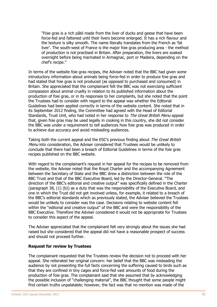"Foie gras is a rich pâté made from the liver of ducks and geese that have been force-fed and fattened until their livers become enlarged. It has a rich flavour and the texture is silky smooth. The name literally translates from the French as 'fat liver'. The south-west of France is the major foie gras producing area - the method of production is not practised in Britain. After preparation, the livers are soaked overnight before being marinated in Armagnac, port or Madeira, depending on the chef's recipe."

In terms of the website foie gras recipes, the Adviser noted that the BBC had given some introductory information about animals being force-fed in order to produce foie gras and had stated that foie gras is not produced (as opposed to purchased and consumed) in Britain. She appreciated that the complainant felt the BBC was not exercising sufficient compassion about animal cruelty in relation to its published information about the production of foie gras, or in its responses to her complaints, but she noted that the point the Trustees had to consider with regard to the appeal was whether the Editorial Guidelines had been applied correctly in terms of the website content. She noted that in its September 2012 finding, the Committee had agreed with the Head of Editorial Standards, Trust Unit, who had noted in her response to The Great British Menu appeal that, given foie gras may be used legally in cooking in this country, she did not consider the BBC was under a requirement to tell audiences how foie gras was produced in order to achieve due accuracy and avoid misleading audiences.

Taking both the current appeal and the ESC's previous finding about The Great British Menu into consideration, the Adviser considered that Trustees would be unlikely to conclude that there had been a breach of Editorial Guidelines in terms of the foie gras recipes published on the BBC website.

With regard to the complainant's request in her appeal for the recipes to be removed from the website, the Adviser noted that the Royal Charter and the accompanying Agreement between the Secretary of State and the BBC drew a distinction between the role of the BBC Trust and that of the BBC Executive Board, led by the Director-General. "The direction of the BBC's editorial and creative output" was specifically defined in the Charter (paragraph 38, (1) (b)) as a duty that was the responsibility of the Executive Board, and one in which the Trust did not get involved unless, for example, it related to a breach of the BBC's editorial standards which as previously stated, the Adviser believed the Trustees would be unlikely to consider was the case. Decisions relating to website content fell within the "editorial and creative output" of the BBC and were the responsibility of the BBC Executive. Therefore the Adviser considered it would not be appropriate for Trustees to consider this aspect of the appeal.

The Adviser appreciated that the complainant felt very strongly about the issues she had raised but she considered that the appeal did not have a reasonable prospect of success and should not proceed further.

#### **Request for review by Trustees**

The complainant requested that the Trustees review the decision not to proceed with her appeal. She reiterated her original concern: her belief that the BBC was misleading the audience by not presenting the full facts concerning the suffering caused to birds such as that they are confined in tiny cages and force-fed vast amounts of food during the production of foie gras. The complainant said that she assumed that by acknowledging the possible inclusion of "challenging material", the BBC thought that some people might find certain truths unpalatable; however, the fact was that no mention was made of the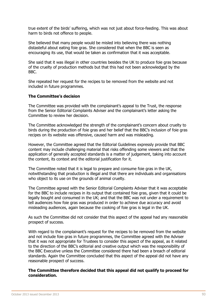true extent of the birds' suffering, which was not just about force-feeding. This was about harm to birds not offence to people.

She believed that many people would be misled into believing there was nothing distasteful about eating foie gras. She considered that when the BBC is seen as encouraging its use, that would be taken as confirmation that it was acceptable.

She said that it was illegal in other countries besides the UK to produce foie gras because of the cruelty of production methods but that this had not been acknowledged by the BBC.

She repeated her request for the recipes to be removed from the website and not included in future programmes.

#### **The Committee's decision**

The Committee was provided with the complainant's appeal to the Trust, the response from the Senior Editorial Complaints Adviser and the complainant's letter asking the Committee to review her decision.

The Committee acknowledged the strength of the complainant's concern about cruelty to birds during the production of foie gras and her belief that the BBC's inclusion of foie gras recipes on its website was offensive, caused harm and was misleading.

However, the Committee agreed that the Editorial Guidelines expressly provide that BBC content may include challenging material that risks offending some viewers and that the application of generally accepted standards is a matter of judgement, taking into account the content, its context and the editorial justification for it.

The Committee noted that it is legal to prepare and consume foie gras in the UK, notwithstanding that production is illegal and that there are individuals and organisations who object to its use on the grounds of animal cruelty.

The Committee agreed with the Senior Editorial Complaints Adviser that it was acceptable for the BBC to include recipes in its output that contained foie gras, given that it could be legally bought and consumed in the UK; and that the BBC was not under a requirement to tell audiences how foie gras was produced in order to achieve due accuracy and avoid misleading audiences, again because the cooking of foie gras is legal in the UK.

As such the Committee did not consider that this aspect of the appeal had any reasonable prospect of success.

With regard to the complainant's request for the recipes to be removed from the website and not include foie gras in future programmes, the Committee agreed with the Adviser that it was not appropriate for Trustees to consider this aspect of the appeal, as it related to the direction of the BBC's editorial and creative output which was the responsibility of the BBC Executive unless the Committee considered there had been a breach of editorial standards. Again the Committee concluded that this aspect of the appeal did not have any reasonable prospect of success.

#### **The Committee therefore decided that this appeal did not qualify to proceed for consideration.**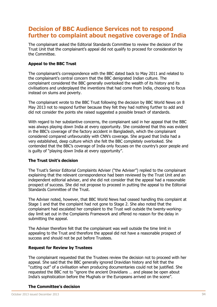# **Decision of BBC Audience Services not to respond further to complaint about negative coverage of India**

The complainant asked the Editorial Standards Committee to review the decision of the Trust Unit that the complainant's appeal did not qualify to proceed for consideration by the Committee.

# **Appeal to the BBC Trust**

The complainant's correspondence with the BBC dated back to May 2011 and related to the complainant's central concern that the BBC denigrated Indian culture. The complainant considered the BBC generally overlooked the wealth of its history and its civilisations and underplayed the inventions that had come from India, choosing to focus instead on slums and poverty.

The complainant wrote to the BBC Trust following the decision by BBC World News on 8 May 2013 not to respond further because they felt they had nothing further to add and did not consider the points she raised suggested a possible breach of standards.

With regard to her substantive concerns, the complainant said in her appeal that the BBC was always playing down India at every opportunity. She considered that this was evident in the BBC's coverage of the factory accident in Bangladesh, which the complainant considered compared unfavourably with CNN's coverage. She argued that India had a very established, deep culture which she felt the BBC completely overlooked. She contended that the BBC's coverage of India only focuses on the country's poor people and is guilty of "playing down India at every opportunity".

# **The Trust Unit's decision**

The Trust's Senior Editorial Complaints Adviser ("the Adviser") replied to the complainant explaining that the relevant correspondence had been reviewed by the Trust Unit and an independent editorial adviser, and she did not consider that the appeal had a reasonable prospect of success. She did not propose to proceed in putting the appeal to the Editorial Standards Committee of the Trust.

The Adviser noted, however, that BBC World News had ceased handling this complaint at Stage 1 and that the complaint had not gone to Stage 2. She also noted that the complainant had escalated her complaint to the Trust well outside the twenty-workingday limit set out in the Complaints Framework and offered no reason for the delay in submitting the appeal.

The Adviser therefore felt that the complainant was well outside the time limit in appealing to the Trust and therefore the appeal did not have a reasonable prospect of success and should not be put before Trustees.

#### **Request for Review by Trustees**

The complainant requested that the Trustees review the decision not to proceed with her appeal. She said that the BBC generally ignored Dravidian history and felt that the "cutting out" of a civilisation when producing documentaries could not be justified. She requested the BBC not to "ignore the ancient Dravidians … and please be open about India's sophistication before the Mughals or the Europeans arrived on the scene".

#### **The Committee's decision**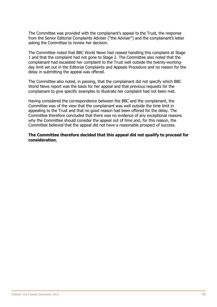The Committee was provided with the complainant's appeal to the Trust, the response from the Senior Editorial Complaints Adviser ("the Adviser") and the complainant's letter asking the Committee to review her decision.

The Committee noted that BBC World News had ceased handling this complaint at Stage 1 and that the complaint had not gone to Stage 2. The Committee also noted that the complainant had escalated her complaint to the Trust well outside the twenty-workingday limit set out in the Editorial Complaints and Appeals Procedure and no reason for the delay in submitting the appeal was offered.

The Committee also noted, in passing, that the complainant did not specify which BBC World News report was the basis for her appeal and that previous requests for the complainant to give specific examples to illustrate her complaint had not been met.

Having considered the correspondence between the BBC and the complainant, the Committee was of the view that the complainant was well outside the time limit in appealing to the Trust and that no good reason had been offered for the delay. The Committee therefore concluded that there was no evidence of any exceptional reasons why the Committee should consider the appeal out of time and, for this reason, the Committee believed that the appeal did not have a reasonable prospect of success.

**The Committee therefore decided that this appeal did not qualify to proceed for consideration.**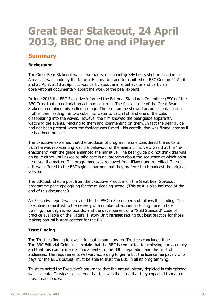# **Great Bear Stakeout, 24 April 2013, BBC One and iPlayer**

# **Summary**

### **Background**

The Great Bear Stakeout was a two-part series about grizzly bears shot on location in Alaska. It was made by the Natural History Unit and transmitted on BBC One on 24 April and 25 April, 2013 at 9pm. It was partly about animal behaviour and partly an observational documentary about the work of the bear experts.

In June 2013 the BBC Executive informed the Editorial Standards Committee (ESC) of the BBC Trust that an editorial breach had occurred. The first episode of the Great Bear Stakeout contained misleading footage. The programme showed accurate footage of a mother bear leading her two cubs into water to catch fish and one of the cubs disappearing into the waves. However the film showed the bear guide apparently watching the events, reacting to them and commenting on them. In fact the bear guide had not been present when the footage was filmed - his contribution was filmed later as if he had been present.

The Executive explained that the producer of programme one considered the editorial truth he was representing was the behaviour of the animals. His view was that the "reenactment" with the guide enhanced the narrative. The bear guide did not think this was an issue either until asked to take part in an interview about the sequence at which point he raised the matter. The programme was removed from iPlayer and re-edited. The reedit was offered to the BBC's global partners but they preferred to broadcast the original version.

The BBC published a post from the Executive Producer on the Great Bear Stakeout programme page apologising for the misleading scene. (This post is also included at the end of this document.)

An Executive report was provided to the ESC in September and follows this finding. The Executive committed to the delivery of a number of actions including: face to face training; monthly review boards; and the development of a "Gold Standard" code of practice available on the Natural History Unit intranet setting out best practice for those making natural history content for the BBC.

# **Trust Finding**

The Trustees finding follows in full but in summary the Trustees concluded that: The BBC Editorial Guidelines explain that the BBC is committed to achieving due accuracy and that this commitment is fundamental to the BBC's reputation and the trust of audiences. The requirements will vary according to genre but the licence fee payer, who pays for the BBC's output, must be able to trust the BBC in all its programming.

Trustees noted the Executive's assurance that the natural history depicted in this episode was accurate. Trustees considered that this was the issue that they expected to matter most to audiences.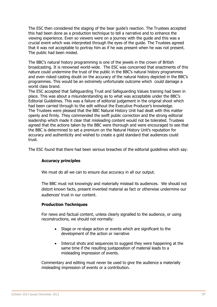The ESC then considered the staging of the bear guide's reaction. The Trustees accepted this had been done as a production technique to tell a narrative and to enhance the viewing experience. Even so viewers were on a journey with the guide and this was a crucial event which was interpreted through the eyes of the guide. The Trustees agreed that it was not acceptable to portray him as if he was present when he was not present. The public had been misled.

The BBC's natural history programming is one of the jewels in the crown of British broadcasting. It is renowned world-wide. The ESC was concerned that enactments of this nature could undermine the trust of the public in the BBC's natural history programmes and even risked casting doubt on the accuracy of the natural history depicted in the BBC's programmes. This would be an extremely unfortunate outcome which could damage a world class brand.

The ESC accepted that Safeguarding Trust and Safeguarding Values training had been in place. This was about a misunderstanding as to what was acceptable under the BBC's Editorial Guidelines. This was a failure of editorial judgement in the original shoot which had been carried through to the edit without the Executive Producer's knowledge. The Trustees were pleased that the BBC Natural History Unit had dealt with this matter openly and firmly. They commended the swift public correction and the strong editorial leadership which made it clear that misleading content would not be tolerated. Trustees agreed that the actions taken by the BBC were thorough and were encouraged to see that the BBC is determined to set a premium on the Natural History Unit's reputation for accuracy and authenticity and wished to create a gold standard that audiences could trust.

The ESC found that there had been serious breaches of the editorial guidelines which say:

# **Accuracy principles**

We must do all we can to ensure due accuracy in all our output.

The BBC must not knowingly and materially mislead its audiences. We should not distort known facts, present invented material as fact or otherwise undermine our audiences' trust in our content.

# **Production Techniques**

For news and factual content, unless clearly signalled to the audience, or using reconstructions, we should not normally:

- Stage or re-stage action or events which are significant to the development of the action or narrative
- Intercut shots and sequences to suggest they were happening at the same time if the resulting juxtaposition of material leads to a misleading impression of events.

Commentary and editing must never be used to give the audience a materially misleading impression of events or a contribution.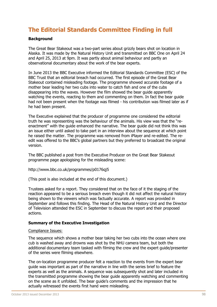# **The Editorial Standards Committee Finding in full**

#### **Background**

The Great Bear Stakeout was a two-part series about grizzly bears shot on location in Alaska. It was made by the Natural History Unit and transmitted on BBC One on April 24 and April 25, 2013 at 9pm. It was partly about animal behaviour and partly an observational documentary about the work of the bear experts.

In June 2013 the BBC Executive informed the Editorial Standards Committee (ESC) of the BBC Trust that an editorial breach had occurred. The first episode of the Great Bear Stakeout contained misleading footage. The programme showed accurate footage of a mother bear leading her two cubs into water to catch fish and one of the cubs disappearing into the waves. However the film showed the bear guide apparently watching the events, reacting to them and commenting on them. In fact the bear guide had not been present when the footage was filmed - his contribution was filmed later as if he had been present.

The Executive explained that the producer of programme one considered the editorial truth he was representing was the behaviour of the animals. His view was that the "reenactment" with the guide enhanced the narrative. The bear guide did not think this was an issue either until asked to take part in an interview about the sequence at which point he raised the matter. The programme was removed from iPlayer and re-edited. The reedit was offered to the BBC's global partners but they preferred to broadcast the original version.

The BBC published a post from the Executive Producer on the Great Bear Stakeout programme page apologising for the misleading scene:

<http://www.bbc.co.uk/programmes/p0176qj5>

(This post is also included at the end of this document.)

Trustees asked for a report. They considered that on the face of it the staging of the reaction appeared to be a serious breach even though it did not affect the natural history being shown to the viewers which was factually accurate. A report was provided in September and follows this finding. The Head of the Natural History Unit and the Director of Television attended the ESC in September to discuss the report and their proposed actions.

#### **Summary of the Executive Investigation**

#### Compliance Issues:

The sequence which shows a mother bear taking her two cubs into the ocean where one cub is washed away and drowns was shot by the NHU camera team, but both the additional documentary team tasked with filming the crew and the expert guide/presenter of the series were filming elsewhere.

The on-location programme producer felt a reaction to the events from the expert bear guide was important as part of the narrative in line with the series brief to feature the experts as well as the animals. A sequence was subsequently shot and later included in the transmitted programme showing the bear guide apparently watching and commenting on the scene as it unfolded. The bear guide's comments and the impression that he actually witnessed the events first hand were misleading.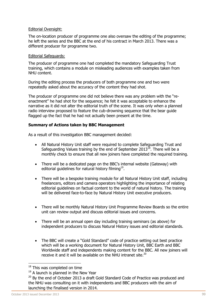#### Editorial Oversight:

The on-location producer of programme one also oversaw the editing of the programme; he left the series and the BBC at the end of his contract in March 2013. There was a different producer for programme two.

#### Editorial Safeguards:

The producer of programme one had completed the mandatory Safeguarding Trust training, which contains a module on misleading audiences with examples taken from NHU content.

During the editing process the producers of both programme one and two were repeatedly asked about the accuracy of the content they had shot.

The producer of programme one did not believe there was any problem with the "reenactment" he had shot for the sequence; he felt it was acceptable to enhance the narrative as it did not alter the editorial truth of the scene. It was only when a planned radio interview proposed to feature the cub-drowning sequence that the bear guide flagged up the fact that he had not actually been present at the time.

# **Summary of Actions taken by BBC Management**

As a result of this investigation BBC management decided:

- All Natural History Unit staff were required to complete Safeguarding Trust and Safeguarding Values training by the end of September 2013 $^{18}$ . There will be a monthly check to ensure that all new joiners have completed the required training.
- There will be a dedicated page on the BBC's internal website (Gateway) with editorial guidelines for natural history filming<sup>19</sup>.
- There will be a bespoke training module for all Natural History Unit staff, including freelancers, editors and camera operators highlighting the importance of relating editorial guidelines on factual content to the world of natural history. The training will be delivered face-to-face by Natural History Unit executive producers.
- There will be monthly Natural History Unit Programme Review Boards so the entire unit can review output and discuss editorial issues and concerns.
- There will be an annual open day including training seminars (as above) for independent producers to discuss Natural History issues and editorial standards.
- The BBC will create a "Gold Standard" code of practice setting out best practice which will be a working document for Natural History Unit, BBC Earth and BBC Worldwide staff and independents making content for the BBC. All new joiners will receive it and it will be available on the NHU intranet site. $^{20}$

-

<sup>&</sup>lt;sup>18</sup> This was completed on time

 $19$  A launch is planned in the New Year

 $20$  By the end of October 2013 a draft Gold Standard Code of Practice was produced and the NHU was consulting on it with independents and BBC producers with the aim of launching the finalised version in 2014.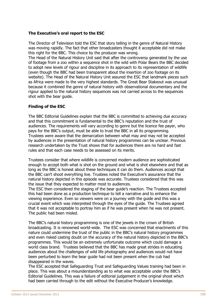### **The Executive's oral report to the ESC**

The Director of Television told the ESC that story telling in the genre of Natural History was moving rapidly. The fact that other broadcasters thought it acceptable did not make this right for the BBC. This choice by the producer was wrong.

The Head of the Natural History Unit said that after the controversy generated by the use of footage from a zoo within a sequence shot in the wild with Polar Bears the BBC decided to adopt new levels of rigour and discipline in its approach to its representation of wildlife (even though the BBC had been transparent about the insertion of zoo footage on its website). The Head of the Natural History Unit assured the ESC that landmark pieces such as Africa were made to the very highest standards. The Great Bear Stakeout was unusual because it combined the genre of natural history with observational documentary and the rigour applied to the natural history sequences was not carried across to the sequences shot with the bear guide.

#### **Finding of the ESC**

The BBC Editorial Guidelines explain that the BBC is committed to achieving due accuracy and that this commitment is fundamental to the BBC's reputation and the trust of audiences. The requirements will vary according to genre but the licence fee payer, who pays for the BBC's output, must be able to trust the BBC in all its programming. Trustees were aware that the demarcation between what may and may not be accepted by audiences in the presentation of natural history programmes can be unclear. Previous research undertaken by the Trust shows that for audiences there are no hard and fast rules and that each case needs to be assessed on its merits.

Trustees consider that where wildlife is concerned modern audience are sophisticated enough to accept both what is shot on the ground and what is shot elsewhere and that as long as the BBC is honest about these techniques it can do them. Audiences accept that the BBC can't shoot everything live. Trustees noted the Executive's assurance that the natural history depicted in this episode was accurate. Trustees considered that this was the issue that they expected to matter most to audiences.

The ESC then considered the staging of the bear guide's reaction. The Trustees accepted this had been done as a production technique to tell a narrative and to enhance the viewing experience. Even so viewers were on a journey with the guide and this was a crucial event which was interpreted through the eyes of the guide. The Trustees agreed that it was not acceptable to portray him as if he was present when he was not present. The public had been misled.

The BBC's natural history programming is one of the jewels in the crown of British broadcasting. It is renowned world-wide. The ESC was concerned that enactments of this nature could undermine the trust of the public in the BBC's natural history programmes and even risked casting doubt on the accuracy of the natural history depicted in the BBC's programmes. This would be an extremely unfortunate outcome which could damage a world class brand. Trustees believed that the BBC has made great strides in educating audiences about the challenges of wild life photography and audiences would not have been perturbed to learn the bear guide had not been present when the cub had disappeared in the waves.

The ESC accepted that Safeguarding Trust and Safeguarding Values training had been in place. This was about a misunderstanding as to what was acceptable under the BBC's Editorial Guidelines. This was a failure of editorial judgement in the original shoot which had been carried through to the edit without the Executive Producer's knowledge.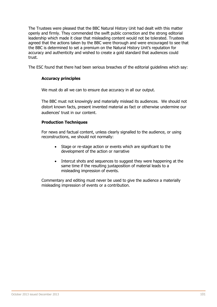The Trustees were pleased that the BBC Natural History Unit had dealt with this matter openly and firmly. They commended the swift public correction and the strong editorial leadership which made it clear that misleading content would not be tolerated. Trustees agreed that the actions taken by the BBC were thorough and were encouraged to see that the BBC is determined to set a premium on the Natural History Unit's reputation for accuracy and authenticity and wished to create a gold standard that audiences could trust.

The ESC found that there had been serious breaches of the editorial guidelines which say:

# **Accuracy principles**

We must do all we can to ensure due accuracy in all our output.

The BBC must not knowingly and materially mislead its audiences. We should not distort known facts, present invented material as fact or otherwise undermine our audiences' trust in our content.

# **Production Techniques**

For news and factual content, unless clearly signalled to the audience, or using reconstructions, we should not normally:

- Stage or re-stage action or events which are significant to the development of the action or narrative
- Intercut shots and sequences to suggest they were happening at the same time if the resulting juxtaposition of material leads to a misleading impression of events.

Commentary and editing must never be used to give the audience a materially misleading impression of events or a contribution.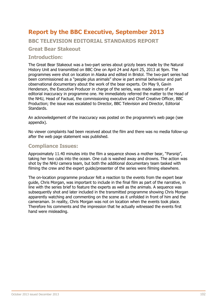# **Report by the BBC Executive, September 2013**

**BBC TELEVISION EDITORIAL STANDARDS REPORT** 

# **Great Bear Stakeout**

# **Introduction:**

The Great Bear Stakeout was a two-part series about grizzly bears made by the Natural History Unit and transmitted on BBC One on April 24 and April 25, 2013 at 9pm. The programmes were shot on location in Alaska and edited in Bristol. The two-part series had been commissioned as a "people plus animals" show ie part animal behaviour and part observational documentary about the work of the bear experts. On May 9, Gavin Henderson, the Executive Producer in charge of the series, was made aware of an editorial inaccuracy in programme one. He immediately referred the matter to the Head of the NHU, Head of Factual, the commissioning executive and Chief Creative Officer, BBC Production; the issue was escalated to Director, BBC Television and Director, Editorial Standards.

An acknowledgement of the inaccuracy was posted on the programme's web page (see appendix).

No viewer complaints had been received about the film and there was no media follow-up after the web page statement was published.

# **Compliance Issues:**

Approximately 11.40 minutes into the film a sequence shows a mother bear, "Parsnip", taking her two cubs into the ocean. One cub is washed away and drowns. The action was shot by the NHU camera team, but both the additional documentary team tasked with filming the crew and the expert guide/presenter of the series were filming elsewhere.

The on-location programme producer felt a reaction to the events from the expert bear guide, Chris Morgan, was important to include in the final film as part of the narrative, in line with the series brief to feature the experts as well as the animals. A sequence was subsequently shot and later included in the transmitted programme showing Chris Morgan apparently watching and commenting on the scene as it unfolded in front of him and the cameraman. In reality, Chris Morgan was not on location when the events took place. Therefore his comments and the impression that he actually witnessed the events first hand were misleading.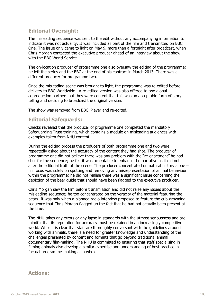# **Editorial Oversight:**

The misleading sequence was sent to the edit without any accompanying information to indicate it was not actuality. It was included as part of the film and transmitted on BBC One. The issue only came to light on May 9, more than a fortnight after broadcast, when Chris Morgan contacted the executive producer ahead of an interview about the show with the BBC World Service.

The on-location producer of programme one also oversaw the editing of the programme; he left the series and the BBC at the end of his contract in March 2013. There was a different producer for programme two.

Once the misleading scene was brought to light, the programme was re-edited before delivery to BBC Worldwide. A re-edited version was also offered to two global coproduction partners but they were content that this was an acceptable form of storytelling and deciding to broadcast the original version.

The show was removed from BBC iPlayer and re-edited.

# **Editorial Safeguards:**

Checks revealed that the producer of programme one completed the mandatory Safeguarding Trust training, which contains a module on misleading audiences with examples taken from NHU content.

During the editing process the producers of both programme one and two were repeatedly asked about the accuracy of the content they had shot. The producer of programme one did not believe there was any problem with the "re-enactment" he had shot for the sequence; he felt it was acceptable to enhance the narrative as it did not alter the editorial truth of the scene. The producer concentrated on natural history alone – his focus was solely on spotting and removing any misrepresentation of animal behaviour within the programme; he did not realise there was a significant issue concerning the depiction of the bear guide that should have been flagged to the executive producer.

Chris Morgan saw the film before transmission and did not raise any issues about the misleading sequence; he too concentrated on the veracity of the material featuring the bears. It was only when a planned radio interview proposed to feature the cub-drowning sequence that Chris Morgan flagged up the fact that he had not actually been present at the time.

The NHU takes any errors or any lapse in standards with the utmost seriousness and are mindful that its reputation for accuracy must be retained in an increasingly competitive world. While it is clear that staff are thoroughly conversant with the guidelines around working with animals, there is a need for greater knowledge and understanding of the challenges presented by content and formats that go beyond traditional animal documentary film-making. The NHU is committed to ensuring that staff specialising in filming animals also develop a similar expertise and understanding of best practice in factual programme-making as a whole.

# **Actions:**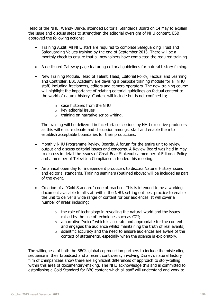Head of the NHU, Wendy Darke, attended Editorial Standards Board on 14 May to explain the issue and discuss steps to strengthen the editorial oversight of NHU content. ESB approved the following actions:

- Training Audit. All NHU staff are required to complete Safeguarding Trust and Safeguarding Values training by the end of September 2013. There will be a monthly check to ensure that all new joiners have completed the required training.
- A dedicated Gateway page featuring editorial guidelines for natural history filming.
- New Training Module. Head of Talent, Head, Editorial Policy, Factual and Learning and Controller, BBC Academy are devising a bespoke training module for all NHU staff, including freelancers, editors and camera operators. The new training course will highlight the importance of relating editorial guidelines on factual content to the world of natural history. Content will include but is not confined to;
	- o case histories from the NHU
	- o key editorial issues
	- o training on narrative script-writing.

The training will be delivered in face-to-face sessions by NHU executive producers as this will ensure debate and discussion amongst staff and enable them to establish acceptable boundaries for their productions.

- Monthly NHU Programme Review Boards. A forum for the entire unit to review output and discuss editorial issues and concerns. A Review Board was held in May to discuss in detail the issues of Great Bear Stakeout; a member of Editorial Policy and a member of Television Compliance attended this meeting.
- An annual open day for independent producers to discuss Natural History issues and editorial standards. Training seminars (outlined above) will be included as part of the event.
- Creation of a "Gold Standard" code of practice. This is intended to be a working document available to all staff within the NHU, setting out best practice to enable the unit to deliver a wide range of content for our audiences. It will cover a number of areas including:
	- $\circ$  the role of technology in revealing the natural world and the issues raised by the use of techniques such as CGI;
	- $\circ$  a narrative "voice" which is accurate and appropriate for the content and engages the audience whilst maintaining the truth of real events;
	- $\circ$  scientific accuracy and the need to ensure audiences are aware of the context of statements, especially when the science is exploratory.

The willingness of both the BBC's global coproduction partners to include the misleading sequence in their broadcast and a recent controversy involving Disney's natural history film of chimpanzees show there are significant differences of approach to story-telling within this area of documentary-making. The NHU acknowledge this and is committed to establishing a Gold Standard for BBC content which all staff will understand and work to.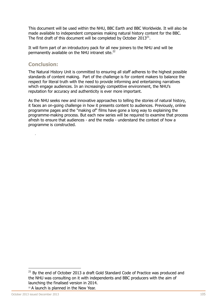This document will be used within the NHU, BBC Earth and BBC Worldwide. It will also be made available to independent companies making natural history content for the BBC. The first draft of this document will be completed by October 2013<sup>21</sup>.

It will form part of an introductory pack for all new joiners to the NHU and will be permanently available on the NHU intranet site.<sup>22</sup>

# **Conclusion:**

.

The Natural History Unit is committed to ensuring all staff adheres to the highest possible standards of content making. Part of the challenge is for content makers to balance the respect for literal truth with the need to provide informing and entertaining narratives which engage audiences. In an increasingly competitive environment, the NHU's reputation for accuracy and authenticity is ever more important.

As the NHU seeks new and innovative approaches to telling the stories of natural history, it faces an on-going challenge in how it presents content to audiences. Previously, online programme pages and the "making of" films have gone a long way to explaining the programme-making process. But each new series will be required to examine that process afresh to ensure that audiences - and the media - understand the context of how a programme is constructed.

-

 $21$  Bv the end of October 2013 a draft Gold Standard Code of Practice was produced and the NHU was consulting on it with independents and BBC producers with the aim of launching the finalised version in 2014. <sup>22</sup> A launch is planned in the New Year.